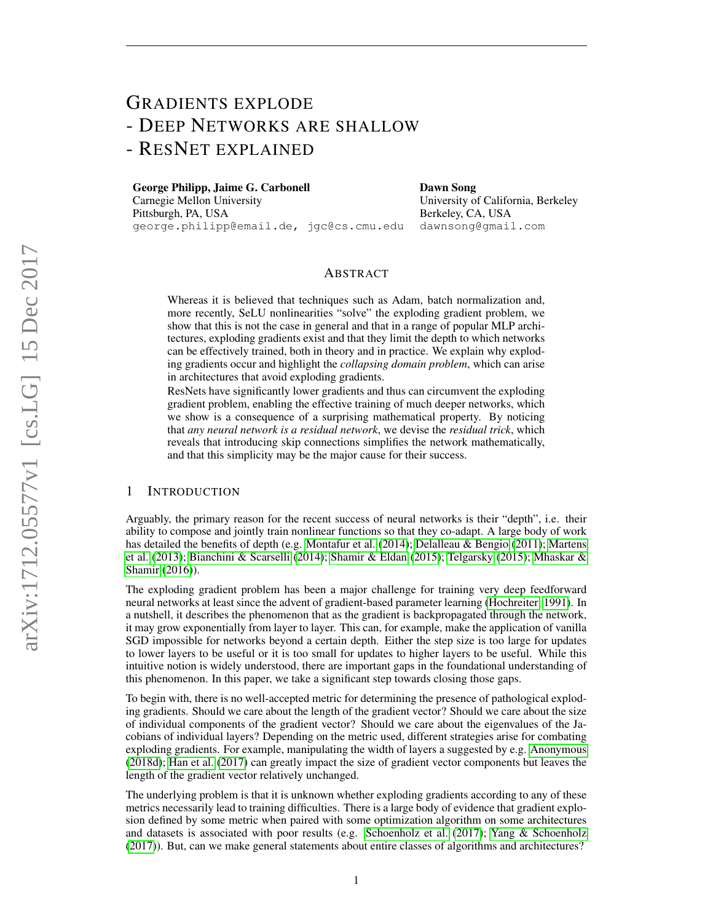# GRADIENTS EXPLODE - DEEP NETWORKS ARE SHALLOW - RESNET EXPLAINED

George Philipp, Jaime G. Carbonell Carnegie Mellon University Pittsburgh, PA, USA george.philipp@email.de, jgc@cs.cmu.edu Dawn Song University of California, Berkeley Berkeley, CA, USA dawnsong@gmail.com

# ABSTRACT

Whereas it is believed that techniques such as Adam, batch normalization and, more recently, SeLU nonlinearities "solve" the exploding gradient problem, we show that this is not the case in general and that in a range of popular MLP architectures, exploding gradients exist and that they limit the depth to which networks can be effectively trained, both in theory and in practice. We explain why exploding gradients occur and highlight the *collapsing domain problem*, which can arise in architectures that avoid exploding gradients.

ResNets have significantly lower gradients and thus can circumvent the exploding gradient problem, enabling the effective training of much deeper networks, which we show is a consequence of a surprising mathematical property. By noticing that *any neural network is a residual network*, we devise the *residual trick*, which reveals that introducing skip connections simplifies the network mathematically, and that this simplicity may be the major cause for their success.

# 1 INTRODUCTION

Arguably, the primary reason for the recent success of neural networks is their "depth", i.e. their ability to compose and jointly train nonlinear functions so that they co-adapt. A large body of work has detailed the benefits of depth (e.g. [Montafur et al.](#page-21-0) [\(2014\)](#page-21-0); [Delalleau & Bengio](#page-19-0) [\(2011\)](#page-19-0); [Martens](#page-20-0) [et al.](#page-20-0) [\(2013\)](#page-20-0); [Bianchini & Scarselli](#page-19-1) [\(2014\)](#page-19-1); [Shamir & Eldan](#page-21-1) [\(2015\)](#page-21-1); [Telgarsky](#page-21-2) [\(2015\)](#page-21-2); [Mhaskar &](#page-20-1) [Shamir](#page-20-1) [\(2016\)](#page-20-1)).

The exploding gradient problem has been a major challenge for training very deep feedforward neural networks at least since the advent of gradient-based parameter learning [\(Hochreiter, 1991\)](#page-20-2). In a nutshell, it describes the phenomenon that as the gradient is backpropagated through the network, it may grow exponentially from layer to layer. This can, for example, make the application of vanilla SGD impossible for networks beyond a certain depth. Either the step size is too large for updates to lower layers to be useful or it is too small for updates to higher layers to be useful. While this intuitive notion is widely understood, there are important gaps in the foundational understanding of this phenomenon. In this paper, we take a significant step towards closing those gaps.

To begin with, there is no well-accepted metric for determining the presence of pathological exploding gradients. Should we care about the length of the gradient vector? Should we care about the size of individual components of the gradient vector? Should we care about the eigenvalues of the Jacobians of individual layers? Depending on the metric used, different strategies arise for combating exploding gradients. For example, manipulating the width of layers a suggested by e.g. [Anonymous](#page-19-2) [\(2018d\)](#page-19-2); [Han et al.](#page-20-3) [\(2017\)](#page-20-3) can greatly impact the size of gradient vector components but leaves the length of the gradient vector relatively unchanged.

The underlying problem is that it is unknown whether exploding gradients according to any of these metrics necessarily lead to training difficulties. There is a large body of evidence that gradient explosion defined by some metric when paired with some optimization algorithm on some architectures and datasets is associated with poor results (e.g. [Schoenholz et al.](#page-21-3) [\(2017\)](#page-21-3); [Yang & Schoenholz](#page-21-4) [\(2017\)](#page-21-4)). But, can we make general statements about entire classes of algorithms and architectures?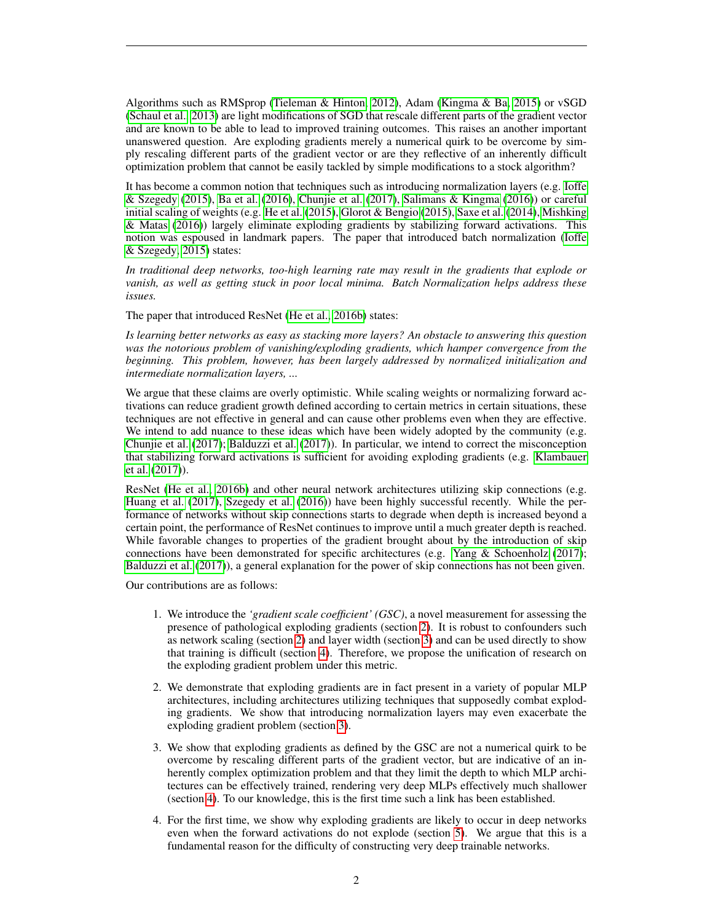Algorithms such as RMSprop [\(Tieleman & Hinton, 2012\)](#page-21-5), Adam [\(Kingma & Ba, 2015\)](#page-20-4) or vSGD [\(Schaul et al., 2013\)](#page-21-6) are light modifications of SGD that rescale different parts of the gradient vector and are known to be able to lead to improved training outcomes. This raises an another important unanswered question. Are exploding gradients merely a numerical quirk to be overcome by simply rescaling different parts of the gradient vector or are they reflective of an inherently difficult optimization problem that cannot be easily tackled by simple modifications to a stock algorithm?

It has become a common notion that techniques such as introducing normalization layers (e.g. [Ioffe](#page-20-5) [& Szegedy](#page-20-5) [\(2015\)](#page-20-5), [Ba et al.](#page-19-3) [\(2016\)](#page-19-3), [Chunjie et al.](#page-19-4) [\(2017\)](#page-19-4), [Salimans & Kingma](#page-21-7) [\(2016\)](#page-21-7)) or careful initial scaling of weights (e.g. [He et al.](#page-20-6) [\(2015\)](#page-20-6), [Glorot & Bengio](#page-19-5) [\(2015\)](#page-19-5), [Saxe et al.](#page-21-8) [\(2014\)](#page-21-8), [Mishking](#page-21-9) [& Matas](#page-21-9) [\(2016\)](#page-21-9)) largely eliminate exploding gradients by stabilizing forward activations. This notion was espoused in landmark papers. The paper that introduced batch normalization [\(Ioffe](#page-20-5) [& Szegedy, 2015\)](#page-20-5) states:

*In traditional deep networks, too-high learning rate may result in the gradients that explode or vanish, as well as getting stuck in poor local minima. Batch Normalization helps address these issues.*

The paper that introduced ResNet [\(He et al., 2016b\)](#page-20-7) states:

*Is learning better networks as easy as stacking more layers? An obstacle to answering this question was the notorious problem of vanishing/exploding gradients, which hamper convergence from the beginning. This problem, however, has been largely addressed by normalized initialization and intermediate normalization layers, ...*

We argue that these claims are overly optimistic. While scaling weights or normalizing forward activations can reduce gradient growth defined according to certain metrics in certain situations, these techniques are not effective in general and can cause other problems even when they are effective. We intend to add nuance to these ideas which have been widely adopted by the community (e.g. [Chunjie et al.](#page-19-4) [\(2017\)](#page-19-4); [Balduzzi et al.](#page-19-6) [\(2017\)](#page-19-6)). In particular, we intend to correct the misconception that stabilizing forward activations is sufficient for avoiding exploding gradients (e.g. [Klambauer](#page-20-8) [et al.](#page-20-8) [\(2017\)](#page-20-8)).

ResNet [\(He et al., 2016b\)](#page-20-7) and other neural network architectures utilizing skip connections (e.g. [Huang et al.](#page-20-9) [\(2017\)](#page-20-9), [Szegedy et al.](#page-21-10) [\(2016\)](#page-21-10)) have been highly successful recently. While the performance of networks without skip connections starts to degrade when depth is increased beyond a certain point, the performance of ResNet continues to improve until a much greater depth is reached. While favorable changes to properties of the gradient brought about by the introduction of skip connections have been demonstrated for specific architectures (e.g. [Yang & Schoenholz](#page-21-4) [\(2017\)](#page-21-4); [Balduzzi et al.](#page-19-6) [\(2017\)](#page-19-6)), a general explanation for the power of skip connections has not been given.

Our contributions are as follows:

- 1. We introduce the *'gradient scale coefficient' (GSC)*, a novel measurement for assessing the presence of pathological exploding gradients (section [2\)](#page-2-0). It is robust to confounders such as network scaling (section [2\)](#page-2-0) and layer width (section [3\)](#page-4-0) and can be used directly to show that training is difficult (section [4\)](#page-6-0). Therefore, we propose the unification of research on the exploding gradient problem under this metric.
- 2. We demonstrate that exploding gradients are in fact present in a variety of popular MLP architectures, including architectures utilizing techniques that supposedly combat exploding gradients. We show that introducing normalization layers may even exacerbate the exploding gradient problem (section [3\)](#page-4-0).
- 3. We show that exploding gradients as defined by the GSC are not a numerical quirk to be overcome by rescaling different parts of the gradient vector, but are indicative of an inherently complex optimization problem and that they limit the depth to which MLP architectures can be effectively trained, rendering very deep MLPs effectively much shallower (section [4\)](#page-6-0). To our knowledge, this is the first time such a link has been established.
- 4. For the first time, we show why exploding gradients are likely to occur in deep networks even when the forward activations do not explode (section [5\)](#page-10-0). We argue that this is a fundamental reason for the difficulty of constructing very deep trainable networks.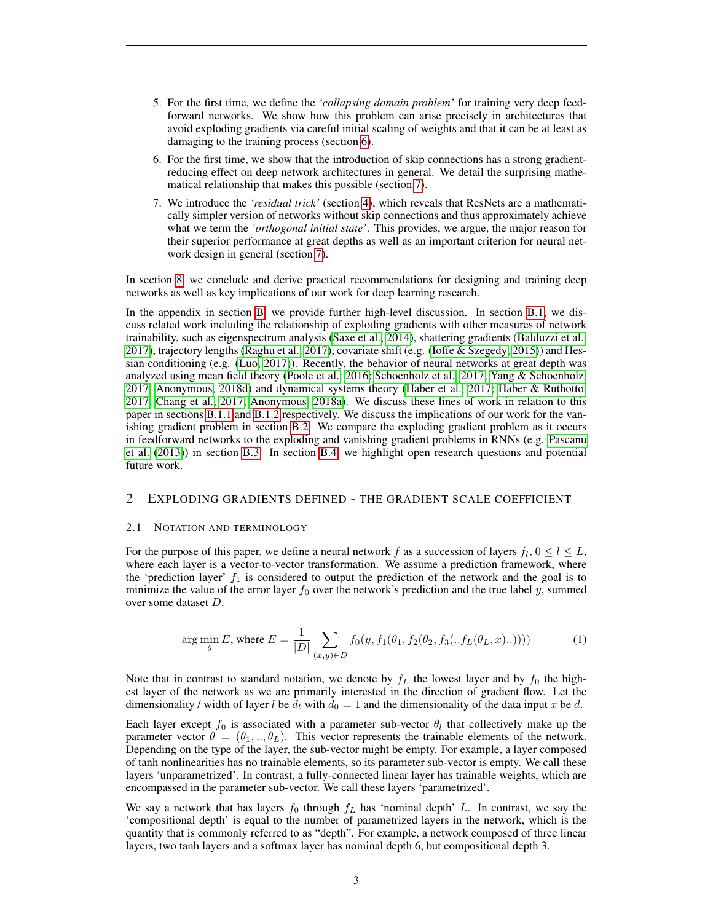- 5. For the first time, we define the *'collapsing domain problem'* for training very deep feedforward networks. We show how this problem can arise precisely in architectures that avoid exploding gradients via careful initial scaling of weights and that it can be at least as damaging to the training process (section [6\)](#page-11-0).
- 6. For the first time, we show that the introduction of skip connections has a strong gradientreducing effect on deep network architectures in general. We detail the surprising mathematical relationship that makes this possible (section [7\)](#page-12-0).
- 7. We introduce the *'residual trick'* (section [4\)](#page-6-0), which reveals that ResNets are a mathematically simpler version of networks without skip connections and thus approximately achieve what we term the *'orthogonal initial state'*. This provides, we argue, the major reason for their superior performance at great depths as well as an important criterion for neural network design in general (section [7\)](#page-12-0).

In section [8,](#page-15-0) we conclude and derive practical recommendations for designing and training deep networks as well as key implications of our work for deep learning research.

In the appendix in section [B,](#page-25-0) we provide further high-level discussion. In section [B.1,](#page-25-1) we discuss related work including the relationship of exploding gradients with other measures of network trainability, such as eigenspectrum analysis [\(Saxe et al., 2014\)](#page-21-8), shattering gradients [\(Balduzzi et al.,](#page-19-6) [2017\)](#page-19-6), trajectory lengths [\(Raghu et al., 2017\)](#page-21-11), covariate shift (e.g. [\(Ioffe & Szegedy, 2015\)](#page-20-5)) and Hessian conditioning (e.g. [\(Luo, 2017\)](#page-20-10)). Recently, the behavior of neural networks at great depth was analyzed using mean field theory [\(Poole et al., 2016;](#page-21-12) [Schoenholz et al., 2017;](#page-21-3) [Yang & Schoenholz,](#page-21-4) [2017;](#page-21-4) [Anonymous, 2018d\)](#page-19-2) and dynamical systems theory [\(Haber et al., 2017;](#page-20-11) [Haber & Ruthotto,](#page-20-12) [2017;](#page-20-12) [Chang et al., 2017;](#page-19-7) [Anonymous, 2018a\)](#page-19-8). We discuss these lines of work in relation to this paper in sections [B.1.1](#page-25-2) and [B.1.2](#page-27-0) respectively. We discuss the implications of our work for the vanishing gradient problem in section [B.2.](#page-28-0) We compare the exploding gradient problem as it occurs in feedforward networks to the exploding and vanishing gradient problems in RNNs (e.g. [Pascanu](#page-21-13) [et al.](#page-21-13) [\(2013\)](#page-21-13)) in section [B.3.](#page-28-1) In section [B.4,](#page-28-2) we highlight open research questions and potential future work.

# <span id="page-2-0"></span>2 EXPLODING GRADIENTS DEFINED - THE GRADIENT SCALE COEFFICIENT

#### 2.1 NOTATION AND TERMINOLOGY

<span id="page-2-1"></span>For the purpose of this paper, we define a neural network f as a succession of layers  $f_l$ ,  $0 \le l \le L$ , where each layer is a vector-to-vector transformation. We assume a prediction framework, where the 'prediction layer'  $f_1$  is considered to output the prediction of the network and the goal is to minimize the value of the error layer  $f_0$  over the network's prediction and the true label y, summed over some dataset D.

$$
\arg\min_{\theta} E, \text{ where } E = \frac{1}{|D|} \sum_{(x,y)\in D} f_0(y, f_1(\theta_1, f_2(\theta_2, f_3(\cdot.f_L(\theta_L, x)\cdot .)))) \tag{1}
$$

Note that in contrast to standard notation, we denote by  $f_L$  the lowest layer and by  $f_0$  the highest layer of the network as we are primarily interested in the direction of gradient flow. Let the dimensionality / width of layer l be  $d_l$  with  $d_0 = 1$  and the dimensionality of the data input x be d.

Each layer except  $f_0$  is associated with a parameter sub-vector  $\theta_l$  that collectively make up the parameter vector  $\theta = (\theta_1, ..., \theta_L)$ . This vector represents the trainable elements of the network. Depending on the type of the layer, the sub-vector might be empty. For example, a layer composed of tanh nonlinearities has no trainable elements, so its parameter sub-vector is empty. We call these layers 'unparametrized'. In contrast, a fully-connected linear layer has trainable weights, which are encompassed in the parameter sub-vector. We call these layers 'parametrized'.

We say a network that has layers  $f_0$  through  $f_L$  has 'nominal depth' L. In contrast, we say the 'compositional depth' is equal to the number of parametrized layers in the network, which is the quantity that is commonly referred to as "depth". For example, a network composed of three linear layers, two tanh layers and a softmax layer has nominal depth 6, but compositional depth 3.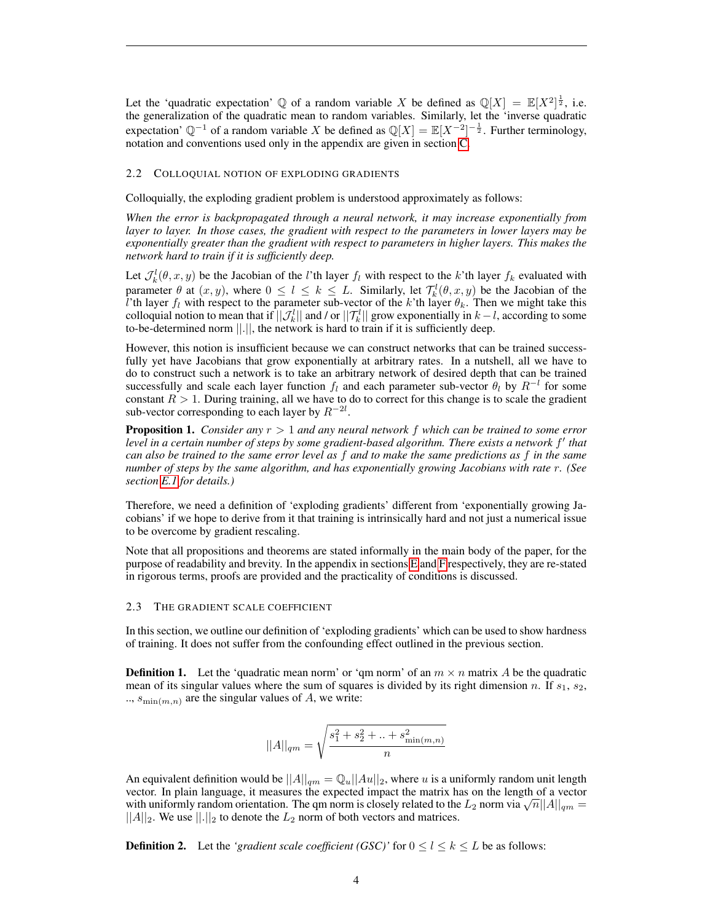Let the 'quadratic expectation' Q of a random variable X be defined as  $\mathbb{Q}[X] = \mathbb{E}[X^2]^{\frac{1}{2}}$ , i.e. the generalization of the quadratic mean to random variables. Similarly, let the 'inverse quadratic expectation'  $\mathbb{Q}^{-1}$  of a random variable X be defined as  $\mathbb{Q}[X] = \mathbb{E}[X^{-2}]^{-\frac{1}{2}}$ . Further terminology, notation and conventions used only in the appendix are given in section [C.](#page-30-0)

#### <span id="page-3-0"></span>2.2 COLLOQUIAL NOTION OF EXPLODING GRADIENTS

Colloquially, the exploding gradient problem is understood approximately as follows:

*When the error is backpropagated through a neural network, it may increase exponentially from layer to layer. In those cases, the gradient with respect to the parameters in lower layers may be exponentially greater than the gradient with respect to parameters in higher layers. This makes the network hard to train if it is sufficiently deep.*

Let  $\mathcal{J}_k^l(\theta, x, y)$  be the Jacobian of the *l*'th layer  $f_l$  with respect to the *k*'th layer  $f_k$  evaluated with parameter  $\theta$  at  $(x, y)$ , where  $0 \leq l \leq k \leq L$ . Similarly, let  $\mathcal{T}_k^l(\theta, x, y)$  be the Jacobian of the l'th layer  $f_l$  with respect to the parameter sub-vector of the k'th layer  $\theta_k$ . Then we might take this colloquial notion to mean that if  $||\mathcal{J}_k^l||$  and / or  $||\mathcal{T}_k^l||$  grow exponentially in  $k-l$ , according to some to-be-determined norm ||.||, the network is hard to train if it is sufficiently deep.

However, this notion is insufficient because we can construct networks that can be trained successfully yet have Jacobians that grow exponentially at arbitrary rates. In a nutshell, all we have to do to construct such a network is to take an arbitrary network of desired depth that can be trained successfully and scale each layer function  $f_l$  and each parameter sub-vector  $\theta_l$  by  $R^{-l}$  for some constant  $R > 1$ . During training, all we have to do to correct for this change is to scale the gradient sub-vector corresponding to each layer by  $R^{-2l}$ .

<span id="page-3-1"></span>Proposition 1. *Consider any* r > 1 *and any neural network* f *which can be trained to some error* level in a certain number of steps by some gradient-based algorithm. There exists a network  $f'$  that *can also be trained to the same error level as* f *and to make the same predictions as* f *in the same number of steps by the same algorithm, and has exponentially growing Jacobians with rate* r*. (See section [E.1](#page-33-0) for details.)*

Therefore, we need a definition of 'exploding gradients' different from 'exponentially growing Jacobians' if we hope to derive from it that training is intrinsically hard and not just a numerical issue to be overcome by gradient rescaling.

Note that all propositions and theorems are stated informally in the main body of the paper, for the purpose of readability and brevity. In the appendix in sections [E](#page-33-1) and [F](#page-45-0) respectively, they are re-stated in rigorous terms, proofs are provided and the practicality of conditions is discussed.

## 2.3 THE GRADIENT SCALE COEFFICIENT

In this section, we outline our definition of 'exploding gradients' which can be used to show hardness of training. It does not suffer from the confounding effect outlined in the previous section.

**Definition 1.** Let the 'quadratic mean norm' or 'qm norm' of an  $m \times n$  matrix A be the quadratic mean of its singular values where the sum of squares is divided by its right dimension n. If  $s_1$ ,  $s_2$ , ..,  $s_{\min(m,n)}$  are the singular values of A, we write:

$$
||A||_{qm} = \sqrt{\frac{s_1^2 + s_2^2 + ... + s_{\min(m,n)}^2}{n}}
$$

An equivalent definition would be  $||A||_{qm} = \mathbb{Q}_u||Au||_2$ , where u is a uniformly random unit length vector. In plain language, it measures the expected impact the matrix has on the length of a vector vector. In plain language, it measures the expected impact the matrix has on the length of a vector with uniformly random orientation. The qm norm is closely related to the  $L_2$  norm via  $\sqrt{n}||A||_{qm} =$  $||A||_2$ . We use  $||.||_2$  to denote the  $L_2$  norm of both vectors and matrices.

**Definition 2.** Let the *'gradient scale coefficient (GSC)'* for  $0 \le l \le k \le L$  be as follows: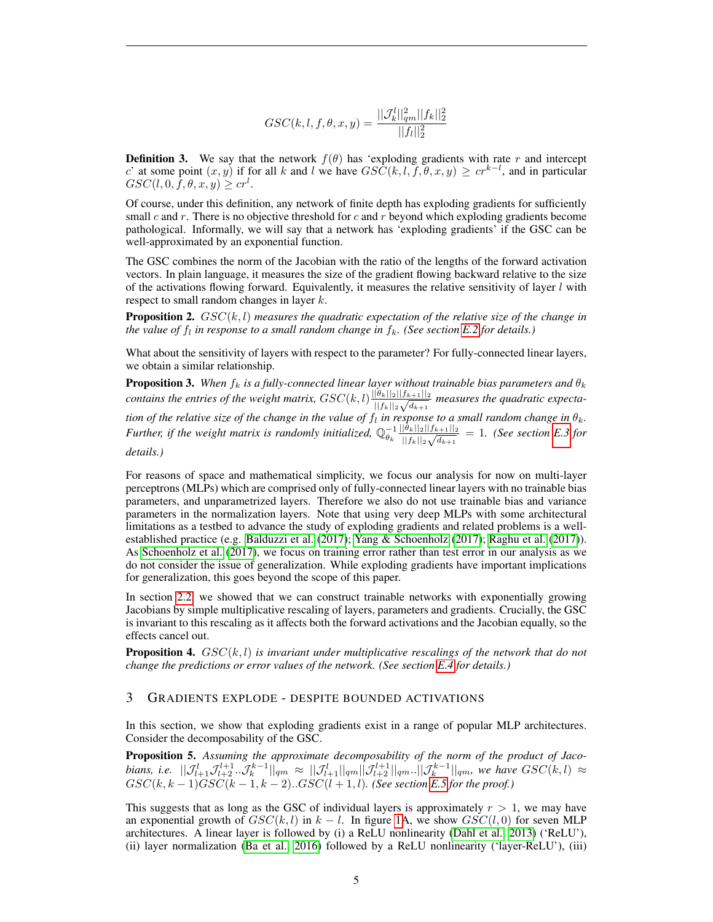$$
GSC(k, l, f, \theta, x, y) = \frac{||\mathcal{J}_{k}^{l}||_{qm}^{2}||f_{k}||_{2}^{2}}{||f_{l}||_{2}^{2}}
$$

**Definition 3.** We say that the network  $f(\theta)$  has 'exploding gradients with rate r and intercept c' at some point  $(x, y)$  if for all k and l we have  $GSC(k, l, f, \theta, x, y) \geq cr^{k-l}$ , and in particular  $GSC(l, 0, \overline{f}, \theta, x, y) \geq cr^l$ .

Of course, under this definition, any network of finite depth has exploding gradients for sufficiently small c and r. There is no objective threshold for c and r beyond which exploding gradients become pathological. Informally, we will say that a network has 'exploding gradients' if the GSC can be well-approximated by an exponential function.

The GSC combines the norm of the Jacobian with the ratio of the lengths of the forward activation vectors. In plain language, it measures the size of the gradient flowing backward relative to the size of the activations flowing forward. Equivalently, it measures the relative sensitivity of layer  $l$  with respect to small random changes in layer k.

<span id="page-4-3"></span>**Proposition 2.**  $GSC(k, l)$  measures the quadratic expectation of the relative size of the change in *the value of*  $f_l$  *in response to a small random change in*  $f_k$ *. (See section [E.2](#page-36-0) for details.)* 

What about the sensitivity of layers with respect to the parameter? For fully-connected linear layers, we obtain a similar relationship.

<span id="page-4-2"></span>**Proposition 3.** When  $f_k$  is a fully-connected linear layer without trainable bias parameters and  $\theta_k$ *contains the entries of the weight matrix,*  $GSC(k, l) \frac{||\theta_k||_2||f_{k+1}||_2}{\sqrt{l+1}}$  $\frac{|\theta_k||2||f_{k+1}||2}{||f_k||_2\sqrt{d_{k+1}}}$  measures the quadratic expecta*tion of the relative size of the change in the value of*  $f_l$  *in response to a small random change in*  $\theta_k$ *. Further, if the weight matrix is randomly initialized,*  $\mathbb{Q}_{\theta_k}^{-1} \frac{||\theta_k||_2||f_{k+1}||_2}{||f_k||_2 \sqrt{d_{k+1}}}$  $\frac{|\theta_k||_2||f_{k+1}||_2}{||f_k||_2\sqrt{d_{k+1}}} = 1$ . (See section [E.3](#page-37-0) for *details.)*

For reasons of space and mathematical simplicity, we focus our analysis for now on multi-layer perceptrons (MLPs) which are comprised only of fully-connected linear layers with no trainable bias parameters, and unparametrized layers. Therefore we also do not use trainable bias and variance parameters in the normalization layers. Note that using very deep MLPs with some architectural limitations as a testbed to advance the study of exploding gradients and related problems is a wellestablished practice (e.g. [Balduzzi et al.](#page-19-6) [\(2017\)](#page-19-6); [Yang & Schoenholz](#page-21-4) [\(2017\)](#page-21-4); [Raghu et al.](#page-21-11) [\(2017\)](#page-21-11)). As [Schoenholz et al.](#page-21-3) [\(2017\)](#page-21-3), we focus on training error rather than test error in our analysis as we do not consider the issue of generalization. While exploding gradients have important implications for generalization, this goes beyond the scope of this paper.

In section [2.2,](#page-3-0) we showed that we can construct trainable networks with exponentially growing Jacobians by simple multiplicative rescaling of layers, parameters and gradients. Crucially, the GSC is invariant to this rescaling as it affects both the forward activations and the Jacobian equally, so the effects cancel out.

<span id="page-4-1"></span>**Proposition 4.**  $GSC(k, l)$  is invariant under multiplicative rescalings of the network that do not *change the predictions or error values of the network. (See section [E.4](#page-39-0) for details.)*

# <span id="page-4-0"></span>3 GRADIENTS EXPLODE - DESPITE BOUNDED ACTIVATIONS

In this section, we show that exploding gradients exist in a range of popular MLP architectures. Consider the decomposability of the GSC.

<span id="page-4-4"></span>Proposition 5. *Assuming the approximate decomposability of the norm of the product of Jaco* $b$ ians, i.e.  $||\mathcal{J}_{l+1}^l \mathcal{J}_{l+2}^{l+1}..\mathcal{J}_{k}^{k-1}||_{qm} \approx ||\mathcal{J}_{l+1}^l||_{qm} ||\mathcal{J}_{l+2}^{l+1}||_{qm} ... ||\mathcal{J}_{k}^{k-1}||_{qm}$ , we have  $GSC(k, l) \approx$  $GSC(k, k-1)GSC(k-1, k-2)...GSC(l+1, l)$ . (See section [E.5](#page-40-0) for the proof.)

This suggests that as long as the GSC of individual layers is approximately  $r > 1$ , we may have an exponential growth of  $GSC(k, l)$  in  $k - l$ . In figure [1A](#page-5-0), we show  $GSC(l, 0)$  for seven MLP architectures. A linear layer is followed by (i) a ReLU nonlinearity [\(Dahl et al., 2013\)](#page-19-9) ('ReLU'), (ii) layer normalization [\(Ba et al., 2016\)](#page-19-3) followed by a ReLU nonlinearity ('layer-ReLU'), (iii)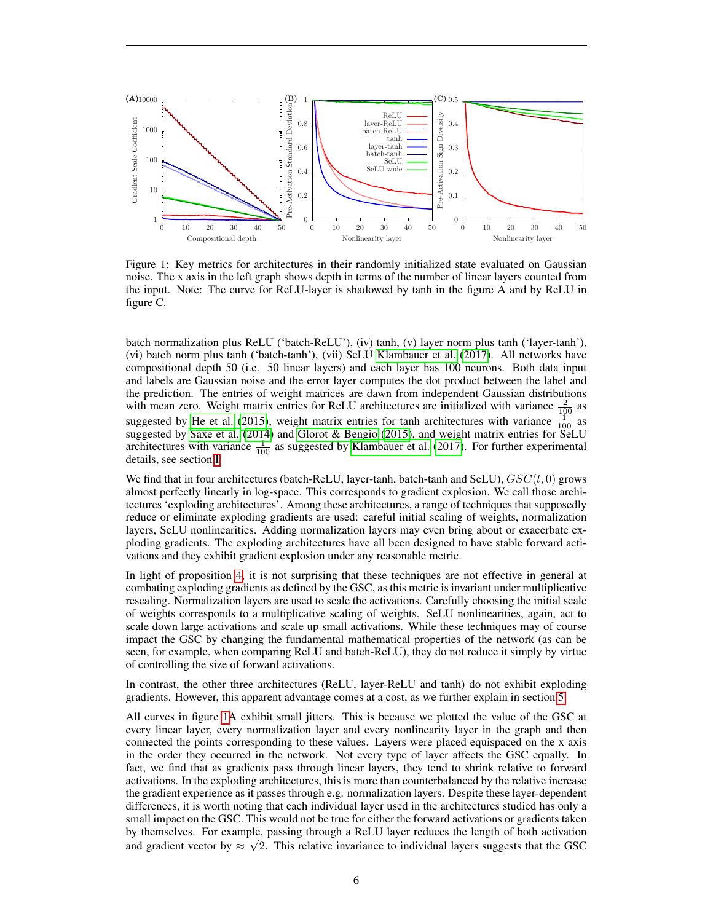

<span id="page-5-0"></span>Figure 1: Key metrics for architectures in their randomly initialized state evaluated on Gaussian noise. The x axis in the left graph shows depth in terms of the number of linear layers counted from the input. Note: The curve for ReLU-layer is shadowed by tanh in the figure A and by ReLU in figure C.

batch normalization plus ReLU ('batch-ReLU'), (iv) tanh, (v) layer norm plus tanh ('layer-tanh'), (vi) batch norm plus tanh ('batch-tanh'), (vii) SeLU [Klambauer et al.](#page-20-8) [\(2017\)](#page-20-8). All networks have compositional depth 50 (i.e. 50 linear layers) and each layer has 100 neurons. Both data input and labels are Gaussian noise and the error layer computes the dot product between the label and the prediction. The entries of weight matrices are dawn from independent Gaussian distributions with mean zero. Weight matrix entries for ReLU architectures are initialized with variance  $\frac{2}{100}$  as suggested by [He et al.](#page-20-6) [\(2015\)](#page-20-6), weight matrix entries for tanh architectures with variance  $\frac{1}{100}$  as suggested by [Saxe et al.](#page-21-8) [\(2014\)](#page-21-8) and [Glorot & Bengio](#page-19-5) [\(2015\)](#page-19-5), and weight matrix entries for SeLU architectures with variance  $\frac{1}{100}$  as suggested by [Klambauer et al.](#page-20-8) [\(2017\)](#page-20-8). For further experimental details, see section [I.](#page-54-0)

We find that in four architectures (batch-ReLU, layer-tanh, batch-tanh and SeLU),  $GSC(l, 0)$  grows almost perfectly linearly in log-space. This corresponds to gradient explosion. We call those architectures 'exploding architectures'. Among these architectures, a range of techniques that supposedly reduce or eliminate exploding gradients are used: careful initial scaling of weights, normalization layers, SeLU nonlinearities. Adding normalization layers may even bring about or exacerbate exploding gradients. The exploding architectures have all been designed to have stable forward activations and they exhibit gradient explosion under any reasonable metric.

In light of proposition [4,](#page-4-1) it is not surprising that these techniques are not effective in general at combating exploding gradients as defined by the GSC, as this metric is invariant under multiplicative rescaling. Normalization layers are used to scale the activations. Carefully choosing the initial scale of weights corresponds to a multiplicative scaling of weights. SeLU nonlinearities, again, act to scale down large activations and scale up small activations. While these techniques may of course impact the GSC by changing the fundamental mathematical properties of the network (as can be seen, for example, when comparing ReLU and batch-ReLU), they do not reduce it simply by virtue of controlling the size of forward activations.

In contrast, the other three architectures (ReLU, layer-ReLU and tanh) do not exhibit exploding gradients. However, this apparent advantage comes at a cost, as we further explain in section [5.](#page-10-0)

All curves in figure [1A](#page-5-0) exhibit small jitters. This is because we plotted the value of the GSC at every linear layer, every normalization layer and every nonlinearity layer in the graph and then connected the points corresponding to these values. Layers were placed equispaced on the x axis in the order they occurred in the network. Not every type of layer affects the GSC equally. In fact, we find that as gradients pass through linear layers, they tend to shrink relative to forward activations. In the exploding architectures, this is more than counterbalanced by the relative increase the gradient experience as it passes through e.g. normalization layers. Despite these layer-dependent differences, it is worth noting that each individual layer used in the architectures studied has only a small impact on the GSC. This would not be true for either the forward activations or gradients taken by themselves. For example, passing through a ReLU layer reduces the length of both activation and gradient vector by  $\approx \sqrt{2}$ . This relative invariance to individual layers suggests that the GSC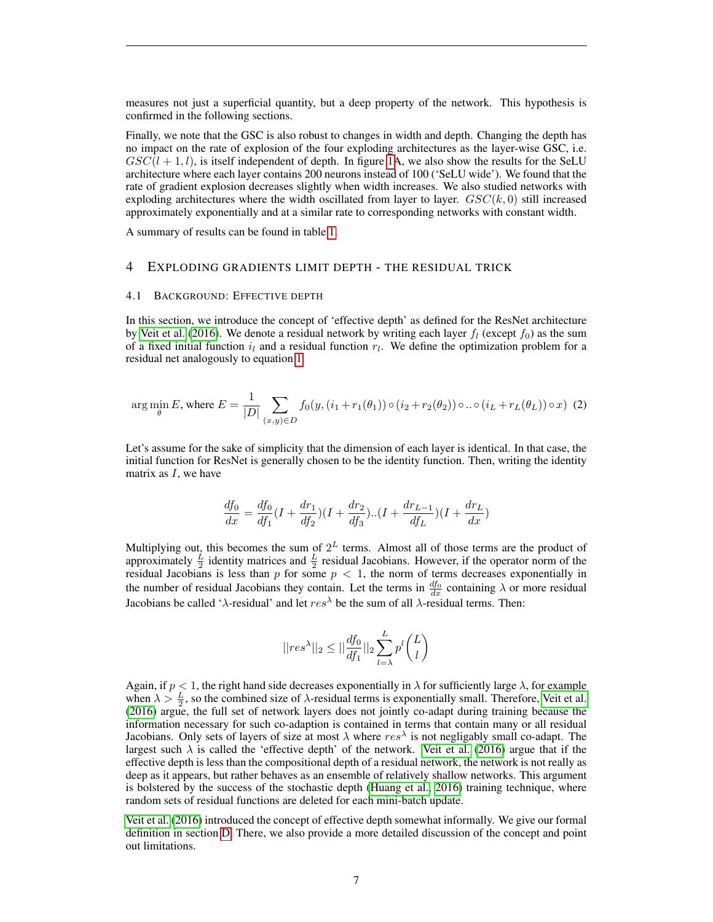measures not just a superficial quantity, but a deep property of the network. This hypothesis is confirmed in the following sections.

Finally, we note that the GSC is also robust to changes in width and depth. Changing the depth has no impact on the rate of explosion of the four exploding architectures as the layer-wise GSC, i.e.  $GSC(l + 1, l)$ , is itself independent of depth. In figure [1A](#page-5-0), we also show the results for the SeLU architecture where each layer contains 200 neurons instead of 100 ('SeLU wide'). We found that the rate of gradient explosion decreases slightly when width increases. We also studied networks with exploding architectures where the width oscillated from layer to layer.  $GSC(k, 0)$  still increased approximately exponentially and at a similar rate to corresponding networks with constant width.

A summary of results can be found in table [1.](#page-17-0)

## <span id="page-6-0"></span>4 EXPLODING GRADIENTS LIMIT DEPTH - THE RESIDUAL TRICK

#### 4.1 BACKGROUND: EFFECTIVE DEPTH

In this section, we introduce the concept of 'effective depth' as defined for the ResNet architecture by [Veit et al.](#page-21-14) [\(2016\)](#page-21-14). We denote a residual network by writing each layer  $f_l$  (except  $f_0$ ) as the sum of a fixed initial function  $i_l$  and a residual function  $r_l$ . We define the optimization problem for a residual net analogously to equation [1.](#page-2-1)

<span id="page-6-1"></span>
$$
\arg\min_{\theta} E, \text{ where } E = \frac{1}{|D|} \sum_{(x,y)\in D} f_0(y, (i_1 + r_1(\theta_1)) \circ (i_2 + r_2(\theta_2)) \circ \dots \circ (i_L + r_L(\theta_L)) \circ x)
$$
 (2)

Let's assume for the sake of simplicity that the dimension of each layer is identical. In that case, the initial function for ResNet is generally chosen to be the identity function. Then, writing the identity matrix as  $I$ , we have

$$
\frac{df_0}{dx} = \frac{df_0}{df_1}(I + \frac{dr_1}{df_2})(I + \frac{dr_2}{df_3})...(I + \frac{dr_{L-1}}{df_L})(I + \frac{dr_L}{dx})
$$

Multiplying out, this becomes the sum of  $2^L$  terms. Almost all of those terms are the product of approximately  $\frac{L}{2}$  identity matrices and  $\frac{L}{2}$  residual Jacobians. However, if the operator norm of the residual Jacobians is less than p for some  $p < 1$ , the norm of terms decreases exponentially in the number of residual Jacobians they contain. Let the terms in  $\frac{df_0}{dx}$  containing  $\lambda$  or more residual Jacobians be called ' $\lambda$ -residual' and let  $res^{\lambda}$  be the sum of all  $\lambda$ -residual terms. Then:

$$
||res^{\lambda}||_2 \le ||\frac{df_0}{df_1}||_2 \sum_{l=\lambda}^{L} p^l \binom{L}{l}
$$

Again, if  $p < 1$ , the right hand side decreases exponentially in  $\lambda$  for sufficiently large  $\lambda$ , for example when  $\lambda > \frac{L}{2}$ , so the combined size of  $\lambda$ -residual terms is exponentially small. Therefore, [Veit et al.](#page-21-14) [\(2016\)](#page-21-14) argue, the full set of network layers does not jointly co-adapt during training because the information necessary for such co-adaption is contained in terms that contain many or all residual Jacobians. Only sets of layers of size at most  $\lambda$  where  $res^{\lambda}$  is not negligably small co-adapt. The largest such  $\lambda$  is called the 'effective depth' of the network. [Veit et al.](#page-21-14) [\(2016\)](#page-21-14) argue that if the effective depth is less than the compositional depth of a residual network, the network is not really as deep as it appears, but rather behaves as an ensemble of relatively shallow networks. This argument is bolstered by the success of the stochastic depth [\(Huang et al., 2016\)](#page-20-13) training technique, where random sets of residual functions are deleted for each mini-batch update.

[Veit et al.](#page-21-14) [\(2016\)](#page-21-14) introduced the concept of effective depth somewhat informally. We give our formal definition in section [D.](#page-30-1) There, we also provide a more detailed discussion of the concept and point out limitations.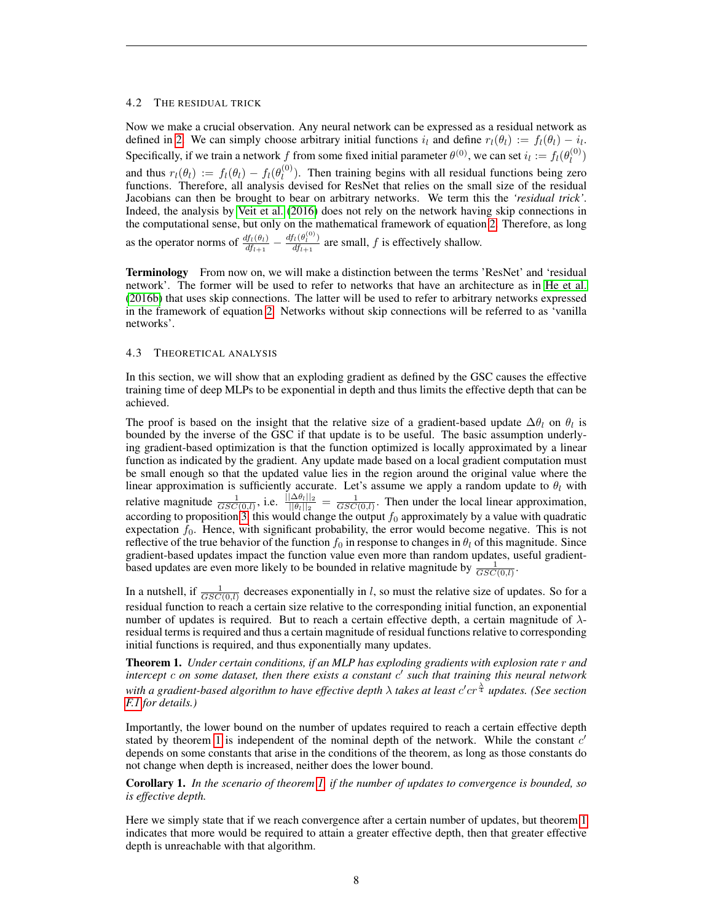## 4.2 THE RESIDUAL TRICK

Now we make a crucial observation. Any neural network can be expressed as a residual network as defined in [2.](#page-6-1) We can simply choose arbitrary initial functions  $i_l$  and define  $r_l(\theta_l) := f_l(\theta_l) - i_l$ . Specifically, if we train a network f from some fixed initial parameter  $\theta^{(0)}$ , we can set  $i_l := f_l(\theta_l^{(0)})$  $\binom{(\mathsf{U})}{l}$ and thus  $r_l(\theta_l) := f_l(\theta_l) - f_l(\theta_l^{(0)})$  $\binom{0}{l}$ . Then training begins with all residual functions being zero functions. Therefore, all analysis devised for ResNet that relies on the small size of the residual Jacobians can then be brought to bear on arbitrary networks. We term this the *'residual trick'*. Indeed, the analysis by [Veit et al.](#page-21-14) [\(2016\)](#page-21-14) does not rely on the network having skip connections in the computational sense, but only on the mathematical framework of equation [2.](#page-6-1) Therefore, as long as the operator norms of  $\frac{df_t(\theta_t)}{dt_{t+1}} - \frac{df_t(\theta_t^{(0)})}{dt_{t+1}}$  $\frac{dI(v_i)}{dt_{i+1}}$  are small, f is effectively shallow.

Terminology From now on, we will make a distinction between the terms 'ResNet' and 'residual network'. The former will be used to refer to networks that have an architecture as in [He et al.](#page-20-7) [\(2016b\)](#page-20-7) that uses skip connections. The latter will be used to refer to arbitrary networks expressed in the framework of equation [2.](#page-6-1) Networks without skip connections will be referred to as 'vanilla networks'.

# <span id="page-7-1"></span>4.3 THEORETICAL ANALYSIS

In this section, we will show that an exploding gradient as defined by the GSC causes the effective training time of deep MLPs to be exponential in depth and thus limits the effective depth that can be achieved.

The proof is based on the insight that the relative size of a gradient-based update  $\Delta\theta_l$  on  $\theta_l$  is bounded by the inverse of the GSC if that update is to be useful. The basic assumption underlying gradient-based optimization is that the function optimized is locally approximated by a linear function as indicated by the gradient. Any update made based on a local gradient computation must be small enough so that the updated value lies in the region around the original value where the linear approximation is sufficiently accurate. Let's assume we apply a random update to  $\theta_l$  with relative magnitude  $\frac{1}{GSC(0,l)}$ , i.e.  $\frac{\|\Delta\theta_l\|_2}{\|\theta_l\|_2} = \frac{1}{GSC(0,l)}$ . Then under the local linear approximation, according to proposition [3,](#page-4-2) this would change the output  $f_0$  approximately by a value with quadratic expectation  $f_0$ . Hence, with significant probability, the error would become negative. This is not reflective of the true behavior of the function  $f_0$  in response to changes in  $\theta_l$  of this magnitude. Since gradient-based updates impact the function value even more than random updates, useful gradientbased updates are even more likely to be bounded in relative magnitude by  $\frac{1}{GSC(0,l)}$ .

In a nutshell, if  $\frac{1}{GSC(0,l)}$  decreases exponentially in l, so must the relative size of updates. So for a residual function to reach a certain size relative to the corresponding initial function, an exponential number of updates is required. But to reach a certain effective depth, a certain magnitude of  $\lambda$ residual terms is required and thus a certain magnitude of residual functions relative to corresponding initial functions is required, and thus exponentially many updates.

<span id="page-7-0"></span>Theorem 1. *Under certain conditions, if an MLP has exploding gradients with explosion rate* r *and intercept* c *on some dataset, then there exists a constant* c 0 *such that training this neural network* with a gradient-based algorithm to have effective depth λ takes at least c<sup>1</sup>cr  $^{\frac{\lambda}{4}}$  updates. (See section *[F.1](#page-45-1) for details.)*

Importantly, the lower bound on the number of updates required to reach a certain effective depth stated by theorem [1](#page-7-0) is independent of the nominal depth of the network. While the constant  $c'$ depends on some constants that arise in the conditions of the theorem, as long as those constants do not change when depth is increased, neither does the lower bound.

Corollary 1. *In the scenario of theorem [1,](#page-7-0) if the number of updates to convergence is bounded, so is effective depth.*

Here we simply state that if we reach convergence after a certain number of updates, but theorem [1](#page-7-0) indicates that more would be required to attain a greater effective depth, then that greater effective depth is unreachable with that algorithm.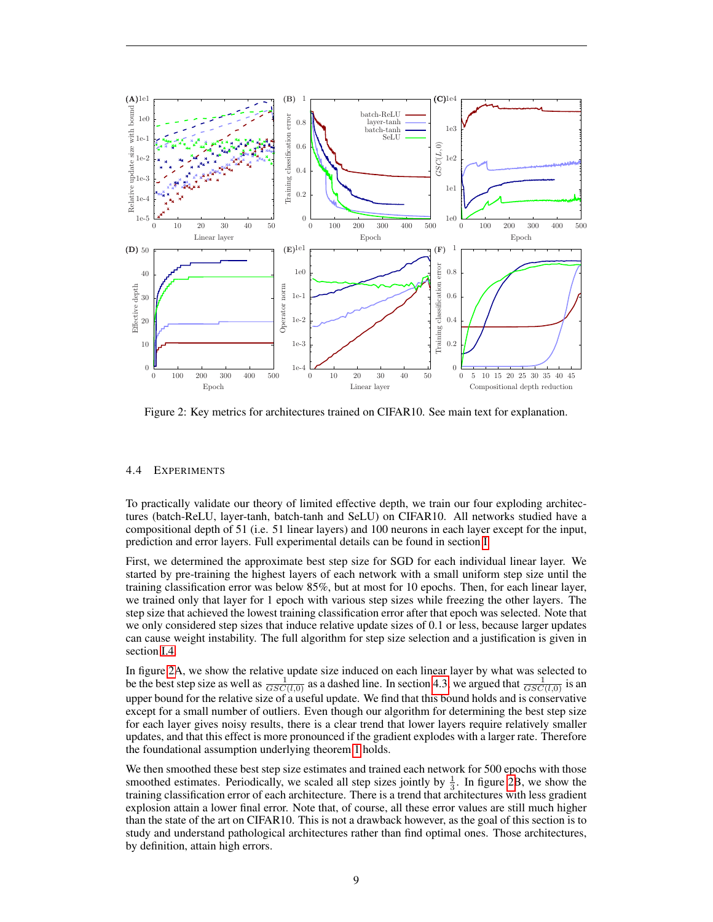

<span id="page-8-0"></span>Figure 2: Key metrics for architectures trained on CIFAR10. See main text for explanation.

# <span id="page-8-1"></span>4.4 EXPERIMENTS

To practically validate our theory of limited effective depth, we train our four exploding architectures (batch-ReLU, layer-tanh, batch-tanh and SeLU) on CIFAR10. All networks studied have a compositional depth of 51 (i.e. 51 linear layers) and 100 neurons in each layer except for the input, prediction and error layers. Full experimental details can be found in section [I.](#page-54-0)

First, we determined the approximate best step size for SGD for each individual linear layer. We started by pre-training the highest layers of each network with a small uniform step size until the training classification error was below 85%, but at most for 10 epochs. Then, for each linear layer, we trained only that layer for 1 epoch with various step sizes while freezing the other layers. The step size that achieved the lowest training classification error after that epoch was selected. Note that we only considered step sizes that induce relative update sizes of 0.1 or less, because larger updates can cause weight instability. The full algorithm for step size selection and a justification is given in section [I.4.](#page-56-0)

In figure [2A](#page-8-0), we show the relative update size induced on each linear layer by what was selected to be the best step size as well as  $\frac{1}{GSC(l,0)}$  as a dashed line. In section [4.3,](#page-7-1) we argued that  $\frac{1}{GSC(l,0)}$  is an upper bound for the relative size of a useful update. We find that this bound holds and is conservative except for a small number of outliers. Even though our algorithm for determining the best step size for each layer gives noisy results, there is a clear trend that lower layers require relatively smaller updates, and that this effect is more pronounced if the gradient explodes with a larger rate. Therefore the foundational assumption underlying theorem [1](#page-7-0) holds.

We then smoothed these best step size estimates and trained each network for 500 epochs with those smoothed estimates. Periodically, we scaled all step sizes jointly by  $\frac{1}{3}$ . In figure [2B](#page-8-0), we show the training classification error of each architecture. There is a trend that architectures with less gradient explosion attain a lower final error. Note that, of course, all these error values are still much higher than the state of the art on CIFAR10. This is not a drawback however, as the goal of this section is to study and understand pathological architectures rather than find optimal ones. Those architectures, by definition, attain high errors.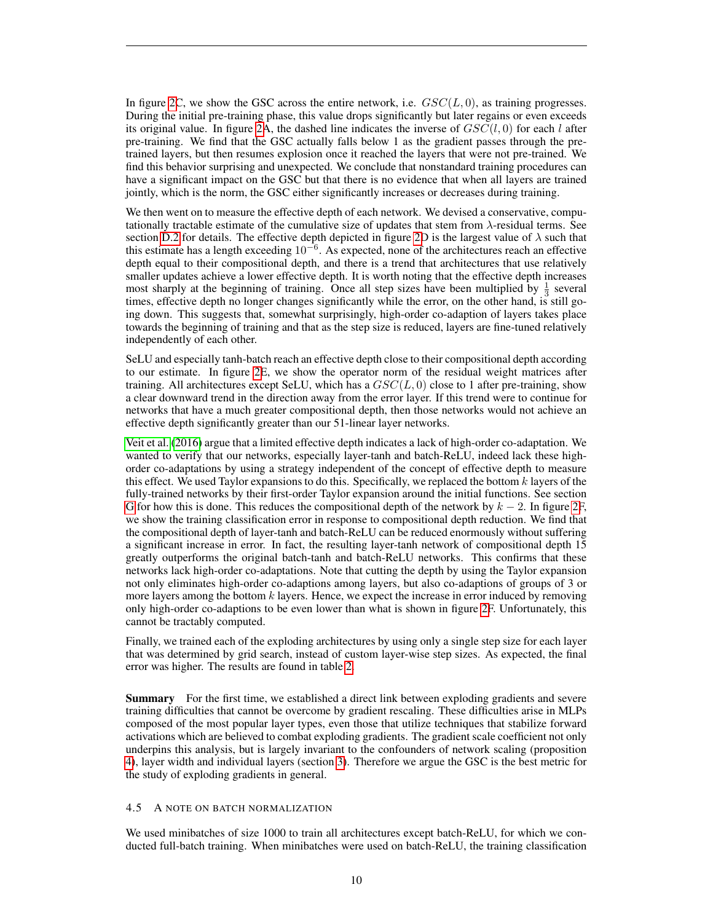In figure [2C](#page-8-0), we show the GSC across the entire network, i.e.  $GSC(L, 0)$ , as training progresses. During the initial pre-training phase, this value drops significantly but later regains or even exceeds its original value. In figure [2A](#page-8-0), the dashed line indicates the inverse of  $GSC(l, 0)$  for each l after pre-training. We find that the GSC actually falls below 1 as the gradient passes through the pretrained layers, but then resumes explosion once it reached the layers that were not pre-trained. We find this behavior surprising and unexpected. We conclude that nonstandard training procedures can have a significant impact on the GSC but that there is no evidence that when all layers are trained jointly, which is the norm, the GSC either significantly increases or decreases during training.

We then went on to measure the effective depth of each network. We devised a conservative, computationally tractable estimate of the cumulative size of updates that stem from  $\lambda$ -residual terms. See section [D.2](#page-31-0) for details. The effective depth depicted in figure [2D](#page-8-0) is the largest value of  $\lambda$  such that this estimate has a length exceeding  $10^{-6}$ . As expected, none of the architectures reach an effective depth equal to their compositional depth, and there is a trend that architectures that use relatively smaller updates achieve a lower effective depth. It is worth noting that the effective depth increases most sharply at the beginning of training. Once all step sizes have been multiplied by  $\frac{1}{3}$  several times, effective depth no longer changes significantly while the error, on the other hand, is still going down. This suggests that, somewhat surprisingly, high-order co-adaption of layers takes place towards the beginning of training and that as the step size is reduced, layers are fine-tuned relatively independently of each other.

SeLU and especially tanh-batch reach an effective depth close to their compositional depth according to our estimate. In figure [2E](#page-8-0), we show the operator norm of the residual weight matrices after training. All architectures except SeLU, which has a  $GSC(L, 0)$  close to 1 after pre-training, show a clear downward trend in the direction away from the error layer. If this trend were to continue for networks that have a much greater compositional depth, then those networks would not achieve an effective depth significantly greater than our 51-linear layer networks.

[Veit et al.](#page-21-14) [\(2016\)](#page-21-14) argue that a limited effective depth indicates a lack of high-order co-adaptation. We wanted to verify that our networks, especially layer-tanh and batch-ReLU, indeed lack these highorder co-adaptations by using a strategy independent of the concept of effective depth to measure this effect. We used Taylor expansions to do this. Specifically, we replaced the bottom  $k$  layers of the fully-trained networks by their first-order Taylor expansion around the initial functions. See section [G](#page-53-0) for how this is done. This reduces the compositional depth of the network by  $k - 2$ . In figure [2F](#page-8-0), we show the training classification error in response to compositional depth reduction. We find that the compositional depth of layer-tanh and batch-ReLU can be reduced enormously without suffering a significant increase in error. In fact, the resulting layer-tanh network of compositional depth 15 greatly outperforms the original batch-tanh and batch-ReLU networks. This confirms that these networks lack high-order co-adaptations. Note that cutting the depth by using the Taylor expansion not only eliminates high-order co-adaptions among layers, but also co-adaptions of groups of 3 or more layers among the bottom  $k$  layers. Hence, we expect the increase in error induced by removing only high-order co-adaptions to be even lower than what is shown in figure [2F](#page-8-0). Unfortunately, this cannot be tractably computed.

Finally, we trained each of the exploding architectures by using only a single step size for each layer that was determined by grid search, instead of custom layer-wise step sizes. As expected, the final error was higher. The results are found in table [2.](#page-18-0)

Summary For the first time, we established a direct link between exploding gradients and severe training difficulties that cannot be overcome by gradient rescaling. These difficulties arise in MLPs composed of the most popular layer types, even those that utilize techniques that stabilize forward activations which are believed to combat exploding gradients. The gradient scale coefficient not only underpins this analysis, but is largely invariant to the confounders of network scaling (proposition [4\)](#page-4-1), layer width and individual layers (section [3\)](#page-4-0). Therefore we argue the GSC is the best metric for the study of exploding gradients in general.

#### <span id="page-9-0"></span>4.5 A NOTE ON BATCH NORMALIZATION

We used minibatches of size 1000 to train all architectures except batch-ReLU, for which we conducted full-batch training. When minibatches were used on batch-ReLU, the training classification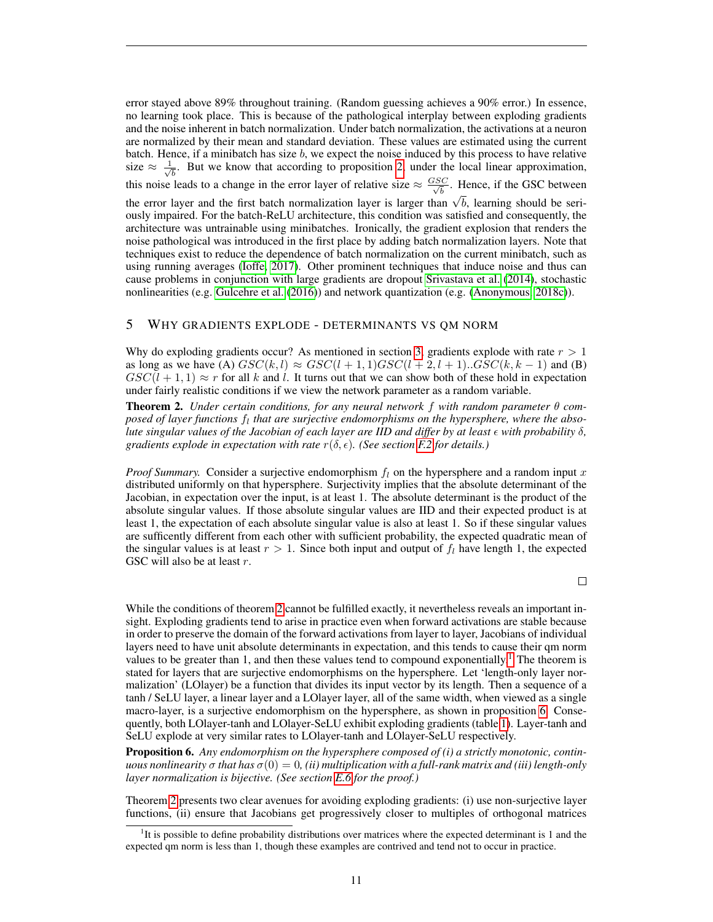error stayed above 89% throughout training. (Random guessing achieves a 90% error.) In essence, no learning took place. This is because of the pathological interplay between exploding gradients and the noise inherent in batch normalization. Under batch normalization, the activations at a neuron are normalized by their mean and standard deviation. These values are estimated using the current batch. Hence, if a minibatch has size b, we expect the noise induced by this process to have relative size  $\approx \frac{1}{\sqrt{2}}$  $\overline{b}$ . But we know that according to proposition [2,](#page-4-3) under the local linear approximation, this noise leads to a change in the error layer of relative size  $\approx \frac{GSC}{\sqrt{b}}$ . Hence, if the GSC between

the error layer and the first batch normalization layer is larger than  $\sqrt{b}$ , learning should be seri-<br>the error layer and the first batch normalization layer is larger than  $\sqrt{b}$ , learning should be seriously impaired. For the batch-ReLU architecture, this condition was satisfied and consequently, the architecture was untrainable using minibatches. Ironically, the gradient explosion that renders the noise pathological was introduced in the first place by adding batch normalization layers. Note that techniques exist to reduce the dependence of batch normalization on the current minibatch, such as using running averages [\(Ioffe, 2017\)](#page-20-14). Other prominent techniques that induce noise and thus can cause problems in conjunction with large gradients are dropout [Srivastava et al.](#page-21-15) [\(2014\)](#page-21-15), stochastic nonlinearities (e.g. [Gulcehre et al.](#page-19-10) [\(2016\)](#page-19-10)) and network quantization (e.g. [\(Anonymous, 2018c\)](#page-19-11)).

# <span id="page-10-0"></span>5 WHY GRADIENTS EXPLODE - DETERMINANTS VS QM NORM

Why do exploding gradients occur? As mentioned in section [3,](#page-4-0) gradients explode with rate  $r > 1$ as long as we have (A)  $GSC(k, l) \approx GSC(l + 1, 1) GSC(l + 2, l + 1)$ ... $GSC(k, k - 1)$  and (B)  $GSC(l + 1, 1) \approx r$  for all k and l. It turns out that we can show both of these hold in expectation under fairly realistic conditions if we view the network parameter as a random variable.

<span id="page-10-1"></span>Theorem 2. *Under certain conditions, for any neural network* f *with random parameter* θ *com*posed of layer functions  $f_l$  that are surjective endomorphisms on the hypersphere, where the abso*lute singular values of the Jacobian of each layer are IID and differ by at least with probability* δ*, gradients explode in expectation with rate*  $r(\delta, \epsilon)$ *. (See section [F.2](#page-48-0) for details.)* 

*Proof Summary.* Consider a surjective endomorphism  $f_l$  on the hypersphere and a random input x distributed uniformly on that hypersphere. Surjectivity implies that the absolute determinant of the Jacobian, in expectation over the input, is at least 1. The absolute determinant is the product of the absolute singular values. If those absolute singular values are IID and their expected product is at least 1, the expectation of each absolute singular value is also at least 1. So if these singular values are sufficently different from each other with sufficient probability, the expected quadratic mean of the singular values is at least  $r > 1$ . Since both input and output of  $f_l$  have length 1, the expected GSC will also be at least r.

 $\Box$ 

While the conditions of theorem [2](#page-10-1) cannot be fulfilled exactly, it nevertheless reveals an important insight. Exploding gradients tend to arise in practice even when forward activations are stable because in order to preserve the domain of the forward activations from layer to layer, Jacobians of individual layers need to have unit absolute determinants in expectation, and this tends to cause their qm norm values to be greater than [1](#page-10-2), and then these values tend to compound exponentially.<sup>1</sup> The theorem is stated for layers that are surjective endomorphisms on the hypersphere. Let 'length-only layer normalization' (LOlayer) be a function that divides its input vector by its length. Then a sequence of a tanh / SeLU layer, a linear layer and a LOlayer layer, all of the same width, when viewed as a single macro-layer, is a surjective endomorphism on the hypersphere, as shown in proposition [6.](#page-10-3) Consequently, both LOlayer-tanh and LOlayer-SeLU exhibit exploding gradients (table [1\)](#page-17-0). Layer-tanh and SeLU explode at very similar rates to LOlayer-tanh and LOlayer-SeLU respectively.

<span id="page-10-3"></span>Proposition 6. *Any endomorphism on the hypersphere composed of (i) a strictly monotonic, continuous nonlinearity*  $\sigma$  *that has*  $\sigma(0) = 0$ , *(ii) multiplication with a full-rank matrix and (iii) length-only layer normalization is bijective. (See section [E.6](#page-40-1) for the proof.)*

Theorem [2](#page-10-1) presents two clear avenues for avoiding exploding gradients: (i) use non-surjective layer functions, (ii) ensure that Jacobians get progressively closer to multiples of orthogonal matrices

<span id="page-10-2"></span><sup>&</sup>lt;sup>1</sup>It is possible to define probability distributions over matrices where the expected determinant is 1 and the expected qm norm is less than 1, though these examples are contrived and tend not to occur in practice.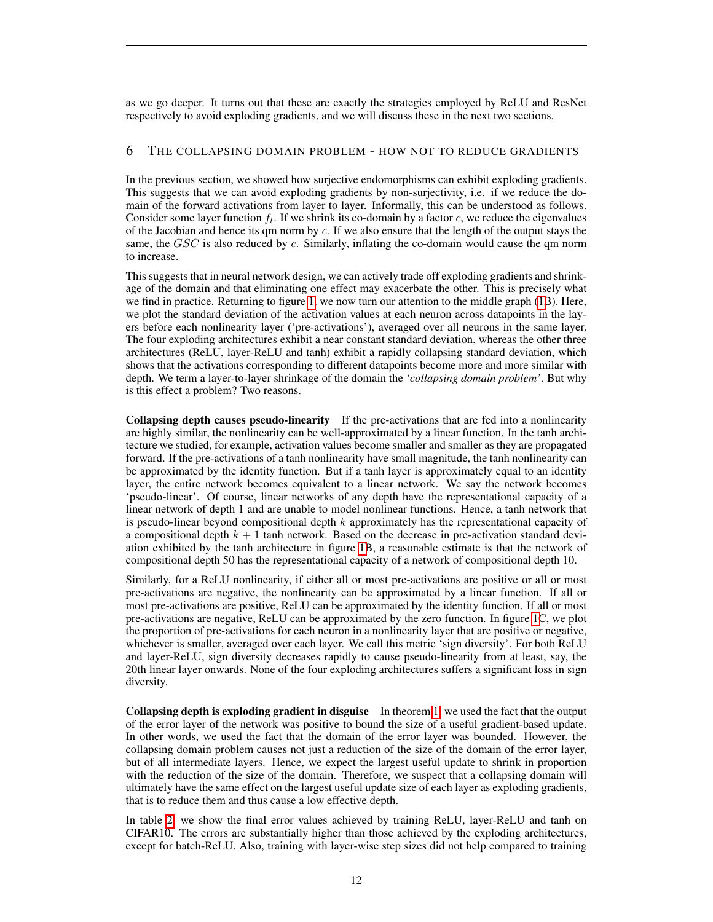as we go deeper. It turns out that these are exactly the strategies employed by ReLU and ResNet respectively to avoid exploding gradients, and we will discuss these in the next two sections.

# <span id="page-11-0"></span>6 THE COLLAPSING DOMAIN PROBLEM - HOW NOT TO REDUCE GRADIENTS

In the previous section, we showed how surjective endomorphisms can exhibit exploding gradients. This suggests that we can avoid exploding gradients by non-surjectivity, i.e. if we reduce the domain of the forward activations from layer to layer. Informally, this can be understood as follows. Consider some layer function  $f_l$ . If we shrink its co-domain by a factor c, we reduce the eigenvalues of the Jacobian and hence its qm norm by  $c$ . If we also ensure that the length of the output stays the same, the  $GSC$  is also reduced by  $c$ . Similarly, inflating the co-domain would cause the qm norm to increase.

This suggests that in neural network design, we can actively trade off exploding gradients and shrinkage of the domain and that eliminating one effect may exacerbate the other. This is precisely what we find in practice. Returning to figure [1,](#page-5-0) we now turn our attention to the middle graph [\(1B](#page-5-0)). Here, we plot the standard deviation of the activation values at each neuron across datapoints in the layers before each nonlinearity layer ('pre-activations'), averaged over all neurons in the same layer. The four exploding architectures exhibit a near constant standard deviation, whereas the other three architectures (ReLU, layer-ReLU and tanh) exhibit a rapidly collapsing standard deviation, which shows that the activations corresponding to different datapoints become more and more similar with depth. We term a layer-to-layer shrinkage of the domain the *'collapsing domain problem'*. But why is this effect a problem? Two reasons.

Collapsing depth causes pseudo-linearity If the pre-activations that are fed into a nonlinearity are highly similar, the nonlinearity can be well-approximated by a linear function. In the tanh architecture we studied, for example, activation values become smaller and smaller as they are propagated forward. If the pre-activations of a tanh nonlinearity have small magnitude, the tanh nonlinearity can be approximated by the identity function. But if a tanh layer is approximately equal to an identity layer, the entire network becomes equivalent to a linear network. We say the network becomes 'pseudo-linear'. Of course, linear networks of any depth have the representational capacity of a linear network of depth 1 and are unable to model nonlinear functions. Hence, a tanh network that is pseudo-linear beyond compositional depth  $k$  approximately has the representational capacity of a compositional depth  $k + 1$  tanh network. Based on the decrease in pre-activation standard deviation exhibited by the tanh architecture in figure [1B](#page-5-0), a reasonable estimate is that the network of compositional depth 50 has the representational capacity of a network of compositional depth 10.

Similarly, for a ReLU nonlinearity, if either all or most pre-activations are positive or all or most pre-activations are negative, the nonlinearity can be approximated by a linear function. If all or most pre-activations are positive, ReLU can be approximated by the identity function. If all or most pre-activations are negative, ReLU can be approximated by the zero function. In figure [1C](#page-5-0), we plot the proportion of pre-activations for each neuron in a nonlinearity layer that are positive or negative, whichever is smaller, averaged over each layer. We call this metric 'sign diversity'. For both ReLU and layer-ReLU, sign diversity decreases rapidly to cause pseudo-linearity from at least, say, the 20th linear layer onwards. None of the four exploding architectures suffers a significant loss in sign diversity.

Collapsing depth is exploding gradient in disguise In theorem [1,](#page-7-0) we used the fact that the output of the error layer of the network was positive to bound the size of a useful gradient-based update. In other words, we used the fact that the domain of the error layer was bounded. However, the collapsing domain problem causes not just a reduction of the size of the domain of the error layer, but of all intermediate layers. Hence, we expect the largest useful update to shrink in proportion with the reduction of the size of the domain. Therefore, we suspect that a collapsing domain will ultimately have the same effect on the largest useful update size of each layer as exploding gradients, that is to reduce them and thus cause a low effective depth.

In table [2,](#page-18-0) we show the final error values achieved by training ReLU, layer-ReLU and tanh on CIFAR10. The errors are substantially higher than those achieved by the exploding architectures, except for batch-ReLU. Also, training with layer-wise step sizes did not help compared to training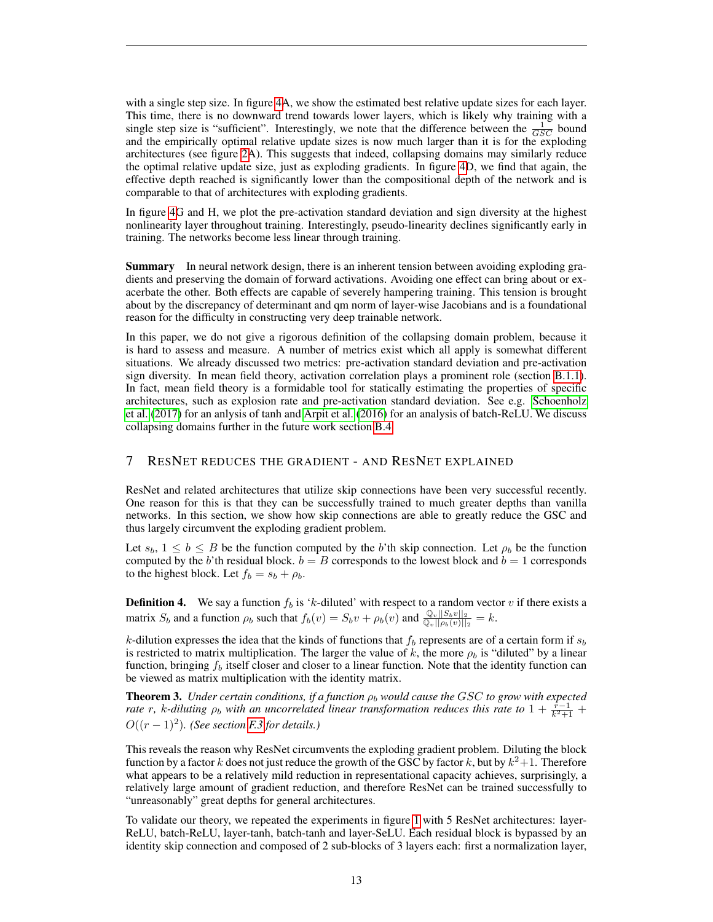with a single step size. In figure [4A](#page-22-0), we show the estimated best relative update sizes for each layer. This time, there is no downward trend towards lower layers, which is likely why training with a single step size is "sufficient". Interestingly, we note that the difference between the  $\frac{1}{GSC}$  bound and the empirically optimal relative update sizes is now much larger than it is for the exploding architectures (see figure [2A](#page-8-0)). This suggests that indeed, collapsing domains may similarly reduce the optimal relative update size, just as exploding gradients. In figure [4D](#page-22-0), we find that again, the effective depth reached is significantly lower than the compositional depth of the network and is comparable to that of architectures with exploding gradients.

In figure [4G](#page-22-0) and H, we plot the pre-activation standard deviation and sign diversity at the highest nonlinearity layer throughout training. Interestingly, pseudo-linearity declines significantly early in training. The networks become less linear through training.

**Summary** In neural network design, there is an inherent tension between avoiding exploding gradients and preserving the domain of forward activations. Avoiding one effect can bring about or exacerbate the other. Both effects are capable of severely hampering training. This tension is brought about by the discrepancy of determinant and qm norm of layer-wise Jacobians and is a foundational reason for the difficulty in constructing very deep trainable network.

In this paper, we do not give a rigorous definition of the collapsing domain problem, because it is hard to assess and measure. A number of metrics exist which all apply is somewhat different situations. We already discussed two metrics: pre-activation standard deviation and pre-activation sign diversity. In mean field theory, activation correlation plays a prominent role (section [B.1.1\)](#page-25-2). In fact, mean field theory is a formidable tool for statically estimating the properties of specific architectures, such as explosion rate and pre-activation standard deviation. See e.g. [Schoenholz](#page-21-3) [et al.](#page-21-3) [\(2017\)](#page-21-3) for an anlysis of tanh and [Arpit et al.](#page-19-12) [\(2016\)](#page-19-12) for an analysis of batch-ReLU. We discuss collapsing domains further in the future work section [B.4.](#page-28-2)

# <span id="page-12-0"></span>7 RESNET REDUCES THE GRADIENT - AND RESNET EXPLAINED

ResNet and related architectures that utilize skip connections have been very successful recently. One reason for this is that they can be successfully trained to much greater depths than vanilla networks. In this section, we show how skip connections are able to greatly reduce the GSC and thus largely circumvent the exploding gradient problem.

Let  $s_b$ ,  $1 \leq b \leq B$  be the function computed by the b'th skip connection. Let  $\rho_b$  be the function computed by the b'th residual block.  $b = B$  corresponds to the lowest block and  $b = 1$  corresponds to the highest block. Let  $f_b = s_b + \rho_b$ .

**Definition 4.** We say a function  $f_b$  is 'k-diluted' with respect to a random vector v if there exists a matrix  $S_b$  and a function  $\rho_b$  such that  $f_b(v) = S_b v + \rho_b(v)$  and  $\frac{\mathbb{Q}_v ||S_b v||_2}{\mathbb{Q}_v ||\rho_b(v)||_2} = k$ .

k-dilution expresses the idea that the kinds of functions that  $f_b$  represents are of a certain form if  $s_b$ is restricted to matrix multiplication. The larger the value of k, the more  $\rho_b$  is "diluted" by a linear function, bringing  $f_b$  itself closer and closer to a linear function. Note that the identity function can be viewed as matrix multiplication with the identity matrix.

<span id="page-12-1"></span>**Theorem 3.** Under certain conditions, if a function  $\rho_b$  would cause the GSC to grow with expected *rate* r, k-diluting  $\rho_b$  *with an uncorrelated linear transformation reduces this rate to*  $1 + \frac{\hat{r}-1}{k^2+1}$  +  $O((r-1)^2)$ . (See section *F.3* for details.)

This reveals the reason why ResNet circumvents the exploding gradient problem. Diluting the block function by a factor k does not just reduce the growth of the GSC by factor k, but by  $k^2+1$ . Therefore what appears to be a relatively mild reduction in representational capacity achieves, surprisingly, a relatively large amount of gradient reduction, and therefore ResNet can be trained successfully to "unreasonably" great depths for general architectures.

To validate our theory, we repeated the experiments in figure [1](#page-5-0) with 5 ResNet architectures: layer-ReLU, batch-ReLU, layer-tanh, batch-tanh and layer-SeLU. Each residual block is bypassed by an identity skip connection and composed of 2 sub-blocks of 3 layers each: first a normalization layer,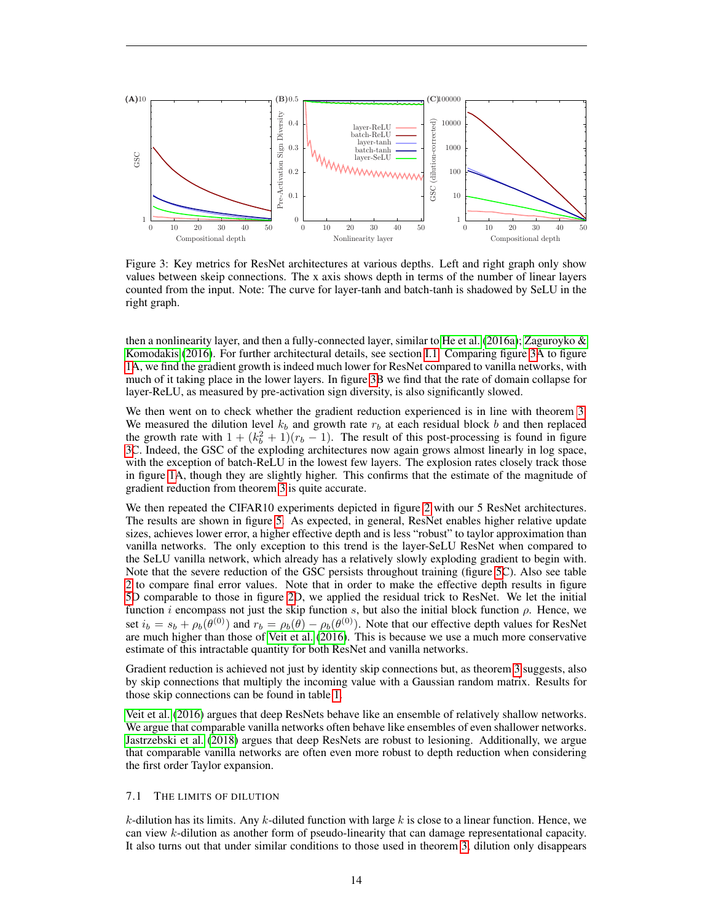

<span id="page-13-0"></span>Figure 3: Key metrics for ResNet architectures at various depths. Left and right graph only show values between skeip connections. The x axis shows depth in terms of the number of linear layers counted from the input. Note: The curve for layer-tanh and batch-tanh is shadowed by SeLU in the right graph.

then a nonlinearity layer, and then a fully-connected layer, similar to [He et al.](#page-20-15) [\(2016a\)](#page-20-15); Zaguroyko  $\&$ [Komodakis](#page-21-16) [\(2016\)](#page-21-16). For further architectural details, see section [I.1.](#page-54-1) Comparing figure [3A](#page-13-0) to figure [1A](#page-5-0), we find the gradient growth is indeed much lower for ResNet compared to vanilla networks, with much of it taking place in the lower layers. In figure [3B](#page-13-0) we find that the rate of domain collapse for layer-ReLU, as measured by pre-activation sign diversity, is also significantly slowed.

We then went on to check whether the gradient reduction experienced is in line with theorem [3.](#page-12-1) We measured the dilution level  $k_b$  and growth rate  $r_b$  at each residual block b and then replaced the growth rate with  $1 + (k_b^2 + 1)(r_b - 1)$ . The result of this post-processing is found in figure [3C](#page-13-0). Indeed, the GSC of the exploding architectures now again grows almost linearly in log space, with the exception of batch-ReLU in the lowest few layers. The explosion rates closely track those in figure [1A](#page-5-0), though they are slightly higher. This confirms that the estimate of the magnitude of gradient reduction from theorem [3](#page-12-1) is quite accurate.

We then repeated the CIFAR10 experiments depicted in figure [2](#page-8-0) with our 5 ResNet architectures. The results are shown in figure [5.](#page-23-0) As expected, in general, ResNet enables higher relative update sizes, achieves lower error, a higher effective depth and is less "robust" to taylor approximation than vanilla networks. The only exception to this trend is the layer-SeLU ResNet when compared to the SeLU vanilla network, which already has a relatively slowly exploding gradient to begin with. Note that the severe reduction of the GSC persists throughout training (figure [5C](#page-23-0)). Also see table [2](#page-18-0) to compare final error values. Note that in order to make the effective depth results in figure [5D](#page-23-0) comparable to those in figure [2D](#page-8-0), we applied the residual trick to ResNet. We let the initial function i encompass not just the skip function s, but also the initial block function  $\rho$ . Hence, we set  $i_b = s_b + \rho_b(\theta^{(0)})$  and  $r_b = \rho_b(\theta) - \rho_b(\theta^{(0)})$ . Note that our effective depth values for ResNet are much higher than those of [Veit et al.](#page-21-14) [\(2016\)](#page-21-14). This is because we use a much more conservative estimate of this intractable quantity for both ResNet and vanilla networks.

Gradient reduction is achieved not just by identity skip connections but, as theorem [3](#page-12-1) suggests, also by skip connections that multiply the incoming value with a Gaussian random matrix. Results for those skip connections can be found in table [1.](#page-17-0)

[Veit et al.](#page-21-14) [\(2016\)](#page-21-14) argues that deep ResNets behave like an ensemble of relatively shallow networks. We argue that comparable vanilla networks often behave like ensembles of even shallower networks. [Jastrzebski et al.](#page-20-16) [\(2018\)](#page-20-16) argues that deep ResNets are robust to lesioning. Additionally, we argue that comparable vanilla networks are often even more robust to depth reduction when considering the first order Taylor expansion.

#### 7.1 THE LIMITS OF DILUTION

k-dilution has its limits. Any k-diluted function with large  $k$  is close to a linear function. Hence, we can view k-dilution as another form of pseudo-linearity that can damage representational capacity. It also turns out that under similar conditions to those used in theorem [3,](#page-12-1) dilution only disappears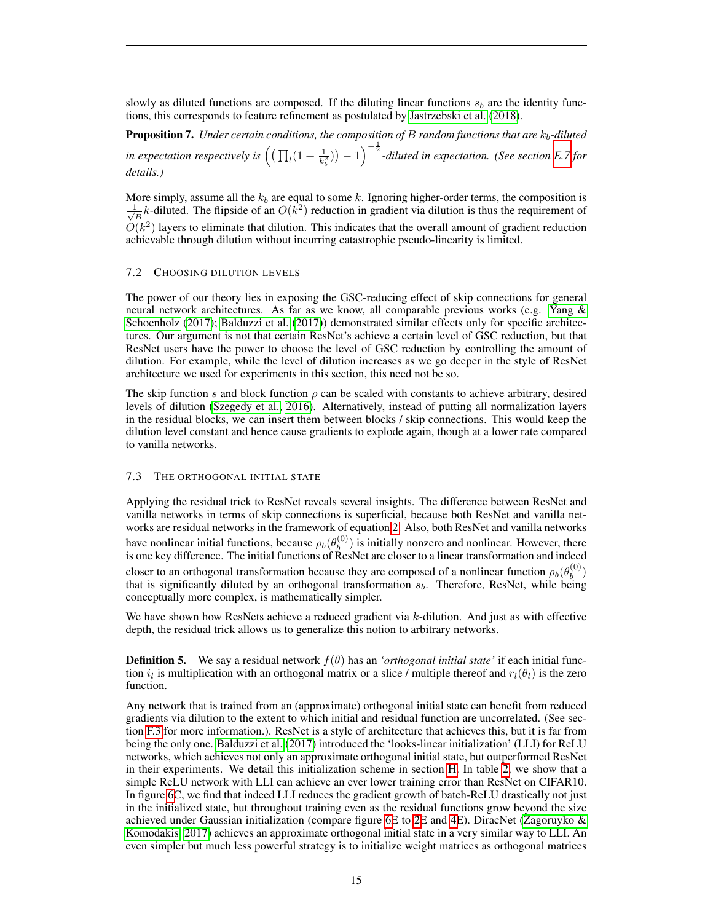slowly as diluted functions are composed. If the diluting linear functions  $s_b$  are the identity functions, this corresponds to feature refinement as postulated by [Jastrzebski et al.](#page-20-16) [\(2018\)](#page-20-16).

<span id="page-14-0"></span>**Proposition 7.** *Under certain conditions, the composition of B random functions that are*  $k_b$ -diluted in expectation respectively is  $\left( (\prod_l (1+\frac{1}{k_b^2})) -1 \right)^{-\frac{1}{2}}$ -diluted in expectation. (See section [E.7](#page-42-0) for *details.)*

More simply, assume all the  $k_b$  are equal to some k. Ignoring higher-order terms, the composition is  $\frac{1}{2}$  $\frac{1}{B}k$ -diluted. The flipside of an  $O(k^2)$  reduction in gradient via dilution is thus the requirement of  $O(k^2)$  layers to eliminate that dilution. This indicates that the overall amount of gradient reduction achievable through dilution without incurring catastrophic pseudo-linearity is limited.

# 7.2 CHOOSING DILUTION LEVELS

The power of our theory lies in exposing the GSC-reducing effect of skip connections for general neural network architectures. As far as we know, all comparable previous works (e.g. [Yang &](#page-21-4) [Schoenholz](#page-21-4) [\(2017\)](#page-21-4); [Balduzzi et al.](#page-19-6) [\(2017\)](#page-19-6)) demonstrated similar effects only for specific architectures. Our argument is not that certain ResNet's achieve a certain level of GSC reduction, but that ResNet users have the power to choose the level of GSC reduction by controlling the amount of dilution. For example, while the level of dilution increases as we go deeper in the style of ResNet architecture we used for experiments in this section, this need not be so.

The skip function s and block function  $\rho$  can be scaled with constants to achieve arbitrary, desired levels of dilution [\(Szegedy et al., 2016\)](#page-21-10). Alternatively, instead of putting all normalization layers in the residual blocks, we can insert them between blocks / skip connections. This would keep the dilution level constant and hence cause gradients to explode again, though at a lower rate compared to vanilla networks.

#### 7.3 THE ORTHOGONAL INITIAL STATE

Applying the residual trick to ResNet reveals several insights. The difference between ResNet and vanilla networks in terms of skip connections is superficial, because both ResNet and vanilla networks are residual networks in the framework of equation [2.](#page-6-1) Also, both ResNet and vanilla networks have nonlinear initial functions, because  $\rho_b(\theta_b^{(0)})$  $\binom{0}{b}$  is initially nonzero and nonlinear. However, there is one key difference. The initial functions of ResNet are closer to a linear transformation and indeed closer to an orthogonal transformation because they are composed of a nonlinear function  $\rho_b(\theta_b^{(0)})$  $\binom{(0)}{b}$ that is significantly diluted by an orthogonal transformation  $s<sub>b</sub>$ . Therefore, ResNet, while being conceptually more complex, is mathematically simpler.

We have shown how ResNets achieve a reduced gradient via  $k$ -dilution. And just as with effective depth, the residual trick allows us to generalize this notion to arbitrary networks.

**Definition 5.** We say a residual network  $f(\theta)$  has an *'orthogonal initial state'* if each initial function  $i_l$  is multiplication with an orthogonal matrix or a slice / multiple thereof and  $r_l(\theta_l)$  is the zero function.

Any network that is trained from an (approximate) orthogonal initial state can benefit from reduced gradients via dilution to the extent to which initial and residual function are uncorrelated. (See section [F.3](#page-51-0) for more information.). ResNet is a style of architecture that achieves this, but it is far from being the only one. [Balduzzi et al.](#page-19-6) [\(2017\)](#page-19-6) introduced the 'looks-linear initialization' (LLI) for ReLU networks, which achieves not only an approximate orthogonal initial state, but outperformed ResNet in their experiments. We detail this initialization scheme in section [H.](#page-53-1) In table [2,](#page-18-0) we show that a simple ReLU network with LLI can achieve an ever lower training error than ResNet on CIFAR10. In figure [6C](#page-24-0), we find that indeed LLI reduces the gradient growth of batch-ReLU drastically not just in the initialized state, but throughout training even as the residual functions grow beyond the size achieved under Gaussian initialization (compare figure [6E](#page-24-0) to [2E](#page-8-0) and [4E](#page-22-0)). DiracNet (Zagoruyko  $\&$ [Komodakis, 2017\)](#page-21-17) achieves an approximate orthogonal initial state in a very similar way to LLI. An even simpler but much less powerful strategy is to initialize weight matrices as orthogonal matrices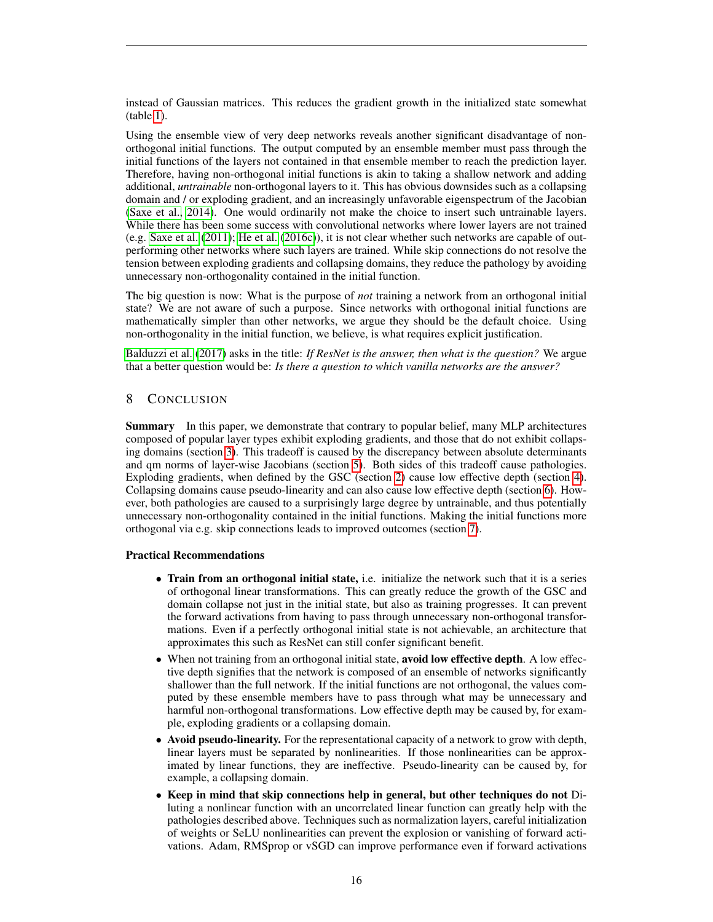instead of Gaussian matrices. This reduces the gradient growth in the initialized state somewhat (table [1\)](#page-17-0).

Using the ensemble view of very deep networks reveals another significant disadvantage of nonorthogonal initial functions. The output computed by an ensemble member must pass through the initial functions of the layers not contained in that ensemble member to reach the prediction layer. Therefore, having non-orthogonal initial functions is akin to taking a shallow network and adding additional, *untrainable* non-orthogonal layers to it. This has obvious downsides such as a collapsing domain and / or exploding gradient, and an increasingly unfavorable eigenspectrum of the Jacobian [\(Saxe et al., 2014\)](#page-21-8). One would ordinarily not make the choice to insert such untrainable layers. While there has been some success with convolutional networks where lower layers are not trained (e.g. [Saxe et al.](#page-21-18) [\(2011\)](#page-21-18); [He et al.](#page-20-17) [\(2016c\)](#page-20-17)), it is not clear whether such networks are capable of outperforming other networks where such layers are trained. While skip connections do not resolve the tension between exploding gradients and collapsing domains, they reduce the pathology by avoiding unnecessary non-orthogonality contained in the initial function.

The big question is now: What is the purpose of *not* training a network from an orthogonal initial state? We are not aware of such a purpose. Since networks with orthogonal initial functions are mathematically simpler than other networks, we argue they should be the default choice. Using non-orthogonality in the initial function, we believe, is what requires explicit justification.

[Balduzzi et al.](#page-19-6) [\(2017\)](#page-19-6) asks in the title: *If ResNet is the answer, then what is the question?* We argue that a better question would be: *Is there a question to which vanilla networks are the answer?*

# <span id="page-15-0"></span>8 CONCLUSION

Summary In this paper, we demonstrate that contrary to popular belief, many MLP architectures composed of popular layer types exhibit exploding gradients, and those that do not exhibit collapsing domains (section [3\)](#page-4-0). This tradeoff is caused by the discrepancy between absolute determinants and qm norms of layer-wise Jacobians (section [5\)](#page-10-0). Both sides of this tradeoff cause pathologies. Exploding gradients, when defined by the GSC (section [2\)](#page-2-0) cause low effective depth (section [4\)](#page-6-0). Collapsing domains cause pseudo-linearity and can also cause low effective depth (section [6\)](#page-11-0). However, both pathologies are caused to a surprisingly large degree by untrainable, and thus potentially unnecessary non-orthogonality contained in the initial functions. Making the initial functions more orthogonal via e.g. skip connections leads to improved outcomes (section [7\)](#page-12-0).

#### Practical Recommendations

- Train from an orthogonal initial state, i.e. initialize the network such that it is a series of orthogonal linear transformations. This can greatly reduce the growth of the GSC and domain collapse not just in the initial state, but also as training progresses. It can prevent the forward activations from having to pass through unnecessary non-orthogonal transformations. Even if a perfectly orthogonal initial state is not achievable, an architecture that approximates this such as ResNet can still confer significant benefit.
- When not training from an orthogonal initial state, avoid low effective depth. A low effective depth signifies that the network is composed of an ensemble of networks significantly shallower than the full network. If the initial functions are not orthogonal, the values computed by these ensemble members have to pass through what may be unnecessary and harmful non-orthogonal transformations. Low effective depth may be caused by, for example, exploding gradients or a collapsing domain.
- Avoid pseudo-linearity. For the representational capacity of a network to grow with depth, linear layers must be separated by nonlinearities. If those nonlinearities can be approximated by linear functions, they are ineffective. Pseudo-linearity can be caused by, for example, a collapsing domain.
- Keep in mind that skip connections help in general, but other techniques do not Diluting a nonlinear function with an uncorrelated linear function can greatly help with the pathologies described above. Techniques such as normalization layers, careful initialization of weights or SeLU nonlinearities can prevent the explosion or vanishing of forward activations. Adam, RMSprop or vSGD can improve performance even if forward activations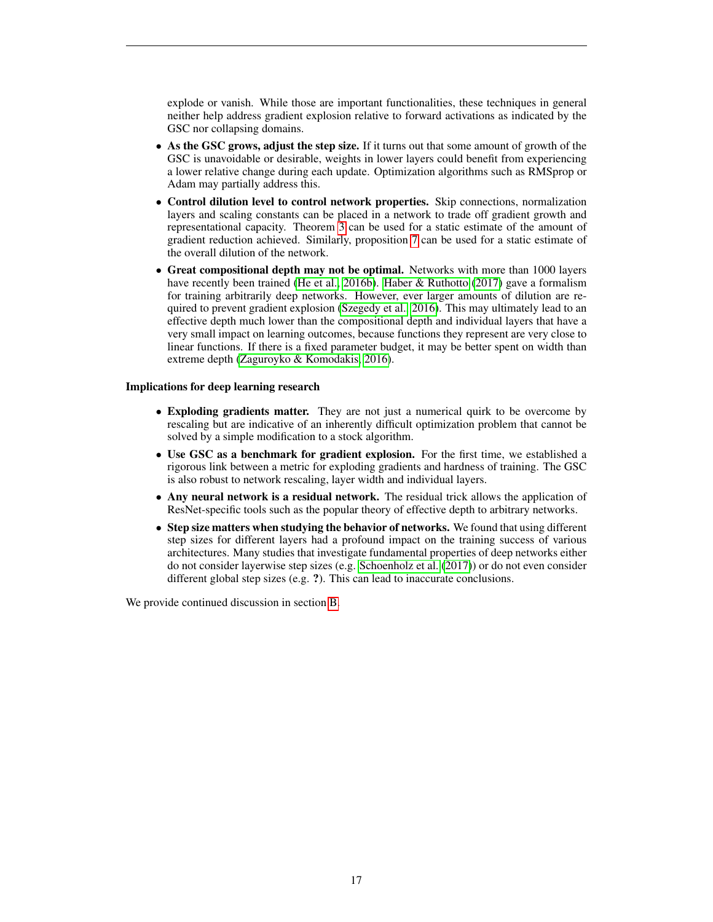explode or vanish. While those are important functionalities, these techniques in general neither help address gradient explosion relative to forward activations as indicated by the GSC nor collapsing domains.

- As the GSC grows, adjust the step size. If it turns out that some amount of growth of the GSC is unavoidable or desirable, weights in lower layers could benefit from experiencing a lower relative change during each update. Optimization algorithms such as RMSprop or Adam may partially address this.
- Control dilution level to control network properties. Skip connections, normalization layers and scaling constants can be placed in a network to trade off gradient growth and representational capacity. Theorem [3](#page-12-1) can be used for a static estimate of the amount of gradient reduction achieved. Similarly, proposition [7](#page-14-0) can be used for a static estimate of the overall dilution of the network.
- Great compositional depth may not be optimal. Networks with more than 1000 layers have recently been trained [\(He et al., 2016b\)](#page-20-7). [Haber & Ruthotto](#page-20-12) [\(2017\)](#page-20-12) gave a formalism for training arbitrarily deep networks. However, ever larger amounts of dilution are required to prevent gradient explosion [\(Szegedy et al., 2016\)](#page-21-10). This may ultimately lead to an effective depth much lower than the compositional depth and individual layers that have a very small impact on learning outcomes, because functions they represent are very close to linear functions. If there is a fixed parameter budget, it may be better spent on width than extreme depth [\(Zaguroyko & Komodakis, 2016\)](#page-21-16).

## Implications for deep learning research

- Exploding gradients matter. They are not just a numerical quirk to be overcome by rescaling but are indicative of an inherently difficult optimization problem that cannot be solved by a simple modification to a stock algorithm.
- Use GSC as a benchmark for gradient explosion. For the first time, we established a rigorous link between a metric for exploding gradients and hardness of training. The GSC is also robust to network rescaling, layer width and individual layers.
- Any neural network is a residual network. The residual trick allows the application of ResNet-specific tools such as the popular theory of effective depth to arbitrary networks.
- Step size matters when studying the behavior of networks. We found that using different step sizes for different layers had a profound impact on the training success of various architectures. Many studies that investigate fundamental properties of deep networks either do not consider layerwise step sizes (e.g. [Schoenholz et al.](#page-21-3) [\(2017\)](#page-21-3)) or do not even consider different global step sizes (e.g. ?). This can lead to inaccurate conclusions.

We provide continued discussion in section [B.](#page-25-0)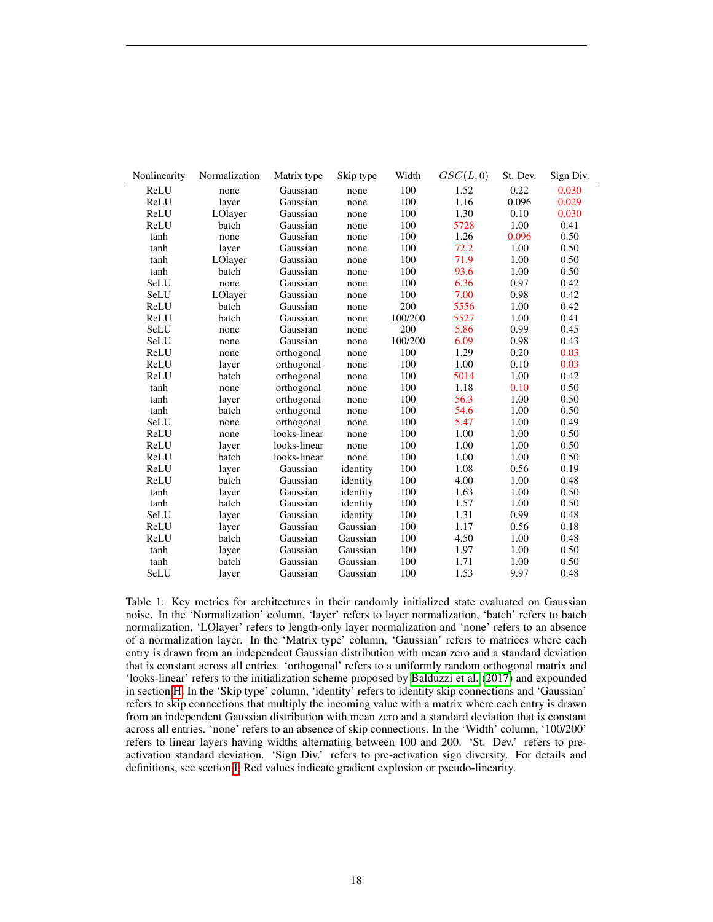| Nonlinearity | Normalization | Matrix type  | Skip type | Width            | GSC(L,0) | St. Dev. | Sign Div. |
|--------------|---------------|--------------|-----------|------------------|----------|----------|-----------|
| ReLU         | none          | Gaussian     | none      | $\overline{100}$ | 1.52     | 0.22     | 0.030     |
| ReLU         | layer         | Gaussian     | none      | 100              | 1.16     | 0.096    | 0.029     |
| ReLU         | LOlayer       | Gaussian     | none      | 100              | 1.30     | 0.10     | 0.030     |
| ReLU         | batch         | Gaussian     | none      | 100              | 5728     | 1.00     | 0.41      |
| tanh         | none          | Gaussian     | none      | 100              | 1.26     | 0.096    | 0.50      |
| tanh         | layer         | Gaussian     | none      | 100              | 72.2     | 1.00     | 0.50      |
| tanh         | LOlayer       | Gaussian     | none      | 100              | 71.9     | 1.00     | 0.50      |
| tanh         | batch         | Gaussian     | none      | 100              | 93.6     | 1.00     | 0.50      |
| SeLU         | none          | Gaussian     | none      | 100              | 6.36     | 0.97     | 0.42      |
| SeLU         | LOlayer       | Gaussian     | none      | 100              | 7.00     | 0.98     | 0.42      |
| ReLU         | batch         | Gaussian     | none      | 200              | 5556     | 1.00     | 0.42      |
| ReLU         | batch         | Gaussian     | none      | 100/200          | 5527     | 1.00     | 0.41      |
| SeLU         | none          | Gaussian     | none      | 200              | 5.86     | 0.99     | 0.45      |
| SeLU         | none          | Gaussian     | none      | 100/200          | 6.09     | 0.98     | 0.43      |
| ReLU         | none          | orthogonal   | none      | 100              | 1.29     | 0.20     | 0.03      |
| ReLU         | layer         | orthogonal   | none      | 100              | 1.00     | 0.10     | 0.03      |
| ReLU         | batch         | orthogonal   | none      | 100              | 5014     | 1.00     | 0.42      |
| tanh         | none          | orthogonal   | none      | 100              | 1.18     | 0.10     | 0.50      |
| tanh         | layer         | orthogonal   | none      | 100              | 56.3     | 1.00     | 0.50      |
| tanh         | batch         | orthogonal   | none      | 100              | 54.6     | 1.00     | 0.50      |
| SeLU         | none          | orthogonal   | none      | 100              | 5.47     | 1.00     | 0.49      |
| ReLU         | none          | looks-linear | none      | 100              | 1.00     | 1.00     | 0.50      |
| ReLU         | layer         | looks-linear | none      | 100              | 1.00     | 1.00     | 0.50      |
| ReLU         | batch         | looks-linear | none      | 100              | 1.00     | 1.00     | 0.50      |
| ReLU         | layer         | Gaussian     | identity  | 100              | 1.08     | 0.56     | 0.19      |
| ReLU         | batch         | Gaussian     | identity  | 100              | 4.00     | 1.00     | 0.48      |
| tanh         | layer         | Gaussian     | identity  | 100              | 1.63     | 1.00     | 0.50      |
| tanh         | batch         | Gaussian     | identity  | 100              | 1.57     | 1.00     | 0.50      |
| SeLU         | layer         | Gaussian     | identity  | 100              | 1.31     | 0.99     | 0.48      |
| ReLU         | layer         | Gaussian     | Gaussian  | 100              | 1.17     | 0.56     | 0.18      |
| ReLU         | batch         | Gaussian     | Gaussian  | 100              | 4.50     | 1.00     | 0.48      |
| tanh         | layer         | Gaussian     | Gaussian  | 100              | 1.97     | 1.00     | 0.50      |
| tanh         | batch         | Gaussian     | Gaussian  | 100              | 1.71     | 1.00     | 0.50      |
| SeLU         | layer         | Gaussian     | Gaussian  | 100              | 1.53     | 9.97     | 0.48      |

<span id="page-17-0"></span>Table 1: Key metrics for architectures in their randomly initialized state evaluated on Gaussian noise. In the 'Normalization' column, 'layer' refers to layer normalization, 'batch' refers to batch normalization, 'LOlayer' refers to length-only layer normalization and 'none' refers to an absence of a normalization layer. In the 'Matrix type' column, 'Gaussian' refers to matrices where each entry is drawn from an independent Gaussian distribution with mean zero and a standard deviation that is constant across all entries. 'orthogonal' refers to a uniformly random orthogonal matrix and 'looks-linear' refers to the initialization scheme proposed by [Balduzzi et al.](#page-19-6) [\(2017\)](#page-19-6) and expounded in section [H.](#page-53-1) In the 'Skip type' column, 'identity' refers to identity skip connections and 'Gaussian' refers to skip connections that multiply the incoming value with a matrix where each entry is drawn from an independent Gaussian distribution with mean zero and a standard deviation that is constant across all entries. 'none' refers to an absence of skip connections. In the 'Width' column, '100/200' refers to linear layers having widths alternating between 100 and 200. 'St. Dev.' refers to preactivation standard deviation. 'Sign Div.' refers to pre-activation sign diversity. For details and definitions, see section [I.](#page-54-0) Red values indicate gradient explosion or pseudo-linearity.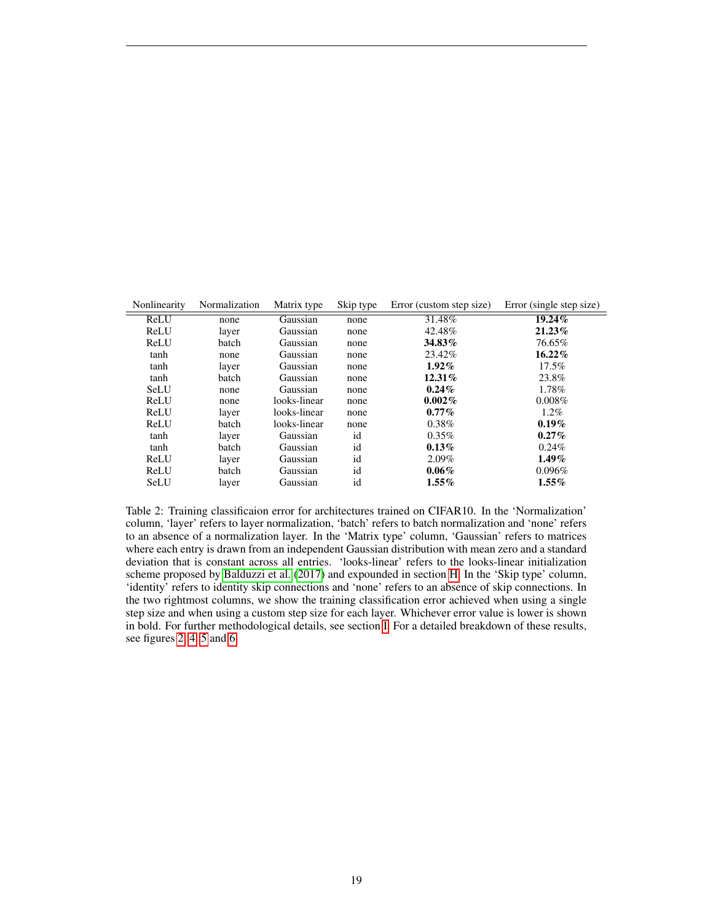| Nonlinearity | Normalization | Matrix type  | Skip type | Error (custom step size) | Error (single step size) |
|--------------|---------------|--------------|-----------|--------------------------|--------------------------|
| ReLU         | none          | Gaussian     | none      | 31.48%                   | 19.24%                   |
| ReLU         | layer         | Gaussian     | none      | 42.48%                   | 21.23%                   |
| ReLU         | batch         | Gaussian     | none      | 34.83%                   | 76.65%                   |
| tanh         | none          | Gaussian     | none      | 23.42%                   | $16.22\%$                |
| tanh         | layer         | Gaussian     | none      | $1.92\%$                 | $17.5\%$                 |
| tanh         | batch         | Gaussian     | none      | $12.31\%$                | 23.8%                    |
| SeLU         | none          | Gaussian     | none      | $0.24\%$                 | 1.78%                    |
| ReLU         | none          | looks-linear | none      | $0.002\%$                | $0.008\%$                |
| ReLU         | layer         | looks-linear | none      | $0.77\%$                 | $1.2\%$                  |
| ReLU         | batch         | looks-linear | none      | $0.38\%$                 | $0.19\%$                 |
| tanh         | layer         | Gaussian     | id        | $0.35\%$                 | $0.27\%$                 |
| tanh         | batch         | Gaussian     | id        | $0.13\%$                 | $0.24\%$                 |
| ReLU         | layer         | Gaussian     | id        | $2.09\%$                 | $1.49\%$                 |
| ReLU         | batch         | Gaussian     | id        | $0.06\%$                 | $0.096\%$                |
| SeLU         | layer         | Gaussian     | id        | $1.55\%$                 | $1.55\%$                 |

<span id="page-18-0"></span>Table 2: Training classificaion error for architectures trained on CIFAR10. In the 'Normalization' column, 'layer' refers to layer normalization, 'batch' refers to batch normalization and 'none' refers to an absence of a normalization layer. In the 'Matrix type' column, 'Gaussian' refers to matrices where each entry is drawn from an independent Gaussian distribution with mean zero and a standard deviation that is constant across all entries. 'looks-linear' refers to the looks-linear initialization scheme proposed by [Balduzzi et al.](#page-19-6) [\(2017\)](#page-19-6) and expounded in section [H.](#page-53-1) In the 'Skip type' column, 'identity' refers to identity skip connections and 'none' refers to an absence of skip connections. In the two rightmost columns, we show the training classification error achieved when using a single step size and when using a custom step size for each layer. Whichever error value is lower is shown in bold. For further methodological details, see section [I.](#page-54-0) For a detailed breakdown of these results, see figures [2,](#page-8-0) [4,](#page-22-0) [5](#page-23-0) and [6.](#page-24-0)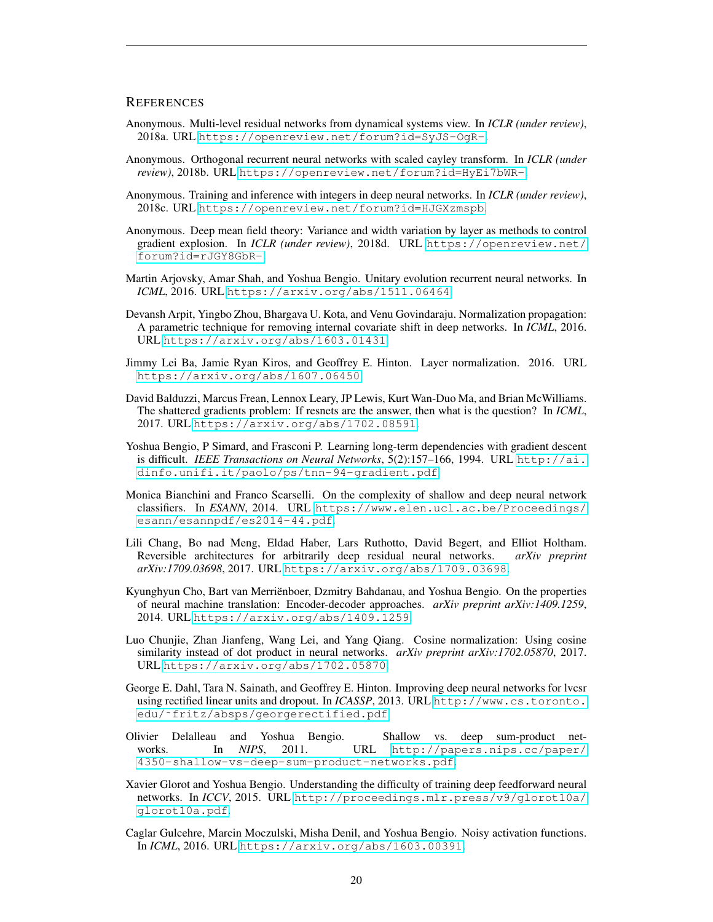## **REFERENCES**

- <span id="page-19-8"></span>Anonymous. Multi-level residual networks from dynamical systems view. In *ICLR (under review)*, 2018a. URL <https://openreview.net/forum?id=SyJS-OgR->.
- <span id="page-19-14"></span>Anonymous. Orthogonal recurrent neural networks with scaled cayley transform. In *ICLR (under review)*, 2018b. URL <https://openreview.net/forum?id=HyEi7bWR->.
- <span id="page-19-11"></span>Anonymous. Training and inference with integers in deep neural networks. In *ICLR (under review)*, 2018c. URL <https://openreview.net/forum?id=HJGXzmspb>.
- <span id="page-19-2"></span>Anonymous. Deep mean field theory: Variance and width variation by layer as methods to control gradient explosion. In *ICLR (under review)*, 2018d. URL [https://openreview.net/](https://openreview.net/forum?id=rJGY8GbR-) [forum?id=rJGY8GbR-](https://openreview.net/forum?id=rJGY8GbR-).
- <span id="page-19-13"></span>Martin Arjovsky, Amar Shah, and Yoshua Bengio. Unitary evolution recurrent neural networks. In *ICML*, 2016. URL <https://arxiv.org/abs/1511.06464>.
- <span id="page-19-12"></span>Devansh Arpit, Yingbo Zhou, Bhargava U. Kota, and Venu Govindaraju. Normalization propagation: A parametric technique for removing internal covariate shift in deep networks. In *ICML*, 2016. URL <https://arxiv.org/abs/1603.01431>.
- <span id="page-19-3"></span>Jimmy Lei Ba, Jamie Ryan Kiros, and Geoffrey E. Hinton. Layer normalization. 2016. URL <https://arxiv.org/abs/1607.06450>.
- <span id="page-19-6"></span>David Balduzzi, Marcus Frean, Lennox Leary, JP Lewis, Kurt Wan-Duo Ma, and Brian McWilliams. The shattered gradients problem: If resnets are the answer, then what is the question? In *ICML*, 2017. URL <https://arxiv.org/abs/1702.08591>.
- <span id="page-19-15"></span>Yoshua Bengio, P Simard, and Frasconi P. Learning long-term dependencies with gradient descent is difficult. *IEEE Transactions on Neural Networks*, 5(2):157–166, 1994. URL [http://ai.](http://ai.dinfo.unifi.it/paolo/ps/tnn-94-gradient.pdf) [dinfo.unifi.it/paolo/ps/tnn-94-gradient.pdf](http://ai.dinfo.unifi.it/paolo/ps/tnn-94-gradient.pdf).
- <span id="page-19-1"></span>Monica Bianchini and Franco Scarselli. On the complexity of shallow and deep neural network classifiers. In *ESANN*, 2014. URL [https://www.elen.ucl.ac.be/Proceedings/](https://www.elen.ucl.ac.be/Proceedings/esann/esannpdf/es2014-44.pdf) [esann/esannpdf/es2014-44.pdf](https://www.elen.ucl.ac.be/Proceedings/esann/esannpdf/es2014-44.pdf).
- <span id="page-19-7"></span>Lili Chang, Bo nad Meng, Eldad Haber, Lars Ruthotto, David Begert, and Elliot Holtham. Reversible architectures for arbitrarily deep residual neural networks. *arXiv preprint arXiv:1709.03698*, 2017. URL <https://arxiv.org/abs/1709.03698>.
- <span id="page-19-16"></span>Kyunghyun Cho, Bart van Merrienboer, Dzmitry Bahdanau, and Yoshua Bengio. On the properties ¨ of neural machine translation: Encoder-decoder approaches. *arXiv preprint arXiv:1409.1259*, 2014. URL <https://arxiv.org/abs/1409.1259>.
- <span id="page-19-4"></span>Luo Chunjie, Zhan Jianfeng, Wang Lei, and Yang Qiang. Cosine normalization: Using cosine similarity instead of dot product in neural networks. *arXiv preprint arXiv:1702.05870*, 2017. URL <https://arxiv.org/abs/1702.05870>.
- <span id="page-19-9"></span>George E. Dahl, Tara N. Sainath, and Geoffrey E. Hinton. Improving deep neural networks for lvcsr using rectified linear units and dropout. In *ICASSP*, 2013. URL [http://www.cs.toronto.](http://www.cs.toronto.edu/~fritz/absps/georgerectified.pdf) [edu/˜fritz/absps/georgerectified.pdf](http://www.cs.toronto.edu/~fritz/absps/georgerectified.pdf).
- <span id="page-19-0"></span>Olivier Delalleau and Yoshua Bengio. Shallow vs. deep sum-product networks. In *NIPS*, 2011. URL [http://papers.nips.cc/paper/](http://papers.nips.cc/paper/4350-shallow-vs-deep-sum-product-networks.pdf) [4350-shallow-vs-deep-sum-product-networks.pdf](http://papers.nips.cc/paper/4350-shallow-vs-deep-sum-product-networks.pdf).
- <span id="page-19-5"></span>Xavier Glorot and Yoshua Bengio. Understanding the difficulty of training deep feedforward neural networks. In *ICCV*, 2015. URL [http://proceedings.mlr.press/v9/glorot10a/](http://proceedings.mlr.press/v9/glorot10a/glorot10a.pdf) [glorot10a.pdf](http://proceedings.mlr.press/v9/glorot10a/glorot10a.pdf).
- <span id="page-19-10"></span>Caglar Gulcehre, Marcin Moczulski, Misha Denil, and Yoshua Bengio. Noisy activation functions. In *ICML*, 2016. URL <https://arxiv.org/abs/1603.00391>.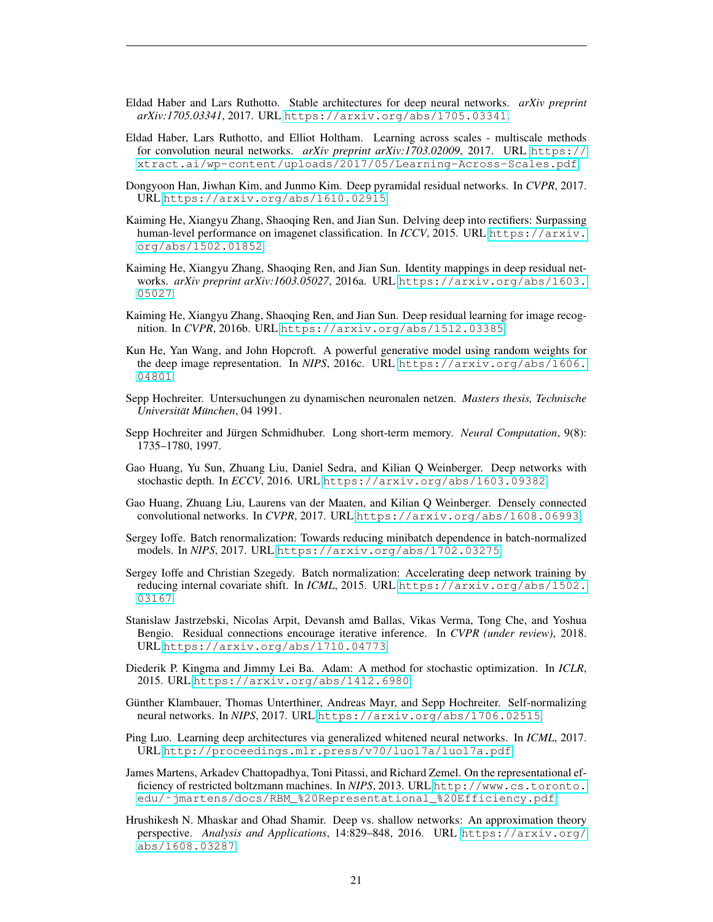- <span id="page-20-12"></span>Eldad Haber and Lars Ruthotto. Stable architectures for deep neural networks. *arXiv preprint arXiv:1705.03341*, 2017. URL <https://arxiv.org/abs/1705.03341>.
- <span id="page-20-11"></span>Eldad Haber, Lars Ruthotto, and Elliot Holtham. Learning across scales - multiscale methods for convolution neural networks. *arXiv preprint arXiv:1703.02009*, 2017. URL [https://](https://xtract.ai/wp-content/uploads/2017/05/Learning-Across-Scales.pdf) [xtract.ai/wp-content/uploads/2017/05/Learning-Across-Scales.pdf](https://xtract.ai/wp-content/uploads/2017/05/Learning-Across-Scales.pdf).
- <span id="page-20-3"></span>Dongyoon Han, Jiwhan Kim, and Junmo Kim. Deep pyramidal residual networks. In *CVPR*, 2017. URL <https://arxiv.org/abs/1610.02915>.
- <span id="page-20-6"></span>Kaiming He, Xiangyu Zhang, Shaoqing Ren, and Jian Sun. Delving deep into rectifiers: Surpassing human-level performance on imagenet classification. In *ICCV*, 2015. URL [https://arxiv.](https://arxiv.org/abs/1502.01852) [org/abs/1502.01852](https://arxiv.org/abs/1502.01852).
- <span id="page-20-15"></span>Kaiming He, Xiangyu Zhang, Shaoqing Ren, and Jian Sun. Identity mappings in deep residual networks. *arXiv preprint arXiv:1603.05027*, 2016a. URL [https://arxiv.org/abs/1603.](https://arxiv.org/abs/1603.05027) [05027](https://arxiv.org/abs/1603.05027).
- <span id="page-20-7"></span>Kaiming He, Xiangyu Zhang, Shaoqing Ren, and Jian Sun. Deep residual learning for image recognition. In *CVPR*, 2016b. URL <https://arxiv.org/abs/1512.03385>.
- <span id="page-20-17"></span>Kun He, Yan Wang, and John Hopcroft. A powerful generative model using random weights for the deep image representation. In *NIPS*, 2016c. URL [https://arxiv.org/abs/1606.](https://arxiv.org/abs/1606.04801) [04801](https://arxiv.org/abs/1606.04801).
- <span id="page-20-2"></span>Sepp Hochreiter. Untersuchungen zu dynamischen neuronalen netzen. *Masters thesis, Technische Universitat M¨ unchen ¨* , 04 1991.
- <span id="page-20-18"></span>Sepp Hochreiter and Jürgen Schmidhuber. Long short-term memory. Neural Computation, 9(8): 1735–1780, 1997.
- <span id="page-20-13"></span>Gao Huang, Yu Sun, Zhuang Liu, Daniel Sedra, and Kilian Q Weinberger. Deep networks with stochastic depth. In *ECCV*, 2016. URL <https://arxiv.org/abs/1603.09382>.
- <span id="page-20-9"></span>Gao Huang, Zhuang Liu, Laurens van der Maaten, and Kilian Q Weinberger. Densely connected convolutional networks. In *CVPR*, 2017. URL <https://arxiv.org/abs/1608.06993>.
- <span id="page-20-14"></span>Sergey Ioffe. Batch renormalization: Towards reducing minibatch dependence in batch-normalized models. In *NIPS*, 2017. URL <https://arxiv.org/abs/1702.03275>.
- <span id="page-20-5"></span>Sergey Ioffe and Christian Szegedy. Batch normalization: Accelerating deep network training by reducing internal covariate shift. In *ICML*, 2015. URL [https://arxiv.org/abs/1502.](https://arxiv.org/abs/1502.03167) [03167](https://arxiv.org/abs/1502.03167).
- <span id="page-20-16"></span>Stanislaw Jastrzebski, Nicolas Arpit, Devansh amd Ballas, Vikas Verma, Tong Che, and Yoshua Bengio. Residual connections encourage iterative inference. In *CVPR (under review)*, 2018. URL <https://arxiv.org/abs/1710.04773>.
- <span id="page-20-4"></span>Diederik P. Kingma and Jimmy Lei Ba. Adam: A method for stochastic optimization. In *ICLR*, 2015. URL <https://arxiv.org/abs/1412.6980>.
- <span id="page-20-8"></span>Günther Klambauer, Thomas Unterthiner, Andreas Mayr, and Sepp Hochreiter. Self-normalizing neural networks. In *NIPS*, 2017. URL <https://arxiv.org/abs/1706.02515>.
- <span id="page-20-10"></span>Ping Luo. Learning deep architectures via generalized whitened neural networks. In *ICML*, 2017. URL <http://proceedings.mlr.press/v70/luo17a/luo17a.pdf>.
- <span id="page-20-0"></span>James Martens, Arkadev Chattopadhya, Toni Pitassi, and Richard Zemel. On the representational efficiency of restricted boltzmann machines. In *NIPS*, 2013. URL [http://www.cs.toronto.](http://www.cs.toronto.edu/~jmartens/docs/RBM_%20Representational_%20Efficiency.pdf) [edu/˜jmartens/docs/RBM\\_%20Representational\\_%20Efficiency.pdf](http://www.cs.toronto.edu/~jmartens/docs/RBM_%20Representational_%20Efficiency.pdf).
- <span id="page-20-1"></span>Hrushikesh N. Mhaskar and Ohad Shamir. Deep vs. shallow networks: An approximation theory perspective. *Analysis and Applications*, 14:829–848, 2016. URL [https://arxiv.org/](https://arxiv.org/abs/1608.03287) [abs/1608.03287](https://arxiv.org/abs/1608.03287).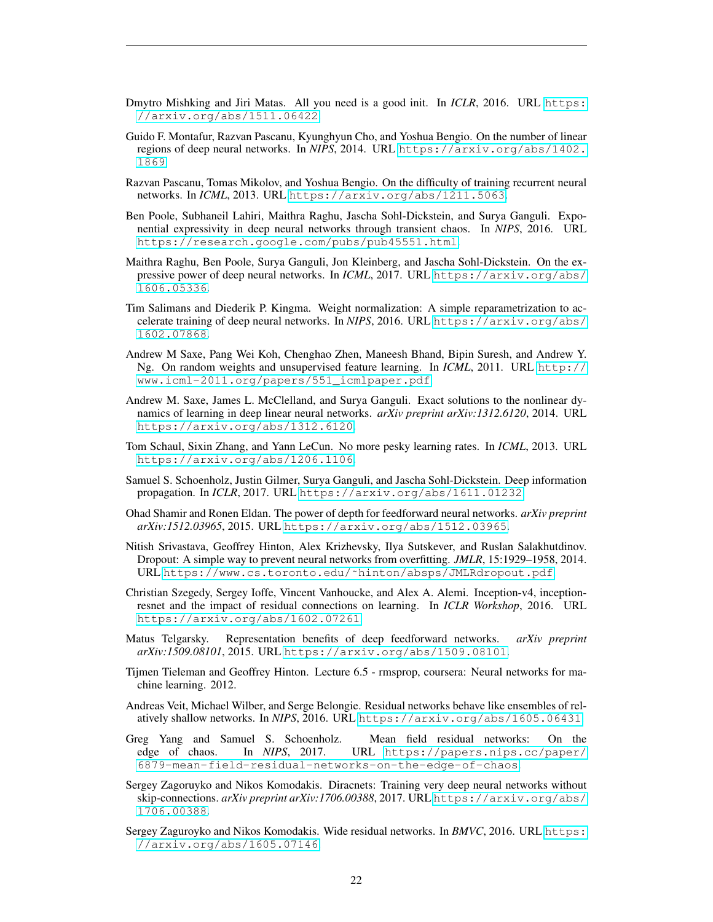- <span id="page-21-9"></span>Dmytro Mishking and Jiri Matas. All you need is a good init. In *ICLR*, 2016. URL [https:](https://arxiv.org/abs/1511.06422) [//arxiv.org/abs/1511.06422](https://arxiv.org/abs/1511.06422).
- <span id="page-21-0"></span>Guido F. Montafur, Razvan Pascanu, Kyunghyun Cho, and Yoshua Bengio. On the number of linear regions of deep neural networks. In *NIPS*, 2014. URL [https://arxiv.org/abs/1402.](https://arxiv.org/abs/1402.1869) [1869](https://arxiv.org/abs/1402.1869).
- <span id="page-21-13"></span>Razvan Pascanu, Tomas Mikolov, and Yoshua Bengio. On the difficulty of training recurrent neural networks. In *ICML*, 2013. URL <https://arxiv.org/abs/1211.5063>.
- <span id="page-21-12"></span>Ben Poole, Subhaneil Lahiri, Maithra Raghu, Jascha Sohl-Dickstein, and Surya Ganguli. Exponential expressivity in deep neural networks through transient chaos. In *NIPS*, 2016. URL <https://research.google.com/pubs/pub45551.html>.
- <span id="page-21-11"></span>Maithra Raghu, Ben Poole, Surya Ganguli, Jon Kleinberg, and Jascha Sohl-Dickstein. On the expressive power of deep neural networks. In *ICML*, 2017. URL [https://arxiv.org/abs/](https://arxiv.org/abs/1606.05336) [1606.05336](https://arxiv.org/abs/1606.05336).
- <span id="page-21-7"></span>Tim Salimans and Diederik P. Kingma. Weight normalization: A simple reparametrization to accelerate training of deep neural networks. In *NIPS*, 2016. URL [https://arxiv.org/abs/](https://arxiv.org/abs/1602.07868) [1602.07868](https://arxiv.org/abs/1602.07868).
- <span id="page-21-18"></span>Andrew M Saxe, Pang Wei Koh, Chenghao Zhen, Maneesh Bhand, Bipin Suresh, and Andrew Y. Ng. On random weights and unsupervised feature learning. In *ICML*, 2011. URL [http://](http://www.icml-2011.org/papers/551_icmlpaper.pdf) [www.icml-2011.org/papers/551\\_icmlpaper.pdf](http://www.icml-2011.org/papers/551_icmlpaper.pdf).
- <span id="page-21-8"></span>Andrew M. Saxe, James L. McClelland, and Surya Ganguli. Exact solutions to the nonlinear dynamics of learning in deep linear neural networks. *arXiv preprint arXiv:1312.6120*, 2014. URL <https://arxiv.org/abs/1312.6120>.
- <span id="page-21-6"></span>Tom Schaul, Sixin Zhang, and Yann LeCun. No more pesky learning rates. In *ICML*, 2013. URL <https://arxiv.org/abs/1206.1106>.
- <span id="page-21-3"></span>Samuel S. Schoenholz, Justin Gilmer, Surya Ganguli, and Jascha Sohl-Dickstein. Deep information propagation. In *ICLR*, 2017. URL <https://arxiv.org/abs/1611.01232>.
- <span id="page-21-1"></span>Ohad Shamir and Ronen Eldan. The power of depth for feedforward neural networks. *arXiv preprint arXiv:1512.03965*, 2015. URL <https://arxiv.org/abs/1512.03965>.
- <span id="page-21-15"></span>Nitish Srivastava, Geoffrey Hinton, Alex Krizhevsky, Ilya Sutskever, and Ruslan Salakhutdinov. Dropout: A simple way to prevent neural networks from overfitting. *JMLR*, 15:1929–1958, 2014. URL [https://www.cs.toronto.edu/˜hinton/absps/JMLRdropout.pdf](https://www.cs.toronto.edu/~hinton/absps/JMLRdropout.pdf).
- <span id="page-21-10"></span>Christian Szegedy, Sergey Ioffe, Vincent Vanhoucke, and Alex A. Alemi. Inception-v4, inceptionresnet and the impact of residual connections on learning. In *ICLR Workshop*, 2016. URL <https://arxiv.org/abs/1602.07261>.
- <span id="page-21-2"></span>Matus Telgarsky. Representation benefits of deep feedforward networks. *arXiv preprint arXiv:1509.08101*, 2015. URL <https://arxiv.org/abs/1509.08101>.
- <span id="page-21-5"></span>Tijmen Tieleman and Geoffrey Hinton. Lecture 6.5 - rmsprop, coursera: Neural networks for machine learning. 2012.
- <span id="page-21-14"></span>Andreas Veit, Michael Wilber, and Serge Belongie. Residual networks behave like ensembles of relatively shallow networks. In *NIPS*, 2016. URL <https://arxiv.org/abs/1605.06431>.
- <span id="page-21-4"></span>Greg Yang and Samuel S. Schoenholz. Mean field residual networks: On the edge of chaos. In *NIPS*, 2017. URL [https://papers.nips.cc/paper/](https://papers.nips.cc/paper/6879-mean-field-residual-networks-on-the-edge-of-chaos) [6879-mean-field-residual-networks-on-the-edge-of-chaos](https://papers.nips.cc/paper/6879-mean-field-residual-networks-on-the-edge-of-chaos).
- <span id="page-21-17"></span>Sergey Zagoruyko and Nikos Komodakis. Diracnets: Training very deep neural networks without skip-connections. *arXiv preprint arXiv:1706.00388*, 2017. URL [https://arxiv.org/abs/](https://arxiv.org/abs/1706.00388) [1706.00388](https://arxiv.org/abs/1706.00388).
- <span id="page-21-16"></span>Sergey Zaguroyko and Nikos Komodakis. Wide residual networks. In *BMVC*, 2016. URL [https:](https://arxiv.org/abs/1605.07146) [//arxiv.org/abs/1605.07146](https://arxiv.org/abs/1605.07146).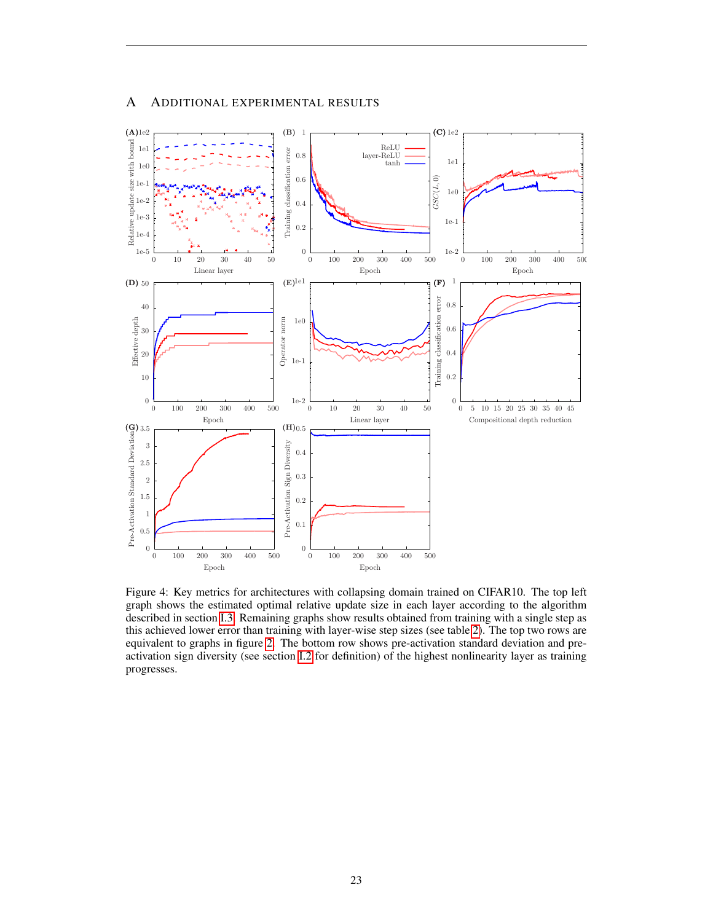

# A ADDITIONAL EXPERIMENTAL RESULTS

<span id="page-22-0"></span>Figure 4: Key metrics for architectures with collapsing domain trained on CIFAR10. The top left graph shows the estimated optimal relative update size in each layer according to the algorithm described in section [I.3.](#page-56-1) Remaining graphs show results obtained from training with a single step as this achieved lower error than training with layer-wise step sizes (see table [2\)](#page-18-0). The top two rows are equivalent to graphs in figure [2.](#page-8-0) The bottom row shows pre-activation standard deviation and preactivation sign diversity (see section [I.2](#page-55-0) for definition) of the highest nonlinearity layer as training progresses.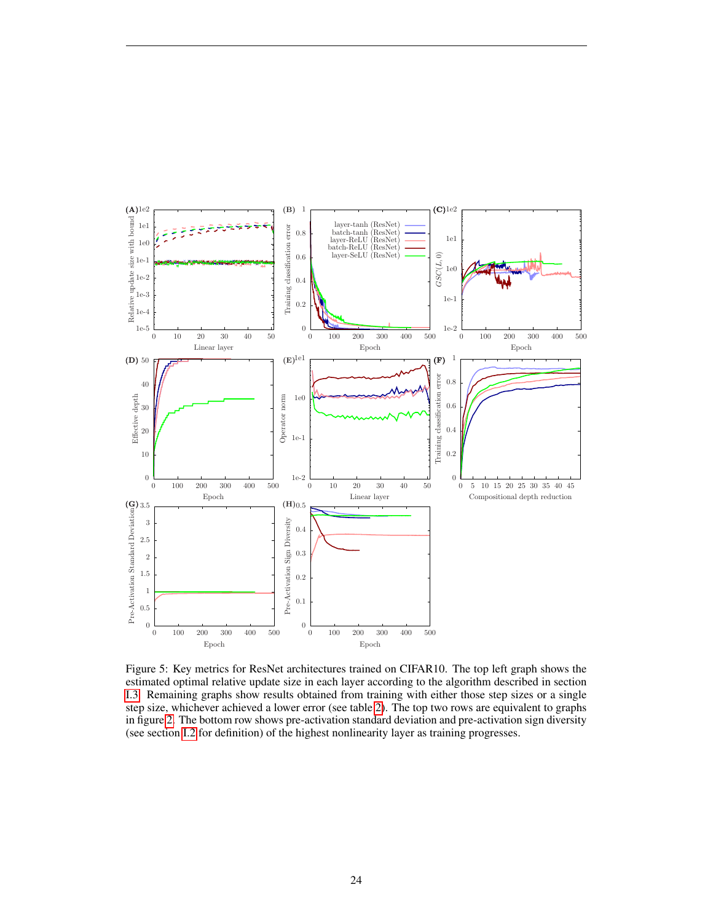

<span id="page-23-0"></span>Figure 5: Key metrics for ResNet architectures trained on CIFAR10. The top left graph shows the estimated optimal relative update size in each layer according to the algorithm described in section [I.3.](#page-56-1) Remaining graphs show results obtained from training with either those step sizes or a single step size, whichever achieved a lower error (see table [2\)](#page-18-0). The top two rows are equivalent to graphs in figure [2.](#page-8-0) The bottom row shows pre-activation standard deviation and pre-activation sign diversity (see section [I.2](#page-55-0) for definition) of the highest nonlinearity layer as training progresses.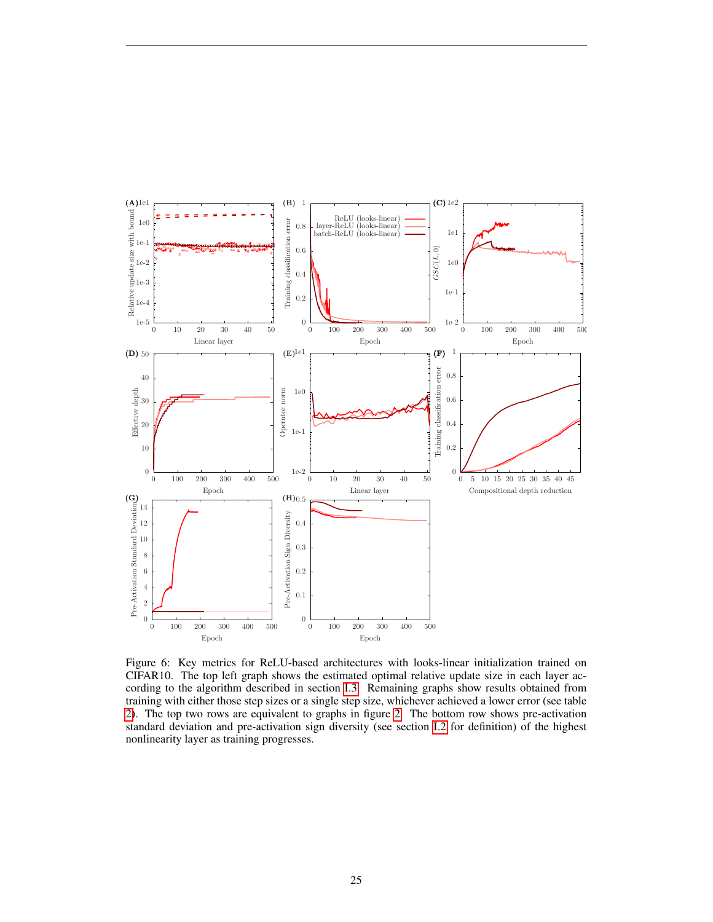

<span id="page-24-0"></span>Figure 6: Key metrics for ReLU-based architectures with looks-linear initialization trained on CIFAR10. The top left graph shows the estimated optimal relative update size in each layer according to the algorithm described in section [I.3.](#page-56-1) Remaining graphs show results obtained from training with either those step sizes or a single step size, whichever achieved a lower error (see table [2\)](#page-18-0). The top two rows are equivalent to graphs in figure [2.](#page-8-0) The bottom row shows pre-activation standard deviation and pre-activation sign diversity (see section [I.2](#page-55-0) for definition) of the highest nonlinearity layer as training progresses.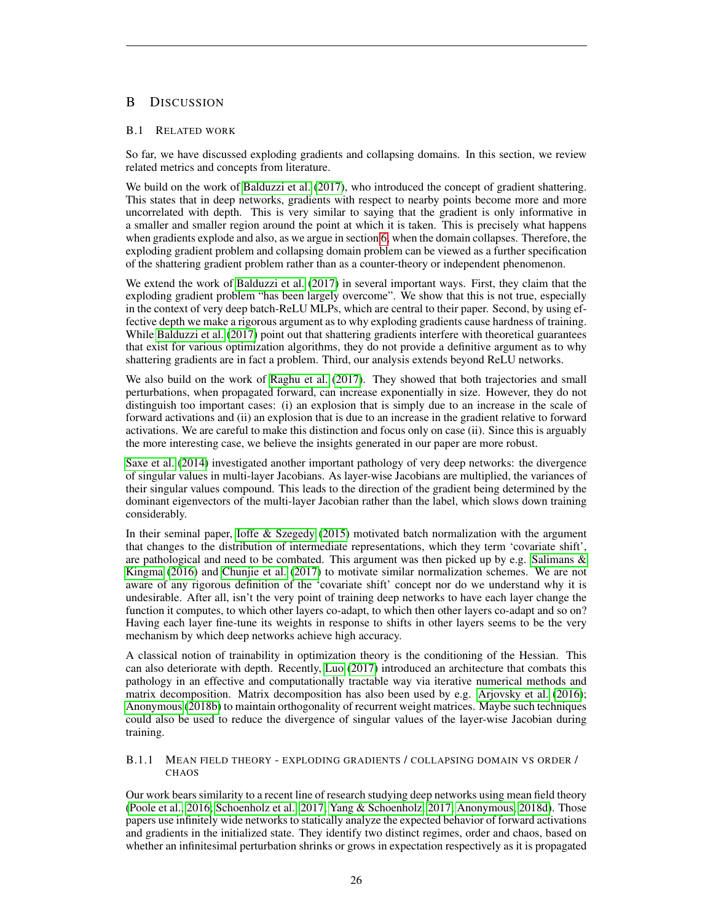# <span id="page-25-0"></span>B DISCUSSION

# <span id="page-25-1"></span>B.1 RELATED WORK

So far, we have discussed exploding gradients and collapsing domains. In this section, we review related metrics and concepts from literature.

We build on the work of [Balduzzi et al.](#page-19-6) [\(2017\)](#page-19-6), who introduced the concept of gradient shattering. This states that in deep networks, gradients with respect to nearby points become more and more uncorrelated with depth. This is very similar to saying that the gradient is only informative in a smaller and smaller region around the point at which it is taken. This is precisely what happens when gradients explode and also, as we argue in section [6,](#page-11-0) when the domain collapses. Therefore, the exploding gradient problem and collapsing domain problem can be viewed as a further specification of the shattering gradient problem rather than as a counter-theory or independent phenomenon.

We extend the work of [Balduzzi et al.](#page-19-6) [\(2017\)](#page-19-6) in several important ways. First, they claim that the exploding gradient problem "has been largely overcome". We show that this is not true, especially in the context of very deep batch-ReLU MLPs, which are central to their paper. Second, by using effective depth we make a rigorous argument as to why exploding gradients cause hardness of training. While [Balduzzi et al.](#page-19-6) [\(2017\)](#page-19-6) point out that shattering gradients interfere with theoretical guarantees that exist for various optimization algorithms, they do not provide a definitive argument as to why shattering gradients are in fact a problem. Third, our analysis extends beyond ReLU networks.

We also build on the work of [Raghu et al.](#page-21-11) [\(2017\)](#page-21-11). They showed that both trajectories and small perturbations, when propagated forward, can increase exponentially in size. However, they do not distinguish too important cases: (i) an explosion that is simply due to an increase in the scale of forward activations and (ii) an explosion that is due to an increase in the gradient relative to forward activations. We are careful to make this distinction and focus only on case (ii). Since this is arguably the more interesting case, we believe the insights generated in our paper are more robust.

[Saxe et al.](#page-21-8) [\(2014\)](#page-21-8) investigated another important pathology of very deep networks: the divergence of singular values in multi-layer Jacobians. As layer-wise Jacobians are multiplied, the variances of their singular values compound. This leads to the direction of the gradient being determined by the dominant eigenvectors of the multi-layer Jacobian rather than the label, which slows down training considerably.

In their seminal paper, [Ioffe & Szegedy](#page-20-5) [\(2015\)](#page-20-5) motivated batch normalization with the argument that changes to the distribution of intermediate representations, which they term 'covariate shift', are pathological and need to be combated. This argument was then picked up by e.g. Salimans  $\&$ [Kingma](#page-21-7) [\(2016\)](#page-21-7) and [Chunjie et al.](#page-19-4) [\(2017\)](#page-19-4) to motivate similar normalization schemes. We are not aware of any rigorous definition of the 'covariate shift' concept nor do we understand why it is undesirable. After all, isn't the very point of training deep networks to have each layer change the function it computes, to which other layers co-adapt, to which then other layers co-adapt and so on? Having each layer fine-tune its weights in response to shifts in other layers seems to be the very mechanism by which deep networks achieve high accuracy.

A classical notion of trainability in optimization theory is the conditioning of the Hessian. This can also deteriorate with depth. Recently, [Luo](#page-20-10) [\(2017\)](#page-20-10) introduced an architecture that combats this pathology in an effective and computationally tractable way via iterative numerical methods and matrix decomposition. Matrix decomposition has also been used by e.g. [Arjovsky et al.](#page-19-13) [\(2016\)](#page-19-13); [Anonymous](#page-19-14) [\(2018b\)](#page-19-14) to maintain orthogonality of recurrent weight matrices. Maybe such techniques could also be used to reduce the divergence of singular values of the layer-wise Jacobian during training.

# <span id="page-25-2"></span>B.1.1 MEAN FIELD THEORY - EXPLODING GRADIENTS / COLLAPSING DOMAIN VS ORDER / **CHAOS**

Our work bears similarity to a recent line of research studying deep networks using mean field theory [\(Poole et al., 2016;](#page-21-12) [Schoenholz et al., 2017;](#page-21-3) [Yang & Schoenholz, 2017;](#page-21-4) [Anonymous, 2018d\)](#page-19-2). Those papers use infinitely wide networks to statically analyze the expected behavior of forward activations and gradients in the initialized state. They identify two distinct regimes, order and chaos, based on whether an infinitesimal perturbation shrinks or grows in expectation respectively as it is propagated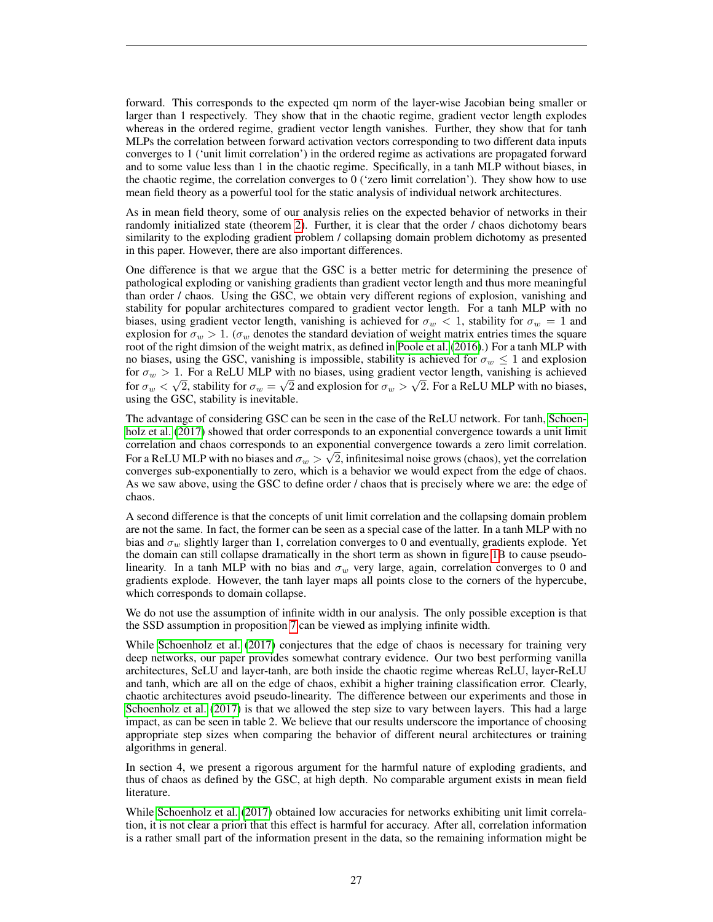forward. This corresponds to the expected qm norm of the layer-wise Jacobian being smaller or larger than 1 respectively. They show that in the chaotic regime, gradient vector length explodes whereas in the ordered regime, gradient vector length vanishes. Further, they show that for tanh MLPs the correlation between forward activation vectors corresponding to two different data inputs converges to 1 ('unit limit correlation') in the ordered regime as activations are propagated forward and to some value less than 1 in the chaotic regime. Specifically, in a tanh MLP without biases, in the chaotic regime, the correlation converges to 0 ('zero limit correlation'). They show how to use mean field theory as a powerful tool for the static analysis of individual network architectures.

As in mean field theory, some of our analysis relies on the expected behavior of networks in their randomly initialized state (theorem [2\)](#page-10-1). Further, it is clear that the order / chaos dichotomy bears similarity to the exploding gradient problem / collapsing domain problem dichotomy as presented in this paper. However, there are also important differences.

One difference is that we argue that the GSC is a better metric for determining the presence of pathological exploding or vanishing gradients than gradient vector length and thus more meaningful than order / chaos. Using the GSC, we obtain very different regions of explosion, vanishing and stability for popular architectures compared to gradient vector length. For a tanh MLP with no biases, using gradient vector length, vanishing is achieved for  $\sigma_w < 1$ , stability for  $\sigma_w = 1$  and explosion for  $\sigma_w > 1$ . ( $\sigma_w$  denotes the standard deviation of weight matrix entries times the square root of the right dimsion of the weight matrix, as defined in [Poole et al.](#page-21-12) [\(2016\)](#page-21-12).) For a tanh MLP with no biases, using the GSC, vanishing is impossible, stability is achieved for  $\sigma_w \leq 1$  and explosion for  $\sigma_w > 1$ . For a ReLU MLP with no biases, using gradient vector length, vanishing is achieved for  $\sigma_w < \sqrt{2}$ , stability for  $\sigma_w = \sqrt{2}$  and explosion for  $\sigma_w > \sqrt{2}$ . For a ReLU MLP with no biases, using the GSC, stability is inevitable.

The advantage of considering GSC can be seen in the case of the ReLU network. For tanh, [Schoen](#page-21-3)[holz et al.](#page-21-3) [\(2017\)](#page-21-3) showed that order corresponds to an exponential convergence towards a unit limit correlation and chaos corresponds to an exponential convergence towards a zero limit correlation. √ For a ReLU MLP with no biases and  $\sigma_w > \surd 2,$  infinitesimal noise grows (chaos), yet the correlation converges sub-exponentially to zero, which is a behavior we would expect from the edge of chaos. As we saw above, using the GSC to define order / chaos that is precisely where we are: the edge of chaos.

A second difference is that the concepts of unit limit correlation and the collapsing domain problem are not the same. In fact, the former can be seen as a special case of the latter. In a tanh MLP with no bias and  $\sigma_w$  slightly larger than 1, correlation converges to 0 and eventually, gradients explode. Yet the domain can still collapse dramatically in the short term as shown in figure [1B](#page-5-0) to cause pseudolinearity. In a tanh MLP with no bias and  $\sigma_w$  very large, again, correlation converges to 0 and gradients explode. However, the tanh layer maps all points close to the corners of the hypercube, which corresponds to domain collapse.

We do not use the assumption of infinite width in our analysis. The only possible exception is that the SSD assumption in proposition [7](#page-14-0) can be viewed as implying infinite width.

While [Schoenholz et al.](#page-21-3) [\(2017\)](#page-21-3) conjectures that the edge of chaos is necessary for training very deep networks, our paper provides somewhat contrary evidence. Our two best performing vanilla architectures, SeLU and layer-tanh, are both inside the chaotic regime whereas ReLU, layer-ReLU and tanh, which are all on the edge of chaos, exhibit a higher training classification error. Clearly, chaotic architectures avoid pseudo-linearity. The difference between our experiments and those in [Schoenholz et al.](#page-21-3) [\(2017\)](#page-21-3) is that we allowed the step size to vary between layers. This had a large impact, as can be seen in table 2. We believe that our results underscore the importance of choosing appropriate step sizes when comparing the behavior of different neural architectures or training algorithms in general.

In section 4, we present a rigorous argument for the harmful nature of exploding gradients, and thus of chaos as defined by the GSC, at high depth. No comparable argument exists in mean field literature.

While [Schoenholz et al.](#page-21-3) [\(2017\)](#page-21-3) obtained low accuracies for networks exhibiting unit limit correlation, it is not clear a priori that this effect is harmful for accuracy. After all, correlation information is a rather small part of the information present in the data, so the remaining information might be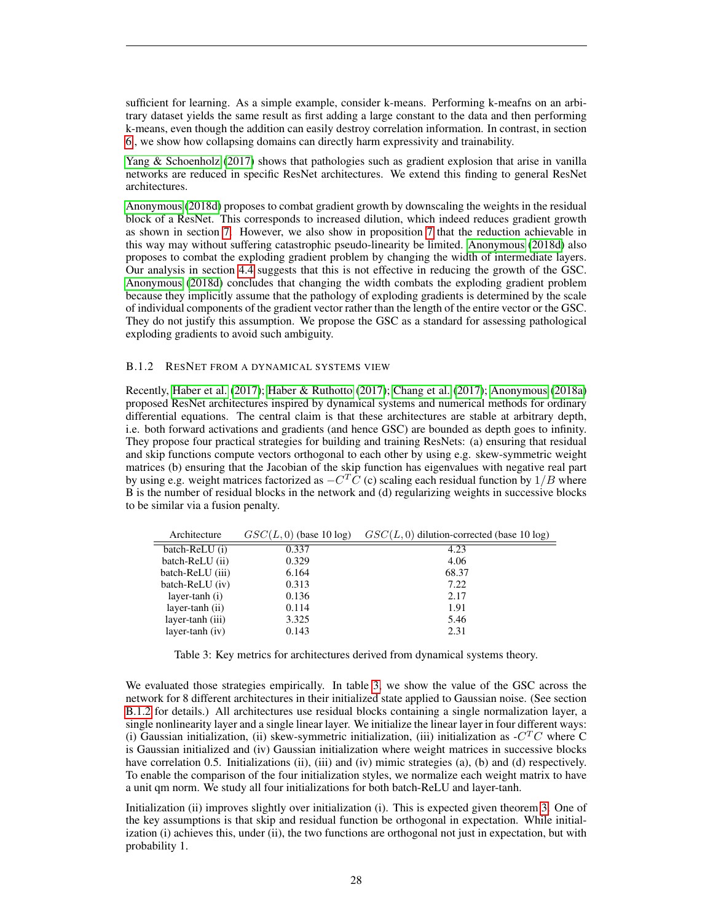sufficient for learning. As a simple example, consider k-means. Performing k-meafns on an arbitrary dataset yields the same result as first adding a large constant to the data and then performing k-means, even though the addition can easily destroy correlation information. In contrast, in section [6](#page-11-0) , we show how collapsing domains can directly harm expressivity and trainability.

[Yang & Schoenholz](#page-21-4) [\(2017\)](#page-21-4) shows that pathologies such as gradient explosion that arise in vanilla networks are reduced in specific ResNet architectures. We extend this finding to general ResNet architectures.

[Anonymous](#page-19-2) [\(2018d\)](#page-19-2) proposes to combat gradient growth by downscaling the weights in the residual block of a ResNet. This corresponds to increased dilution, which indeed reduces gradient growth as shown in section [7.](#page-12-0) However, we also show in proposition [7](#page-14-0) that the reduction achievable in this way may without suffering catastrophic pseudo-linearity be limited. [Anonymous](#page-19-2) [\(2018d\)](#page-19-2) also proposes to combat the exploding gradient problem by changing the width of intermediate layers. Our analysis in section [4.4](#page-8-1) suggests that this is not effective in reducing the growth of the GSC. [Anonymous](#page-19-2) [\(2018d\)](#page-19-2) concludes that changing the width combats the exploding gradient problem because they implicitly assume that the pathology of exploding gradients is determined by the scale of individual components of the gradient vector rather than the length of the entire vector or the GSC. They do not justify this assumption. We propose the GSC as a standard for assessing pathological exploding gradients to avoid such ambiguity.

# <span id="page-27-0"></span>B.1.2 RESNET FROM A DYNAMICAL SYSTEMS VIEW

Recently, [Haber et al.](#page-20-11) [\(2017\)](#page-20-11); [Haber & Ruthotto](#page-20-12) [\(2017\)](#page-20-12); [Chang et al.](#page-19-7) [\(2017\)](#page-19-7); [Anonymous](#page-19-8) [\(2018a\)](#page-19-8) proposed ResNet architectures inspired by dynamical systems and numerical methods for ordinary differential equations. The central claim is that these architectures are stable at arbitrary depth, i.e. both forward activations and gradients (and hence GSC) are bounded as depth goes to infinity. They propose four practical strategies for building and training ResNets: (a) ensuring that residual and skip functions compute vectors orthogonal to each other by using e.g. skew-symmetric weight matrices (b) ensuring that the Jacobian of the skip function has eigenvalues with negative real part by using e.g. weight matrices factorized as  $-C^T\bar{C}$  (c) scaling each residual function by  $1/B$  where B is the number of residual blocks in the network and (d) regularizing weights in successive blocks to be similar via a fusion penalty.

| $GSC(L, 0)$ dilution-corrected (base 10 log) |
|----------------------------------------------|
|                                              |
|                                              |
|                                              |
|                                              |
|                                              |
|                                              |
|                                              |
|                                              |
|                                              |

<span id="page-27-1"></span>Table 3: Key metrics for architectures derived from dynamical systems theory.

We evaluated those strategies empirically. In table [3,](#page-27-1) we show the value of the GSC across the network for 8 different architectures in their initialized state applied to Gaussian noise. (See section [B.1.2](#page-27-0) for details.) All architectures use residual blocks containing a single normalization layer, a single nonlinearity layer and a single linear layer. We initialize the linear layer in four different ways: (i) Gaussian initialization, (ii) skew-symmetric initialization, (iii) initialization as  $-CTC$  where C is Gaussian initialized and (iv) Gaussian initialization where weight matrices in successive blocks have correlation 0.5. Initializations (ii), (iii) and (iv) mimic strategies (a), (b) and (d) respectively. To enable the comparison of the four initialization styles, we normalize each weight matrix to have a unit qm norm. We study all four initializations for both batch-ReLU and layer-tanh.

Initialization (ii) improves slightly over initialization (i). This is expected given theorem [3.](#page-12-1) One of the key assumptions is that skip and residual function be orthogonal in expectation. While initialization (i) achieves this, under (ii), the two functions are orthogonal not just in expectation, but with probability 1.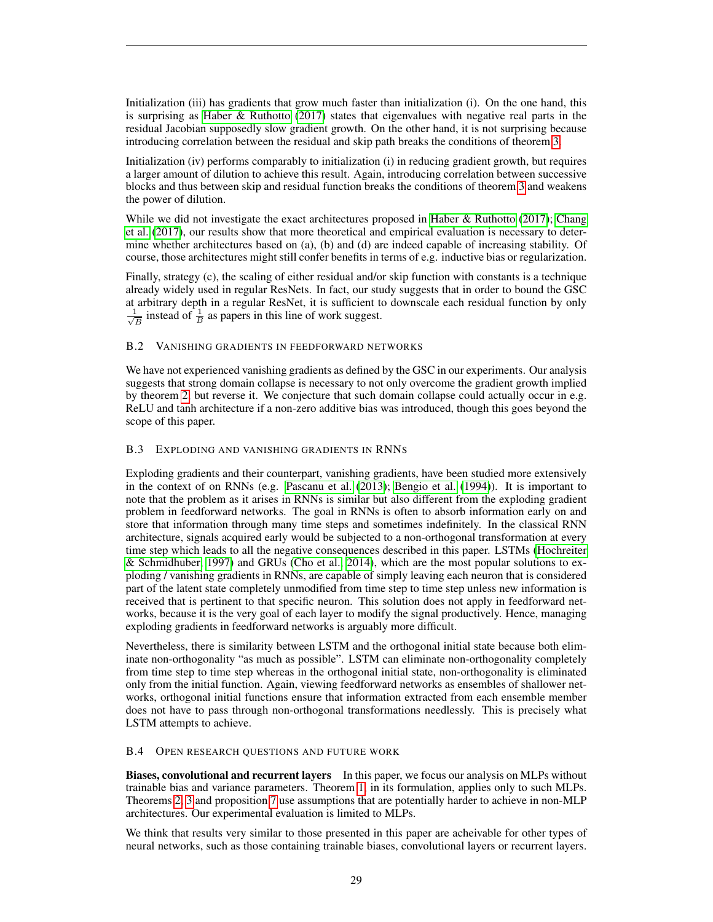Initialization (iii) has gradients that grow much faster than initialization (i). On the one hand, this is surprising as [Haber & Ruthotto](#page-20-12) [\(2017\)](#page-20-12) states that eigenvalues with negative real parts in the residual Jacobian supposedly slow gradient growth. On the other hand, it is not surprising because introducing correlation between the residual and skip path breaks the conditions of theorem [3.](#page-12-1)

Initialization (iv) performs comparably to initialization (i) in reducing gradient growth, but requires a larger amount of dilution to achieve this result. Again, introducing correlation between successive blocks and thus between skip and residual function breaks the conditions of theorem [3](#page-12-1) and weakens the power of dilution.

While we did not investigate the exact architectures proposed in [Haber & Ruthotto](#page-20-12) [\(2017\)](#page-20-12); [Chang](#page-19-7) [et al.](#page-19-7) [\(2017\)](#page-19-7), our results show that more theoretical and empirical evaluation is necessary to determine whether architectures based on (a), (b) and (d) are indeed capable of increasing stability. Of course, those architectures might still confer benefits in terms of e.g. inductive bias or regularization.

Finally, strategy (c), the scaling of either residual and/or skip function with constants is a technique already widely used in regular ResNets. In fact, our study suggests that in order to bound the GSC at arbitrary depth in a regular ResNet, it is sufficient to downscale each residual function by only  $\frac{1}{2}$  $\frac{1}{\overline{B}}$  instead of  $\frac{1}{\overline{B}}$  as papers in this line of work suggest.

# <span id="page-28-0"></span>B.2 VANISHING GRADIENTS IN FEEDFORWARD NETWORKS

We have not experienced vanishing gradients as defined by the GSC in our experiments. Our analysis suggests that strong domain collapse is necessary to not only overcome the gradient growth implied by theorem [2,](#page-10-1) but reverse it. We conjecture that such domain collapse could actually occur in e.g. ReLU and tanh architecture if a non-zero additive bias was introduced, though this goes beyond the scope of this paper.

#### <span id="page-28-1"></span>B.3 EXPLODING AND VANISHING GRADIENTS IN RNNS

Exploding gradients and their counterpart, vanishing gradients, have been studied more extensively in the context of on RNNs (e.g. [Pascanu et al.](#page-21-13) [\(2013\)](#page-21-13); [Bengio et al.](#page-19-15) [\(1994\)](#page-19-15)). It is important to note that the problem as it arises in RNNs is similar but also different from the exploding gradient problem in feedforward networks. The goal in RNNs is often to absorb information early on and store that information through many time steps and sometimes indefinitely. In the classical RNN architecture, signals acquired early would be subjected to a non-orthogonal transformation at every time step which leads to all the negative consequences described in this paper. LSTMs [\(Hochreiter](#page-20-18) [& Schmidhuber, 1997\)](#page-20-18) and GRUs [\(Cho et al., 2014\)](#page-19-16), which are the most popular solutions to exploding / vanishing gradients in RNNs, are capable of simply leaving each neuron that is considered part of the latent state completely unmodified from time step to time step unless new information is received that is pertinent to that specific neuron. This solution does not apply in feedforward networks, because it is the very goal of each layer to modify the signal productively. Hence, managing exploding gradients in feedforward networks is arguably more difficult.

Nevertheless, there is similarity between LSTM and the orthogonal initial state because both eliminate non-orthogonality "as much as possible". LSTM can eliminate non-orthogonality completely from time step to time step whereas in the orthogonal initial state, non-orthogonality is eliminated only from the initial function. Again, viewing feedforward networks as ensembles of shallower networks, orthogonal initial functions ensure that information extracted from each ensemble member does not have to pass through non-orthogonal transformations needlessly. This is precisely what LSTM attempts to achieve.

#### <span id="page-28-2"></span>B.4 OPEN RESEARCH QUESTIONS AND FUTURE WORK

Biases, convolutional and recurrent layers In this paper, we focus our analysis on MLPs without trainable bias and variance parameters. Theorem [1,](#page-7-0) in its formulation, applies only to such MLPs. Theorems [2,](#page-10-1) [3](#page-12-1) and proposition [7](#page-14-0) use assumptions that are potentially harder to achieve in non-MLP architectures. Our experimental evaluation is limited to MLPs.

We think that results very similar to those presented in this paper are acheivable for other types of neural networks, such as those containing trainable biases, convolutional layers or recurrent layers.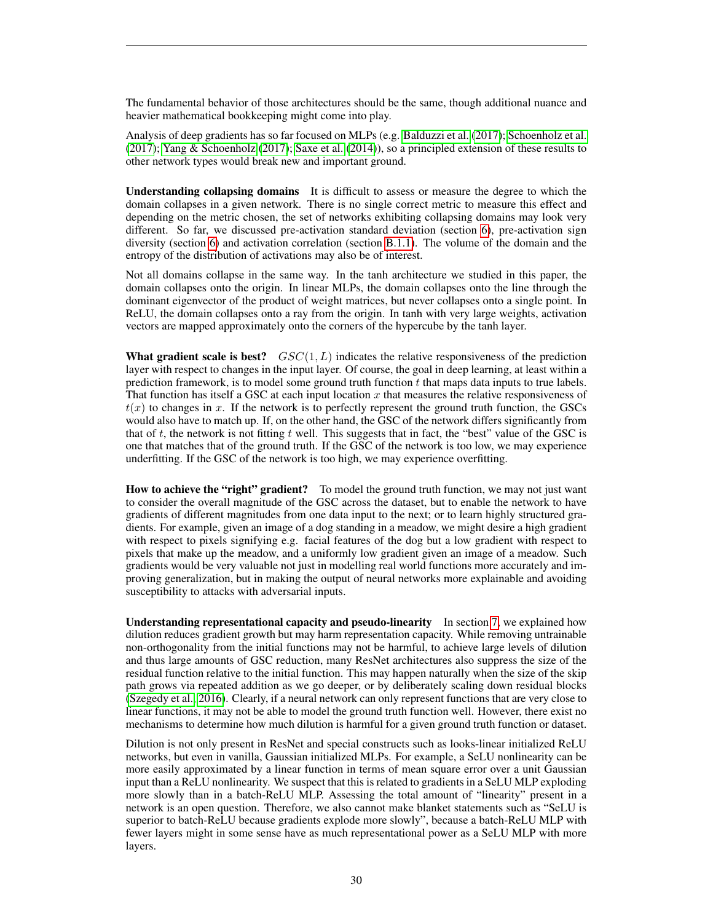The fundamental behavior of those architectures should be the same, though additional nuance and heavier mathematical bookkeeping might come into play.

Analysis of deep gradients has so far focused on MLPs (e.g. [Balduzzi et al.](#page-19-6) [\(2017\)](#page-19-6); [Schoenholz et al.](#page-21-3) [\(2017\)](#page-21-3); [Yang & Schoenholz](#page-21-4) [\(2017\)](#page-21-4); [Saxe et al.](#page-21-8) [\(2014\)](#page-21-8)), so a principled extension of these results to other network types would break new and important ground.

Understanding collapsing domains It is difficult to assess or measure the degree to which the domain collapses in a given network. There is no single correct metric to measure this effect and depending on the metric chosen, the set of networks exhibiting collapsing domains may look very different. So far, we discussed pre-activation standard deviation (section [6\)](#page-11-0), pre-activation sign diversity (section [6\)](#page-11-0) and activation correlation (section [B.1.1\)](#page-25-2). The volume of the domain and the entropy of the distribution of activations may also be of interest.

Not all domains collapse in the same way. In the tanh architecture we studied in this paper, the domain collapses onto the origin. In linear MLPs, the domain collapses onto the line through the dominant eigenvector of the product of weight matrices, but never collapses onto a single point. In ReLU, the domain collapses onto a ray from the origin. In tanh with very large weights, activation vectors are mapped approximately onto the corners of the hypercube by the tanh layer.

What gradient scale is best?  $GSC(1, L)$  indicates the relative responsiveness of the prediction layer with respect to changes in the input layer. Of course, the goal in deep learning, at least within a prediction framework, is to model some ground truth function  $t$  that maps data inputs to true labels. That function has itself a GSC at each input location  $x$  that measures the relative responsiveness of  $t(x)$  to changes in x. If the network is to perfectly represent the ground truth function, the GSCs would also have to match up. If, on the other hand, the GSC of the network differs significantly from that of t, the network is not fitting t well. This suggests that in fact, the "best" value of the GSC is one that matches that of the ground truth. If the GSC of the network is too low, we may experience underfitting. If the GSC of the network is too high, we may experience overfitting.

How to achieve the "right" gradient? To model the ground truth function, we may not just want to consider the overall magnitude of the GSC across the dataset, but to enable the network to have gradients of different magnitudes from one data input to the next; or to learn highly structured gradients. For example, given an image of a dog standing in a meadow, we might desire a high gradient with respect to pixels signifying e.g. facial features of the dog but a low gradient with respect to pixels that make up the meadow, and a uniformly low gradient given an image of a meadow. Such gradients would be very valuable not just in modelling real world functions more accurately and improving generalization, but in making the output of neural networks more explainable and avoiding susceptibility to attacks with adversarial inputs.

Understanding representational capacity and pseudo-linearity In section [7,](#page-12-0) we explained how dilution reduces gradient growth but may harm representation capacity. While removing untrainable non-orthogonality from the initial functions may not be harmful, to achieve large levels of dilution and thus large amounts of GSC reduction, many ResNet architectures also suppress the size of the residual function relative to the initial function. This may happen naturally when the size of the skip path grows via repeated addition as we go deeper, or by deliberately scaling down residual blocks [\(Szegedy et al., 2016\)](#page-21-10). Clearly, if a neural network can only represent functions that are very close to linear functions, it may not be able to model the ground truth function well. However, there exist no mechanisms to determine how much dilution is harmful for a given ground truth function or dataset.

Dilution is not only present in ResNet and special constructs such as looks-linear initialized ReLU networks, but even in vanilla, Gaussian initialized MLPs. For example, a SeLU nonlinearity can be more easily approximated by a linear function in terms of mean square error over a unit Gaussian input than a ReLU nonlinearity. We suspect that this is related to gradients in a SeLU MLP exploding more slowly than in a batch-ReLU MLP. Assessing the total amount of "linearity" present in a network is an open question. Therefore, we also cannot make blanket statements such as "SeLU is superior to batch-ReLU because gradients explode more slowly", because a batch-ReLU MLP with fewer layers might in some sense have as much representational power as a SeLU MLP with more layers.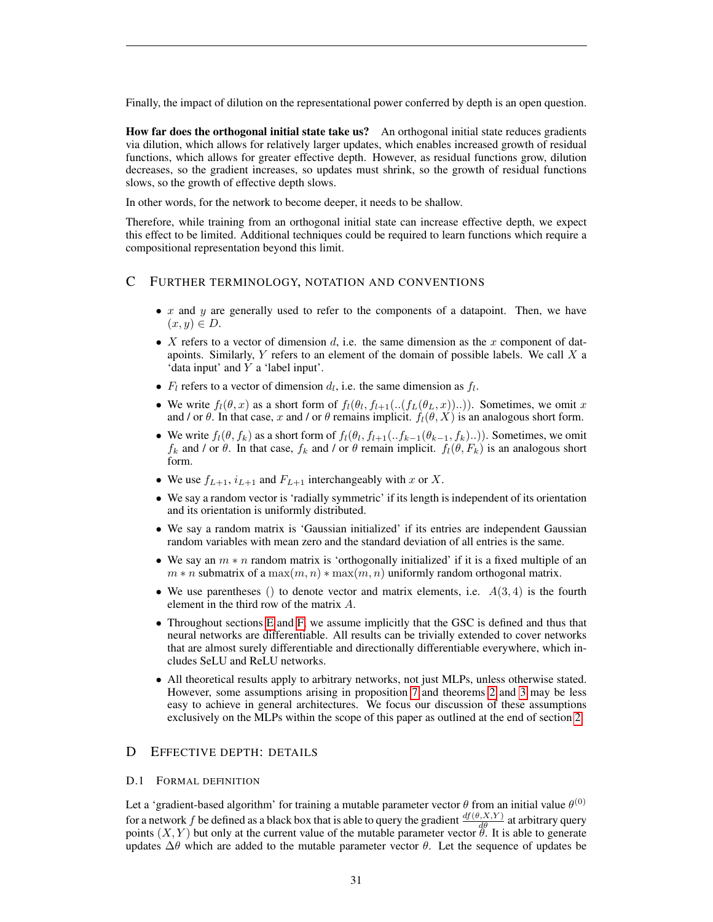Finally, the impact of dilution on the representational power conferred by depth is an open question.

How far does the orthogonal initial state take us? An orthogonal initial state reduces gradients via dilution, which allows for relatively larger updates, which enables increased growth of residual functions, which allows for greater effective depth. However, as residual functions grow, dilution decreases, so the gradient increases, so updates must shrink, so the growth of residual functions slows, so the growth of effective depth slows.

In other words, for the network to become deeper, it needs to be shallow.

Therefore, while training from an orthogonal initial state can increase effective depth, we expect this effect to be limited. Additional techniques could be required to learn functions which require a compositional representation beyond this limit.

# <span id="page-30-0"></span>C FURTHER TERMINOLOGY, NOTATION AND CONVENTIONS

- x and y are generally used to refer to the components of a datapoint. Then, we have  $(x, y) \in D$ .
- X refers to a vector of dimension d, i.e. the same dimension as the x component of datapoints. Similarly,  $Y$  refers to an element of the domain of possible labels. We call  $X$  a 'data input' and Y a 'label input'.
- $F_l$  refers to a vector of dimension  $d_l$ , i.e. the same dimension as  $f_l$ .
- We write  $f_l(\theta, x)$  as a short form of  $f_l(\theta_l, f_{l+1}(\ldots(f_L(\theta_L, x))\ldots))$ . Sometimes, we omit x and / or θ. In that case, x and / or θ remains implicit.  $f_1(\theta, X)$  is an analogous short form.
- We write  $f_l(\theta, f_k)$  as a short form of  $f_l(\theta_l, f_{l+1}(\cdot.f_{k-1}(\theta_{k-1}, f_k)\cdot.\cdot))$ . Sometimes, we omit  $f_k$  and / or  $\theta$ . In that case,  $f_k$  and / or  $\theta$  remain implicit.  $f_l(\theta, F_k)$  is an analogous short form.
- We use  $f_{L+1}$ ,  $i_{L+1}$  and  $F_{L+1}$  interchangeably with x or X.
- We say a random vector is 'radially symmetric' if its length is independent of its orientation and its orientation is uniformly distributed.
- We say a random matrix is 'Gaussian initialized' if its entries are independent Gaussian random variables with mean zero and the standard deviation of all entries is the same.
- We say an  $m * n$  random matrix is 'orthogonally initialized' if it is a fixed multiple of an  $m * n$  submatrix of a  $\max(m, n) * \max(m, n)$  uniformly random orthogonal matrix.
- We use parentheses () to denote vector and matrix elements, i.e.  $A(3, 4)$  is the fourth element in the third row of the matrix A.
- Throughout sections [E](#page-33-1) and [F,](#page-45-0) we assume implicitly that the GSC is defined and thus that neural networks are differentiable. All results can be trivially extended to cover networks that are almost surely differentiable and directionally differentiable everywhere, which includes SeLU and ReLU networks.
- All theoretical results apply to arbitrary networks, not just MLPs, unless otherwise stated. However, some assumptions arising in proposition [7](#page-14-0) and theorems [2](#page-10-1) and [3](#page-12-1) may be less easy to achieve in general architectures. We focus our discussion of these assumptions exclusively on the MLPs within the scope of this paper as outlined at the end of section [2.](#page-2-0)

# <span id="page-30-1"></span>D EFFECTIVE DEPTH: DETAILS

## D.1 FORMAL DEFINITION

Let a 'gradient-based algorithm' for training a mutable parameter vector  $\theta$  from an initial value  $\theta^{(0)}$ for a network f be defined as a black box that is able to query the gradient  $\frac{df(\theta,X,Y)}{d\theta}$  at arbitrary query points  $(X, Y)$  but only at the current value of the mutable parameter vector  $\ddot{\theta}$ . It is able to generate updates  $\Delta\theta$  which are added to the mutable parameter vector  $\theta$ . Let the sequence of updates be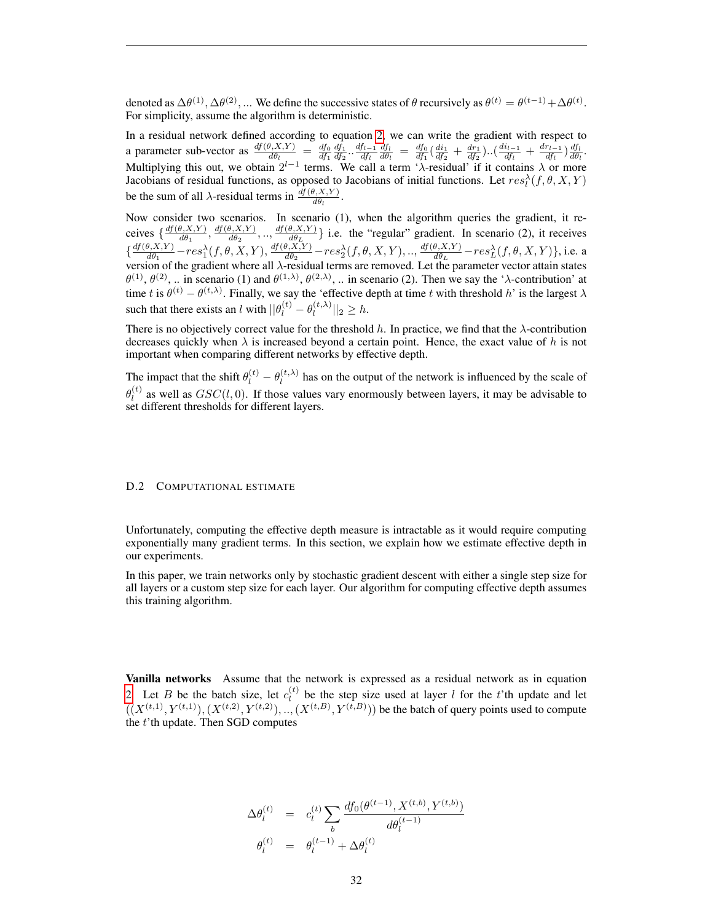denoted as  $\Delta\theta^{(1)}, \Delta\theta^{(2)}, ...$  We define the successive states of  $\theta$  recursively as  $\theta^{(t)} = \theta^{(t-1)} + \Delta\theta^{(t)}$ . For simplicity, assume the algorithm is deterministic.

In a residual network defined according to equation [2,](#page-6-1) we can write the gradient with respect to a parameter sub-vector as  $\frac{df(\theta, X, Y)}{d\theta_l} = \frac{df_0}{df_1} \frac{df_1}{df_2} \cdot \frac{df_{l-1}}{df_l}$  $\frac{d f_{l-1}}{d f_{l}}\frac{d f_{l}}{d \theta_{l}}\,=\,\frac{d f_{0}}{d f_{1}}(\frac{d i_{1}}{d f_{2}}\,+\,\frac{d r_{1}}{d f_{2}}) .. (\frac{d i_{l-1}}{d f_{l}})$  $\frac{i_{l-1}}{df_l}+\frac{dr_{l-1}}{df_l}$  $\frac{r_{l-1}}{df_l}$ ) $\frac{df_l}{d\theta_l}$ . Multiplying this out, we obtain  $2^{l-1}$  terms. We call a term ' $\lambda$ -residual' if it contains  $\lambda$  or more Jacobians of residual functions, as opposed to Jacobians of initial functions. Let  $res_t^{\lambda}(f, \theta, X, Y)$ be the sum of all  $\lambda$ -residual terms in  $\frac{df(\theta, X, Y)}{d\theta_l}$ .

Now consider two scenarios. In scenario (1), when the algorithm queries the gradient, it receives  $\frac{df(\theta, X, Y)}{d\theta_1}$  $\frac{d\theta_1(X,Y)}{d\theta_1}, \frac{df(\theta,X,Y)}{d\theta_2}$  $\frac{d\theta_1(X,Y)}{d\theta_2}, \ldots, \frac{df(\theta,X,Y)}{d\theta_L}$  $\left\{\frac{\theta, X, Y}{d\theta_L}\right\}$  i.e. the "regular" gradient. In scenario (2), it receives  $\frac{df(\theta, X, Y)}{d\theta}$  $\frac{d\theta_1(X,Y)}{d\theta_1} - res_1^{\lambda}(f,\theta,X,Y), \frac{df(\theta,X,Y)}{d\theta_2}$  $\frac{\partial_{\gamma}X,Y}{\partial_{\theta}B_{2}} - res_{2}^{\lambda}(f,\theta,X,Y),..,\frac{df(\theta,X,Y)}{d\theta_{L}}$  $\frac{\theta, X, Y)}{d\theta_L} - res_L^{\lambda}(f, \theta, X, Y)$ , i.e. a version of the gradient where all  $\lambda$ -residual terms are removed. Let the parameter vector attain states  $\theta^{(1)}, \theta^{(2)}, \ldots$  in scenario (1) and  $\theta^{(1,\lambda)}, \theta^{(2,\lambda)}, \ldots$  in scenario (2). Then we say the ' $\lambda$ -contribution' at time t is  $\theta^{(t)} - \theta^{(t,\lambda)}$ . Finally, we say the 'effective depth at time t with threshold h' is the largest  $\lambda$ such that there exists an l with  $\|\theta_l^{(t)} - \theta_l^{(t,\lambda)}\|$  $\|l^{(t,\lambda)}\|_2 \geq h.$ 

There is no objectively correct value for the threshold h. In practice, we find that the  $\lambda$ -contribution decreases quickly when  $\lambda$  is increased beyond a certain point. Hence, the exact value of h is not important when comparing different networks by effective depth.

The impact that the shift  $\theta_l^{(t)} - \theta_l^{(t,\lambda)}$  $\mu_l^{(t,\lambda)}$  has on the output of the network is influenced by the scale of  $\theta_l^{(t)}$  $\mu_l^{(t)}$  as well as  $GSC(l, 0)$ . If those values vary enormously between layers, it may be advisable to set different thresholds for different layers.

#### <span id="page-31-0"></span>D.2 COMPUTATIONAL ESTIMATE

Unfortunately, computing the effective depth measure is intractable as it would require computing exponentially many gradient terms. In this section, we explain how we estimate effective depth in our experiments.

In this paper, we train networks only by stochastic gradient descent with either a single step size for all layers or a custom step size for each layer. Our algorithm for computing effective depth assumes this training algorithm.

Vanilla networks Assume that the network is expressed as a residual network as in equation [2.](#page-6-1) Let B be the batch size, let  $c_i^{(t)}$  $\ell_l^{(t)}$  be the step size used at layer l for the t'th update and let  $((X^{(t,1)}, Y^{(t,1)}), (X^{(t,2)}, Y^{(t,2)}), ..., (X^{(t,B)}, Y^{(t,B)}))$  be the batch of query points used to compute the t'th update. Then SGD computes

$$
\Delta \theta_l^{(t)} = c_l^{(t)} \sum_b \frac{df_0(\theta^{(t-1)}, X^{(t,b)}, Y^{(t,b)})}{d\theta_l^{(t-1)}}
$$
  

$$
\theta_l^{(t)} = \theta_l^{(t-1)} + \Delta \theta_l^{(t)}
$$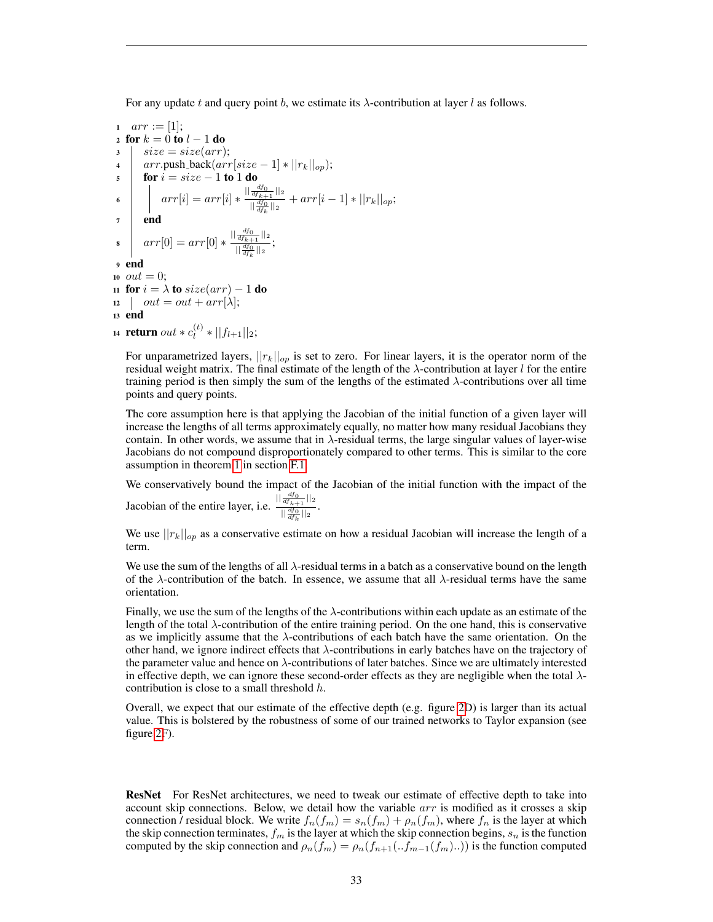For any update t and query point b, we estimate its  $\lambda$ -contribution at layer l as follows.

1 
$$
arr := [1];
$$
  
\n2 **for**  $k = 0$  **to**  $l - 1$  **do**  
\n3  $\begin{vmatrix} size = size(arr); \\ arr.push-back(arr[size - 1] * ||r_k||_{op}); \\ for i = size - 1 to 1 do \\ \text{for } i = size - 1 to 1 do \\ \end{vmatrix}$   
\n6  $arr[i] = arr[i] * \frac{||\frac{df_0}{df_{k+1}}||_2}{||\frac{df_0}{df_k}||_2} + arr[i - 1] * ||r_k||_{op};$   
\n7 **end**  
\n8  $arr[0] = arr[0] * \frac{||\frac{df_0}{df_{k+1}}||_2}{||\frac{df_0}{df_k}||_2};$   
\n9 **end**  
\n10 *out* = 0;  
\n11 **for**  $i = \lambda$  **to**  $size(arr) - 1$  **do**  
\n12  $\begin{vmatrix} out = out + arr[\lambda]; \\ out = out + arr[\lambda]; \\ \end{vmatrix}$   
\n13 **end**  
\n14 **return**  $out * c_i^{(t)} * ||f_{l+1}||_2;$ 

For unparametrized layers,  $||r_k||_{op}$  is set to zero. For linear layers, it is the operator norm of the residual weight matrix. The final estimate of the length of the  $\lambda$ -contribution at layer l for the entire training period is then simply the sum of the lengths of the estimated  $\lambda$ -contributions over all time points and query points.

The core assumption here is that applying the Jacobian of the initial function of a given layer will increase the lengths of all terms approximately equally, no matter how many residual Jacobians they contain. In other words, we assume that in  $\lambda$ -residual terms, the large singular values of layer-wise Jacobians do not compound disproportionately compared to other terms. This is similar to the core assumption in theorem [1](#page-7-0) in section [F.1.](#page-45-1)

We conservatively bound the impact of the Jacobian of the initial function with the impact of the Jacobian of the entire layer, i.e.  $||\frac{df_0}{df_{k+1}}||_2$  $\frac{d f_{k+1}}{d f_{k}}$  ||2

We use  $||r_k||_{op}$  as a conservative estimate on how a residual Jacobian will increase the length of a term.

We use the sum of the lengths of all  $\lambda$ -residual terms in a batch as a conservative bound on the length of the  $\lambda$ -contribution of the batch. In essence, we assume that all  $\lambda$ -residual terms have the same orientation.

Finally, we use the sum of the lengths of the  $\lambda$ -contributions within each update as an estimate of the length of the total  $\lambda$ -contribution of the entire training period. On the one hand, this is conservative as we implicitly assume that the  $\lambda$ -contributions of each batch have the same orientation. On the other hand, we ignore indirect effects that  $\lambda$ -contributions in early batches have on the trajectory of the parameter value and hence on  $\lambda$ -contributions of later batches. Since we are ultimately interested in effective depth, we can ignore these second-order effects as they are negligible when the total  $\lambda$ contribution is close to a small threshold  $h$ .

Overall, we expect that our estimate of the effective depth (e.g. figure [2D](#page-8-0)) is larger than its actual value. This is bolstered by the robustness of some of our trained networks to Taylor expansion (see figure [2F](#page-8-0)).

**ResNet** For ResNet architectures, we need to tweak our estimate of effective depth to take into account skip connections. Below, we detail how the variable arr is modified as it crosses a skip connection / residual block. We write  $f_n(f_m) = s_n(f_m) + \rho_n(f_m)$ , where  $f_n$  is the layer at which the skip connection terminates,  $f_m$  is the layer at which the skip connection begins,  $s_n$  is the function computed by the skip connection and  $\rho_n(f_m) = \rho_n(f_{n+1}(\cdot,f_{m-1}(f_m)\cdot\cdot))$  is the function computed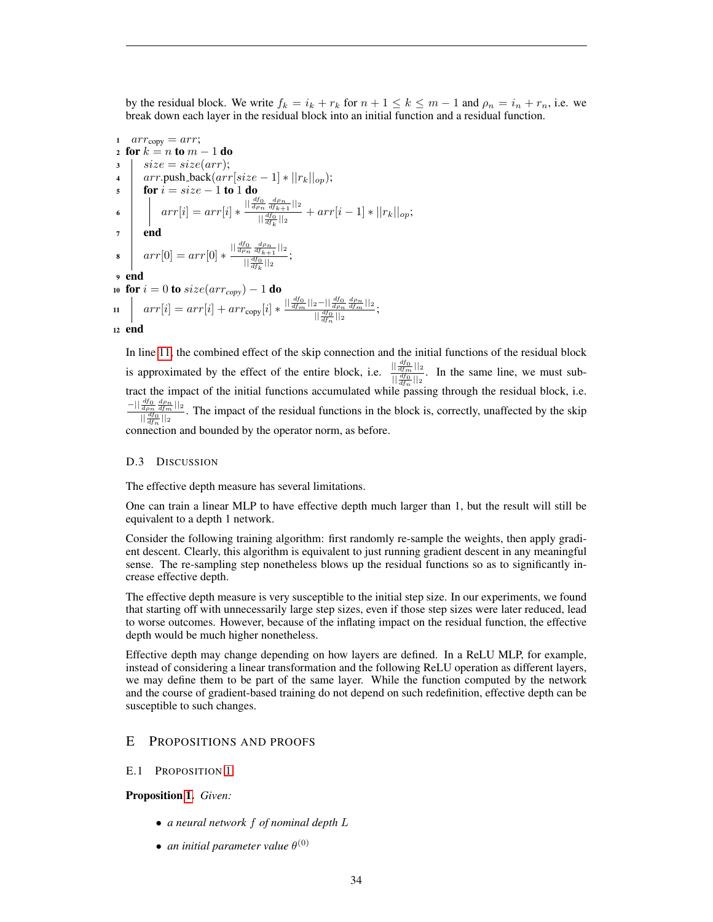by the residual block. We write  $f_k = i_k + r_k$  for  $n + 1 \le k \le m - 1$  and  $\rho_n = i_n + r_n$ , i.e. we break down each layer in the residual block into an initial function and a residual function.

1 
$$
arr_{copy} = arr
$$
;  
\n2 **for**  $k = n$  **to**  $m - 1$  **do**  
\n3 
$$
\begin{array}{c} size = size(arr); \\ arr.push-back(arr[size - 1] * ||r_k||_{op}); \\ \n5 \quad \text{for } i = size - 1 \text{ to } 1 \text{ do} \\ \n6 \quad \quad arr[i] = arr[i] * \frac{||\frac{df_0}{d\rho_n} \frac{d\rho_n}{df_k||_2}}{||\frac{df_0}{df_k}||_2} + arr[i - 1] * ||r_k||_{op}; \\ \n7 \quad \text{end} \\ \n8 \quad \quad arr[0] = arr[0] * \frac{||\frac{df_0}{d\rho_n} \frac{d\rho_n}{df_k||_2}}{||\frac{df_0}{df_k}||_2}; \\ \n9 \quad \text{end} \\ \n10 \quad \text{for } i = 0 \text{ to } size(arr_{copy}) - 1 \text{ do} \\ \n11 \quad \quad \quad arr[i] = arr[i] + arr_{copy}[i] * \frac{||\frac{df_0}{df_m}||_2 - ||\frac{df_0}{d\rho_n} \frac{d\rho_n}{df_m}||_2}{||\frac{df_0}{df_n}||_2}; \\ \n12 \quad \text{end}
$$

<span id="page-33-2"></span>In line [11,](#page-33-2) the combined effect of the skip connection and the initial functions of the residual block is approximated by the effect of the entire block, i.e.  $\frac{||\frac{df_0}{dfm}||_2}{||\frac{df_0}{d\phi}||_2}$  $\frac{d_{dm} \ln 2}{\sqrt{d_{tm}} \ln 2}$ . In the same line, we must subtract the impact of the initial functions accumulated while passing through the residual block, i.e.  $-||\frac{df_0}{d\rho_n}\frac{d\rho_n}{df_m}||_2$  $\frac{d\rho_n}{d\rho_0} \frac{d f_m}{|t|}$ . The impact of the residual functions in the block is, correctly, unaffected by the skip  $\frac{d f_0}{d f_n}$ connection and bounded by the operator norm, as before.

#### D.3 DISCUSSION

The effective depth measure has several limitations.

One can train a linear MLP to have effective depth much larger than 1, but the result will still be equivalent to a depth 1 network.

Consider the following training algorithm: first randomly re-sample the weights, then apply gradient descent. Clearly, this algorithm is equivalent to just running gradient descent in any meaningful sense. The re-sampling step nonetheless blows up the residual functions so as to significantly increase effective depth.

The effective depth measure is very susceptible to the initial step size. In our experiments, we found that starting off with unnecessarily large step sizes, even if those step sizes were later reduced, lead to worse outcomes. However, because of the inflating impact on the residual function, the effective depth would be much higher nonetheless.

Effective depth may change depending on how layers are defined. In a ReLU MLP, for example, instead of considering a linear transformation and the following ReLU operation as different layers, we may define them to be part of the same layer. While the function computed by the network and the course of gradient-based training do not depend on such redefinition, effective depth can be susceptible to such changes.

# <span id="page-33-1"></span>E PROPOSITIONS AND PROOFS

#### <span id="page-33-0"></span>E.1 PROPOSITION [1](#page-3-1)

# Proposition [1.](#page-3-1) *Given:*

- *a neural network* f *of nominal depth* L
- $\bullet$  *an initial parameter value*  $\theta^{(0)}$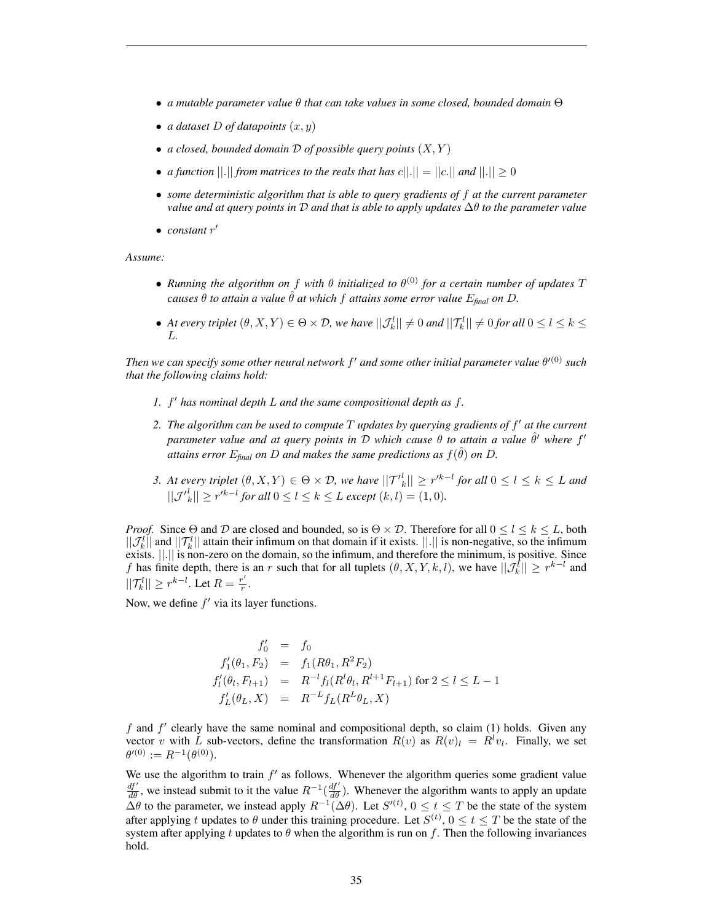- *a mutable parameter value* θ *that can take values in some closed, bounded domain* Θ
- *a dataset*  $D$  *of datapoints*  $(x, y)$
- *a closed, bounded domain* D *of possible query points* (X, Y )
- *a function*  $||.||$  *from matrices to the reals that has*  $c||.|| = ||c.||$  *and*  $||.|| \ge 0$
- *some deterministic algorithm that is able to query gradients of* f *at the current parameter value and at query points in* D *and that is able to apply updates* ∆θ *to the parameter value*
- *constant*  $r'$

*Assume:*

- *Running the algorithm on* f *with* θ *initialized to* θ (0) *for a certain number of updates* T *causes*  $\theta$  *to attain a value*  $\hat{\theta}$  *at which*  $f$  *attains some error value*  $E_{\text{final}}$  *on*  $D$ *.*
- At every triplet  $(\theta, X, Y) \in \Theta \times \mathcal{D}$ , we have  $||\mathcal{J}_k^l|| \neq 0$  and  $||\mathcal{T}_k^l|| \neq 0$  for all  $0 \leq l \leq k \leq k$ L*.*

*Then we can specify some other neural network* f <sup>0</sup> *and some other initial parameter value* θ <sup>0</sup>(0) *such that the following claims hold:*

- *1.* f <sup>0</sup> *has nominal depth* L *and the same compositional depth as* f*.*
- *2. The algorithm can be used to compute* T *updates by querying gradients of* f <sup>0</sup> *at the current*  $p$ *arameter value and at query points in*  $D$  *which cause*  $\theta$  *to attain a value*  $\hat{\theta}'$  *where*  $f'$  $\tilde{E}_{\text{d}}$  *attains error*  $E_{\text{final}}$  *on D and makes the same predictions as*  $f(\hat{\theta})$  *on D.*
- *3. At every triplet*  $(\theta, X, Y) \in \Theta \times \mathcal{D}$ , we have  $||\mathcal{T}'^l_k|| \geq r'^{k-l}$  for all  $0 \leq l \leq k \leq L$  and  $||{\cal J'}_k^l|| \geq r'^{k-l}$  for all  $0 \leq l \leq k \leq L$  except  $(k, l) = (1, 0)$ *.*

*Proof.* Since  $\Theta$  and  $\mathcal D$  are closed and bounded, so is  $\Theta \times \mathcal D$ . Therefore for all  $0 \leq l \leq k \leq L$ , both  $||\mathcal{J}_k^l||$  and  $||\mathcal{T}_k^l||$  attain their infimum on that domain if it exists.  $||.||$  is non-negative, so the infimum exists. ||.|| is non-zero on the domain, so the infimum, and therefore the minimum, is positive. Since f has finite depth, there is an r such that for all tuplets  $(\theta, X, Y, k, l)$ , we have  $||\mathcal{J}_k^l|| \geq r^{k-l}$  and  $||\mathcal{T}_{k}^{l}|| \geq r^{k-l}$ . Let  $R = \frac{r'}{r}$  $\frac{r}{r}$ .

Now, we define  $f'$  via its layer functions.

$$
f'_0 = f_0
$$
  
\n
$$
f'_1(\theta_1, F_2) = f_1(R\theta_1, R^2F_2)
$$
  
\n
$$
f'_l(\theta_l, F_{l+1}) = R^{-l} f_l(R^l\theta_l, R^{l+1}F_{l+1}) \text{ for } 2 \le l \le L - 1
$$
  
\n
$$
f'_L(\theta_L, X) = R^{-L} f_L(R^L\theta_L, X)
$$

f and  $f'$  clearly have the same nominal and compositional depth, so claim (1) holds. Given any vector v with L sub-vectors, define the transformation  $R(v)$  as  $R(v)_l = R^l v_l$ . Finally, we set  $\theta^{\prime(0)} := R^{-1}(\theta^{(0)}).$ 

We use the algorithm to train  $f'$  as follows. Whenever the algorithm queries some gradient value  $\frac{df'}{d\theta}$ , we instead submit to it the value  $R^{-1}(\frac{df'}{d\theta})$ . Whenever the algorithm wants to apply an update  $\Delta\theta$  to the parameter, we instead apply  $R^{-1}(\Delta\theta)$ . Let  $S^{(t)}$ ,  $0 \le t \le T$  be the state of the system after applying t updates to  $\theta$  under this training procedure. Let  $S^{(t)}$ ,  $0 \le t \le T$  be the state of the system after applying t updates to  $\theta$  when the algorithm is run on f. Then the following invariances hold.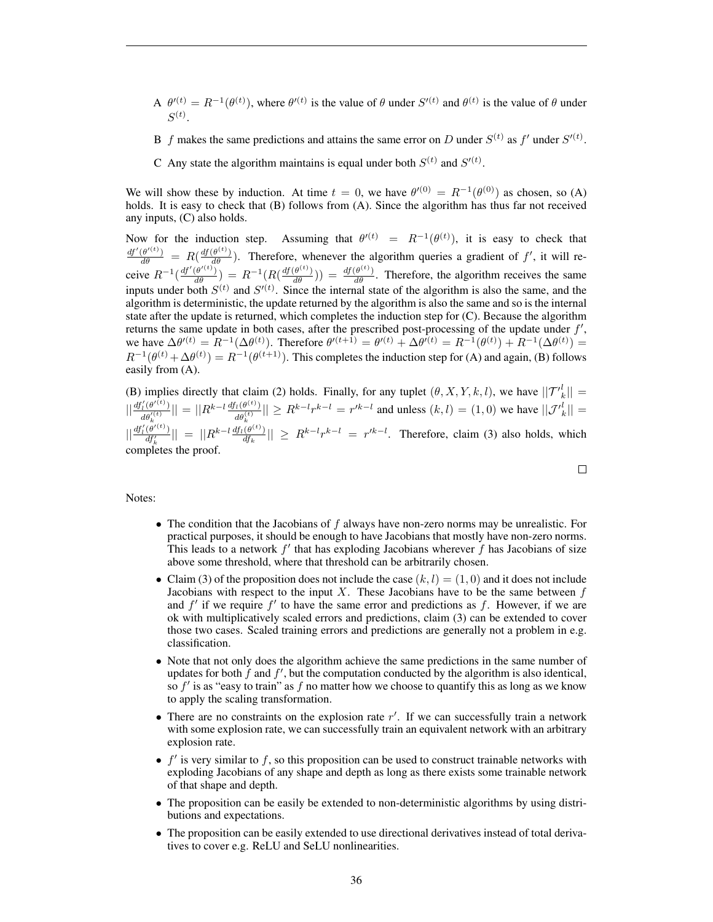- A  $\theta^{\prime}(t) = R^{-1}(\theta^{(t)})$ , where  $\theta^{\prime}(t)$  is the value of  $\theta$  under  $S^{\prime}(t)$  and  $\theta^{(t)}$  is the value of  $\theta$  under  $S^{(t)}$ .
- B f makes the same predictions and attains the same error on D under  $S^{(t)}$  as f' under  $S'^{(t)}$ .
- C Any state the algorithm maintains is equal under both  $S^{(t)}$  and  $S'^{(t)}$ .

We will show these by induction. At time  $t = 0$ , we have  $\theta^{(0)} = R^{-1}(\theta^{(0)})$  as chosen, so (A) holds. It is easy to check that (B) follows from (A). Since the algorithm has thus far not received any inputs, (C) also holds.

Now for the induction step. Assuming that  $\theta^{\prime(t)} = R^{-1}(\theta^{(t)})$ , it is easy to check that  $\frac{df'(\theta^{(t)})}{d\theta} = R(\frac{df(\theta^{(t)})}{d\theta})$ . Therefore, whenever the algorithm queries a gradient of f', it will receive  $R^{-1}(\frac{df'(\theta^{(t)})}{d\theta}) = R^{-1}(R(\frac{df(\theta^{(t)})}{d\theta})) = \frac{df(\theta^{(t)})}{d\theta}$ . Therefore, the algorithm receives the same inputs under both  $S^{(t)}$  and  $S'^{(t)}$ . Since the internal state of the algorithm is also the same, and the algorithm is deterministic, the update returned by the algorithm is also the same and so is the internal state after the update is returned, which completes the induction step for (C). Because the algorithm returns the same update in both cases, after the prescribed post-processing of the update under  $f'$ , we have  $\Delta \theta^{\prime (t)} = R^{-1} (\Delta \theta^{(t)})$ . Therefore  $\theta^{\prime (t+1)} = \theta^{\prime (t)} + \Delta \theta^{\prime (t)} = R^{-1} (\theta^{(t)}) + R^{-1} (\Delta \theta^{(t)}) =$  $R^{-1}(\theta^{(t)} + \Delta\theta^{(t)}) = R^{-1}(\theta^{(t+1)})$ . This completes the induction step for (A) and again, (B) follows easily from (A).

(B) implies directly that claim (2) holds. Finally, for any tuplet  $(\theta, X, Y, k, l)$ , we have  $||{\mathcal{T}}'_{k}|| =$  $\left\| \frac{df_l'(\theta'^{(t)})}{\theta^{(t)}} \right\|$  $\frac{d\theta_k^{\prime\left( \theta^{\prime\left( t\right) }\right) }}{d\theta_k^{\prime\left( t\right) }}||=||R^{k-l}\frac{df_l(\theta^{(t)})}{d\theta_k^{\left( t\right) }}$  $\frac{d_h(t^{(t)})}{dt^{(t)}_k}|| \ge R^{k-l}r^{k-l} = r'^{k-l}$  and unless  $(k,l) = (1,0)$  we have  $||{\cal J'}_k^l|| =$  $||\frac{df'_{l}(\theta'^{(t)})}{df'_{k}}|| = ||R^{k-l}\frac{df_{l}(\theta^{(t)})}{df_{k}}$  $\frac{(\theta^{(k)})}{df_k}$   $\vert \geq R^{k-l} r^{k-l} = r'^{k-l}$ . Therefore, claim (3) also holds, which completes the proof.

Notes:

- The condition that the Jacobians of  $f$  always have non-zero norms may be unrealistic. For practical purposes, it should be enough to have Jacobians that mostly have non-zero norms. This leads to a network  $f'$  that has exploding Jacobians wherever  $\hat{f}$  has Jacobians of size above some threshold, where that threshold can be arbitrarily chosen.
- Claim (3) of the proposition does not include the case  $(k, l) = (1, 0)$  and it does not include Jacobians with respect to the input X. These Jacobians have to be the same between  $f$ and  $f'$  if we require  $f'$  to have the same error and predictions as  $f$ . However, if we are ok with multiplicatively scaled errors and predictions, claim (3) can be extended to cover those two cases. Scaled training errors and predictions are generally not a problem in e.g. classification.
- Note that not only does the algorithm achieve the same predictions in the same number of updates for both  $\hat{f}$  and  $f'$ , but the computation conducted by the algorithm is also identical, so  $f'$  is as "easy to train" as f no matter how we choose to quantify this as long as we know to apply the scaling transformation.
- There are no constraints on the explosion rate  $r'$ . If we can successfully train a network with some explosion rate, we can successfully train an equivalent network with an arbitrary explosion rate.
- $\bullet$   $f'$  is very similar to  $f$ , so this proposition can be used to construct trainable networks with exploding Jacobians of any shape and depth as long as there exists some trainable network of that shape and depth.
- The proposition can be easily be extended to non-deterministic algorithms by using distributions and expectations.
- The proposition can be easily extended to use directional derivatives instead of total derivatives to cover e.g. ReLU and SeLU nonlinearities.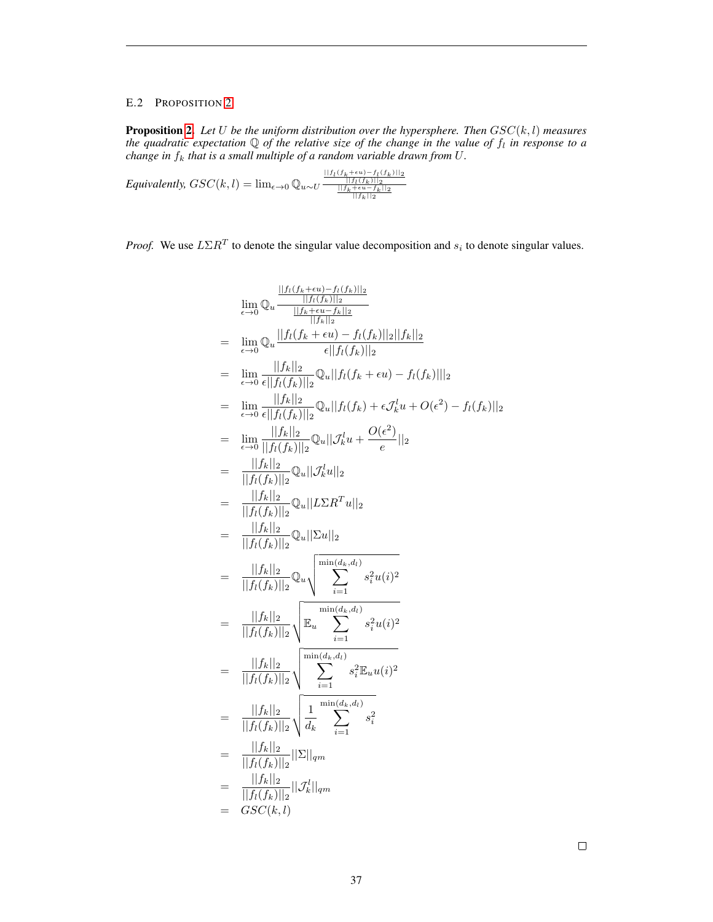# <span id="page-36-0"></span>E.2 PROPOSITION [2](#page-4-3)

**Proposition [2.](#page-4-3)** Let U be the uniform distribution over the hypersphere. Then  $GSC(k, l)$  measures the quadratic expectation  $\mathbb Q$  of the relative size of the change in the value of  $f_l$  in response to a *change in*  $f_k$  *that is a small multiple of a random variable drawn from U.* 

*Equivalently,*  $GSC(k, l) = \lim_{\epsilon \to 0} \mathbb{Q}_{u \sim U} \frac{\frac{||f_l(f_k + \epsilon u) - f_l(f_k)||_2}{||f_k(f_k)||_2}}{\frac{||f_k(f_k + \epsilon u) - f_l(f_k)||_2}{||f_k||_2}}$ 

*Proof.* We use  $L\Sigma R^T$  to denote the singular value decomposition and  $s_i$  to denote singular values.

$$
\lim_{\epsilon \to 0} Q_u \frac{\frac{\|f_I(f_k + \epsilon u) - f_I(f_k)\|_2}{\|f_k - \epsilon u - f_k\|_2}}{\frac{\|f_R(f_k + \epsilon u) - f_I(f_k)\|_2\|_2}{\|f_R(f_k)\|_2}} \\
= \lim_{\epsilon \to 0} Q_u \frac{\|f_I(f_k + \epsilon u) - f_I(f_k)\|_2\|f_k\|_2}{\epsilon \|f_I(f_k)\|_2} \\
= \lim_{\epsilon \to 0} \frac{\|f_k\|_2}{\epsilon \|f_I(f_k)\|_2} Q_u\|f_I(f_k + \epsilon u) - f_I(f_k)\|_2
$$
\n
$$
= \lim_{\epsilon \to 0} \frac{\|f_k\|_2}{\epsilon \|f_I(f_k)\|_2} Q_u\|f_I(f_k) + \epsilon f_k^l u + O(\epsilon^2) - f_I(f_k)\|_2
$$
\n
$$
= \lim_{\epsilon \to 0} \frac{\|f_k\|_2}{\|f_I(f_k)\|_2} Q_u\|f_k^l u + \frac{O(\epsilon^2)}{\epsilon} \|_2
$$
\n
$$
= \frac{\|f_k\|_2}{\|f_I(f_k)\|_2} Q_u\|L\Sigma R^T u\|_2
$$
\n
$$
= \frac{\|f_k\|_2}{\|f_I(f_k)\|_2} Q_u\|\Sigma u\|_2
$$
\n
$$
= \frac{\|f_k\|_2}{\|f_I(f_k)\|_2} Q_u\sqrt{\sum_{i=1}^{\min(d_k, d_l)} s_i^2 u(i)^2}
$$
\n
$$
= \frac{\|f_k\|_2}{\|f_I(f_k)\|_2} \sqrt{\mathbb{E}_u \sum_{i=1}^{\min(d_k, d_l)} s_i^2 u(i)^2}
$$
\n
$$
= \frac{\|f_k\|_2}{\|f_I(f_k)\|_2} \sqrt{\sum_{i=1}^{\min(d_k, d_l)} s_i^2 \mathbb{E}_u u(i)^2}
$$
\n
$$
= \frac{\|f_k\|_2}{\|f_I(f_k)\|_2} \sqrt{\frac{1}{d_k} \sum_{i=1}^{\min(d_k, d_l)} s_i^2}
$$
\n
$$
= \frac{\|f_k\|_2}{\|f_I(f_k)\|_2} \|\Sigma\|_{qm}
$$
\n
$$
= GSC(k, l)
$$

 $\Box$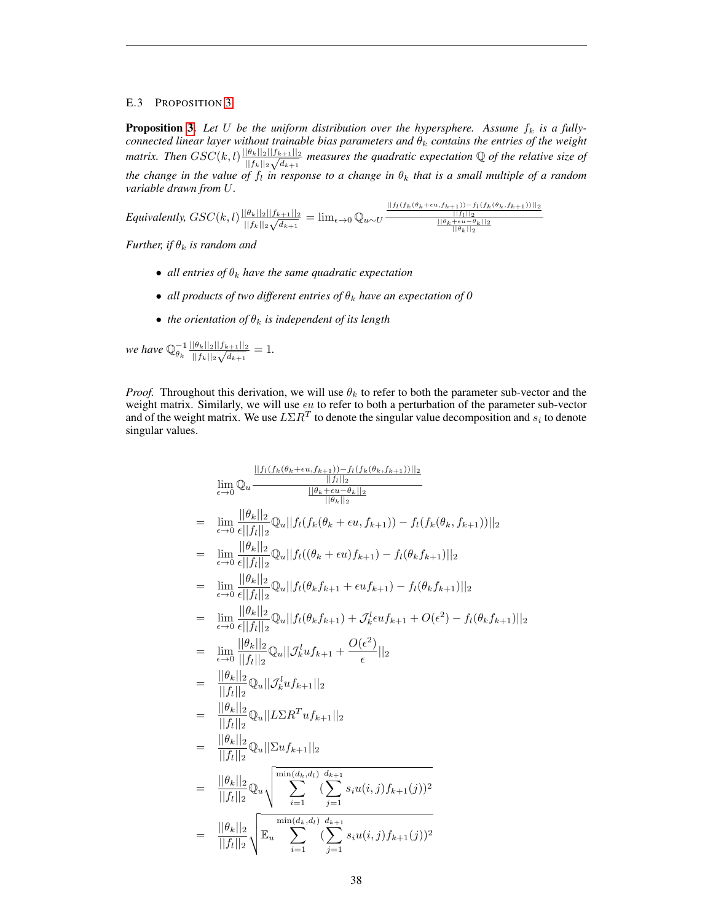# <span id="page-37-0"></span>E.3 PROPOSITION [3](#page-4-2)

**Proposition [3.](#page-4-2)** Let U be the uniform distribution over the hypersphere. Assume  $f_k$  is a fully*connected linear layer without trainable bias parameters and*  $\theta_k$  *contains the entries of the weight matrix. Then*  $GSC(k, l) \frac{||\theta_k||_2||f_{k+1}||_2}{|f_{k+1}||_2}$  $\frac{|\theta_k||_2||f_{k+1}||_2}{||f_k||_2\sqrt{d_{k+1}}}$  measures the quadratic expectation Q of the relative size of *the change in the value of*  $f_l$  *in response to a change in*  $\theta_k$  *that is a small multiple of a random variable drawn from* U*.*

*Equivalently,*  $GSC(k, l) \frac{||\theta_k||_2||f_{k+1}||_2}{|f_{k+1}||_2}$  $\frac{||f_l(f_k(\theta_k+\epsilon u,f_{k+1}))-f_l(f_k(\theta_k,f_{k+1}))||_2}{||f_k||_2\sqrt{d_{k+1}}}$ <br>  $||f_k||_2\sqrt{d_{k+1}}$  =  $\lim_{\epsilon\to 0}\mathbb{Q}_u \sim U \frac{\frac{||f_l(f_k(\theta_k+\epsilon u,f_{k+1}))-f_l(f_k(\theta_k,f_{k+1}))||_2}{||\theta_k||_2}}$ 

*Further, if*  $\theta_k$  *is random and* 

- *all entries of*  $\theta_k$  *have the same quadratic expectation*
- *all products of two different entries of*  $\theta_k$  *have an expectation of* 0
- *the orientation of*  $\theta_k$  *is independent of its length*

*we have*  $\mathbb{Q}_{\theta_k}^{-1} \frac{||\theta_k||_2||f_{k+1}||_2}{||f_k||_2 \sqrt{d_{k+1}}}$  $\frac{|\theta_k||_2||f_{k+1}||_2}{||f_k||_2\sqrt{d_{k+1}}} = 1.$ 

*Proof.* Throughout this derivation, we will use  $\theta_k$  to refer to both the parameter sub-vector and the weight matrix. Similarly, we will use  $\epsilon u$  to refer to both a perturbation of the parameter sub-vector and of the weight matrix. We use  $L\Sigma R^{T}$  to denote the singular value decomposition and  $s_{i}$  to denote singular values.

$$
\lim_{\epsilon \to 0} \mathbb{Q}_u \frac{||f_l(f_k(\theta_k + \epsilon u, f_{k+1})) - f_l(f_k(\theta_k, f_{k+1}))||_2}{||f_l||_2}
$$
\n
$$
= \lim_{\epsilon \to 0} \frac{||\theta_k||_2}{\epsilon||f_l||_2} \mathbb{Q}_u ||f_l(f_k(\theta_k + \epsilon u, f_{k+1})) - f_l(f_k(\theta_k, f_{k+1}))||_2
$$
\n
$$
= \lim_{\epsilon \to 0} \frac{||\theta_k||_2}{\epsilon||f_l||_2} \mathbb{Q}_u ||f_l((\theta_k + \epsilon u, f_{k+1})) - f_l(\theta_k f_{k+1})||_2
$$
\n
$$
= \lim_{\epsilon \to 0} \frac{||\theta_k||_2}{\epsilon||f_l||_2} \mathbb{Q}_u ||f_l(\theta_k f_{k+1} + \epsilon u f_{k+1}) - f_l(\theta_k f_{k+1})||_2
$$
\n
$$
= \lim_{\epsilon \to 0} \frac{||\theta_k||_2}{\epsilon||f_l||_2} \mathbb{Q}_u ||f_l(\theta_k f_{k+1}) + \mathcal{J}_k^l \epsilon u f_{k+1} + O(\epsilon^2) - f_l(\theta_k f_{k+1})||_2
$$
\n
$$
= \lim_{\epsilon \to 0} \frac{||\theta_k||_2}{||f_l||_2} \mathbb{Q}_u ||\mathcal{J}_k^l u f_{k+1} + \frac{O(\epsilon^2)}{\epsilon} ||_2
$$
\n
$$
= \frac{||\theta_k||_2}{||f_l||_2} \mathbb{Q}_u ||\mathcal{L}_k^l u f_{k+1}||_2
$$
\n
$$
= \frac{||\theta_k||_2}{||f_l||_2} \mathbb{Q}_u ||\Sigma \mathbb{R}^T u f_{k+1}||_2
$$
\n
$$
= \frac{||\theta_k||_2}{||f_l||_2} \mathbb{Q}_u ||\Sigma u f_{k+1}||_2
$$
\n
$$
= \frac{||\theta_k||_2}{||f_l||_2} \mathbb{Q}_u \frac{\min(d_k, d_l) d_{k+1}}{\sum_{i=1}^{i=1} (\sum_{j=1}^{i=1} s_i u(i,j) f_{k+1}(j))^2}
$$
\n
$$
= \
$$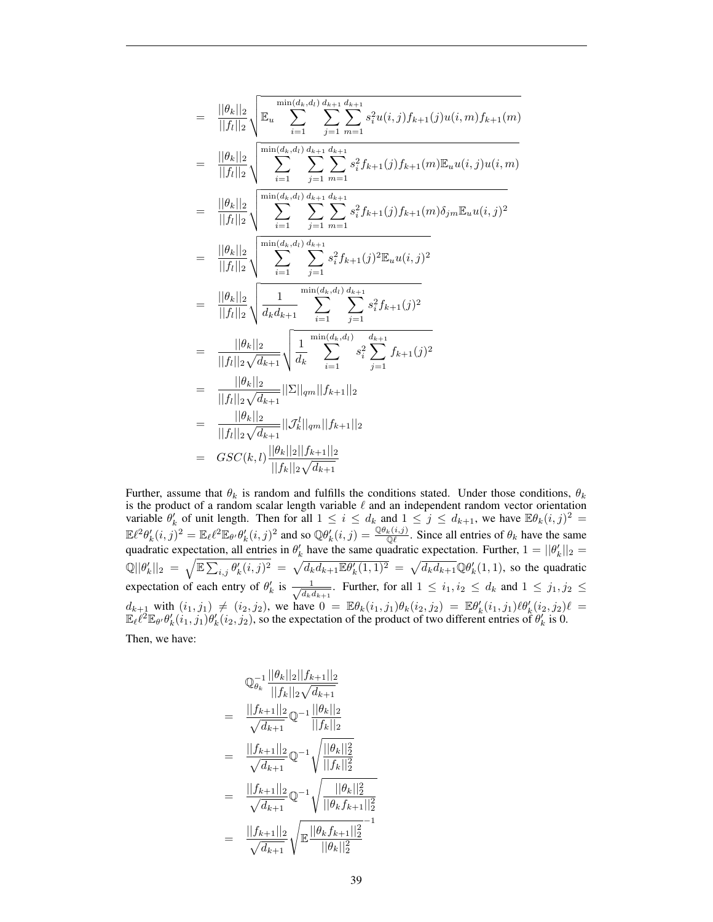$$
= \frac{||\theta_k||_2}{||f_l||_2} \sqrt{\mathbb{E}_u \sum_{i=1}^{\min(d_k, d_l)} \sum_{j=1}^{d_{k+1}} \sum_{m=1}^{d_{k+1}} s_i^2 u(i,j) f_{k+1}(j) u(i,m) f_{k+1}(m)}
$$
\n
$$
= \frac{||\theta_k||_2}{||f_l||_2} \sqrt{\sum_{i=1}^{\min(d_k, d_l)} \sum_{j=1}^{d_{k+1}} \sum_{m=1}^{d_{k+1}} s_i^2 f_{k+1}(j) f_{k+1}(m) \mathbb{E}_u u(i,j) u(i,m)}
$$
\n
$$
= \frac{||\theta_k||_2}{||f_l||_2} \sqrt{\sum_{i=1}^{\min(d_k, d_l)} \sum_{j=1}^{d_{k+1}} \sum_{m=1}^{d_{k+1}} s_i^2 f_{k+1}(j) f_{k+1}(m) \delta_{jm} \mathbb{E}_u u(i,j)^2}
$$
\n
$$
= \frac{||\theta_k||_2}{||f_l||_2} \sqrt{\sum_{i=1}^{\min(d_k, d_l)} \sum_{j=1}^{d_{k+1}} s_i^2 f_{k+1}(j)^2 \mathbb{E}_u u(i,j)^2}
$$
\n
$$
= \frac{||\theta_k||_2}{||f_l||_2} \sqrt{\frac{1}{d_k d_{k+1}}} \sum_{i=1}^{\min(d_k, d_l)} \sum_{j=1}^{d_{k+1}} s_i^2 f_{k+1}(j)^2
$$
\n
$$
= \frac{||\theta_k||_2}{||f_l||_2 \sqrt{d_{k+1}}} \sqrt{\frac{1}{d_k} \sum_{i=1}^{\min(d_k, d_l)} s_i^2 \sum_{j=1}^{d_{k+1}} f_{k+1}(j)^2}
$$
\n
$$
= \frac{||\theta_k||_2}{||f_l||_2 \sqrt{d_{k+1}}} ||\Sigma||_{qm} ||f_{k+1}||_2}
$$
\n
$$
= GSC(k,l) \frac{||\theta_k||_2 ||f_{k+1}||_2}{||f_k||_2 \sqrt{d_{k+1}}}
$$

Further, assume that  $\theta_k$  is random and fulfills the conditions stated. Under those conditions,  $\theta_k$ is the product of a random scalar length variable  $\ell$  and an independent random vector orientation variable  $\theta'_k$  of unit length. Then for all  $1 \leq i \leq d_k$  and  $1 \leq j \leq d_{k+1}$ , we have  $\mathbb{E}\theta_k(i,j)^2$  $\mathbb{E}\ell^2\theta'_k(i,j)^2 = \mathbb{E}_{\ell}\ell^2\mathbb{E}_{\theta'}\theta'_k(i,j)^2$  and so  $\mathbb{Q}\theta'_k(i,j) = \frac{\mathbb{Q}\theta_k(i,j)}{\mathbb{Q}\ell}$ . Since all entries of  $\theta_k$  have the same quadratic expectation, all entries in  $\theta'_k$  have the same quadratic expectation. Further,  $1 = ||\theta'_k||_2 =$  $\mathbb{Q}||\theta_k'||_2 = \sqrt{\mathbb{E}\sum_{i,j}\theta_k'(i,j)^2} = \sqrt{d_kd_{k+1}\mathbb{E}\theta_k'(1,1)^2} = \sqrt{d_kd_{k+1}}\mathbb{Q}\theta_k'(1,1)$ , so the quadratic expectation of each entry of  $\theta'_k$  is  $\frac{1}{\sqrt{dx}}$  $\frac{1}{d_k d_{k+1}}$ . Further, for all  $1 \leq i_1, i_2 \leq d_k$  and  $1 \leq j_1, j_2 \leq$  $d_{k+1}$  with  $(i_1, j_1) \neq (i_2, j_2)$ , we have  $0 = \mathbb{E} \theta_k(i_1, j_1) \theta_k(i_2, j_2) = \mathbb{E} \theta'_k(i_1, j_1) \ell \theta'_k(i_2, j_2) \ell =$  $\mathbb{E}_{\ell} \ell^2 \mathbb{E}_{\theta} \theta'_k(i_1, j_1) \theta'_k(i_2, j_2)$ , so the expectation of the product of two different entries of  $\theta'_k$  is 0.

Then, we have:

$$
\mathbb{Q}_{\theta_k}^{-1} \frac{||\theta_k||_2||f_{k+1}||_2}{||f_k||_2\sqrt{d_{k+1}}}
$$
\n
$$
= \frac{||f_{k+1}||_2}{\sqrt{d_{k+1}}} \mathbb{Q}^{-1} \frac{||\theta_k||_2}{||f_k||_2}
$$
\n
$$
= \frac{||f_{k+1}||_2}{\sqrt{d_{k+1}}} \mathbb{Q}^{-1} \sqrt{\frac{||\theta_k||_2^2}{||f_k||_2^2}}
$$
\n
$$
= \frac{||f_{k+1}||_2}{\sqrt{d_{k+1}}} \mathbb{Q}^{-1} \sqrt{\frac{||\theta_k||_2^2}{||\theta_k f_{k+1}||_2^2}}
$$
\n
$$
= \frac{||f_{k+1}||_2}{\sqrt{d_{k+1}}} \sqrt{\mathbb{E} \frac{||\theta_k f_{k+1}||_2^2}{||\theta_k||_2^2}}
$$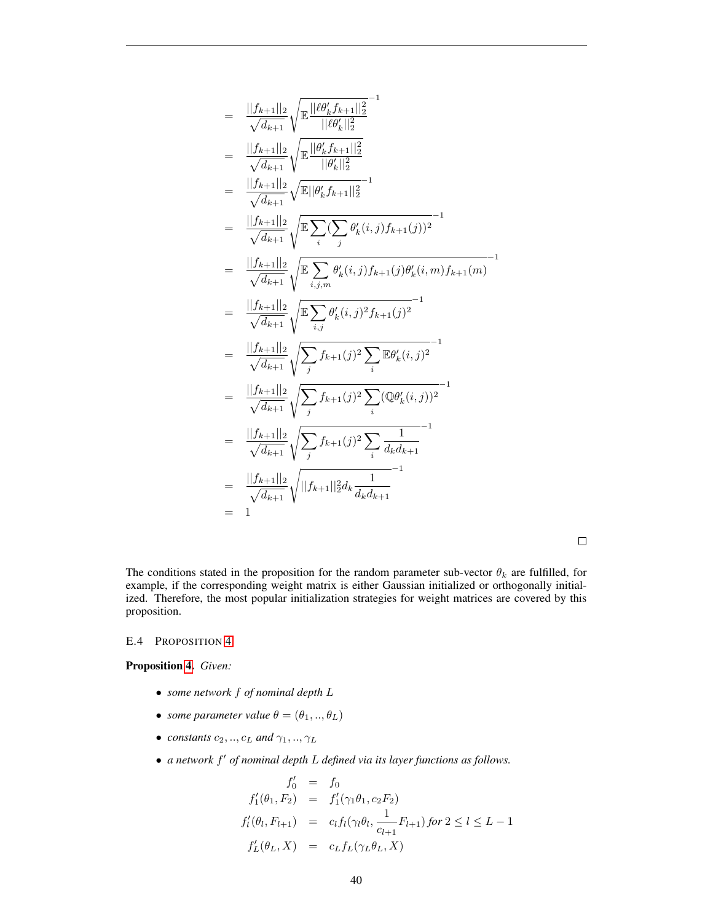$$
\begin{split}\n&= \frac{||f_{k+1}||_2}{\sqrt{d_{k+1}}} \sqrt{\mathbb{E} \frac{||\ell \theta'_k f_{k+1}||_2^2}{||\ell \theta'_k||_2^2}} \\
&= \frac{||f_{k+1}||_2}{\sqrt{d_{k+1}}} \sqrt{\mathbb{E} \frac{||\theta'_k f_{k+1}||_2^2}{||\theta'_k||_2^2}} \\
&= \frac{||f_{k+1}||_2}{\sqrt{d_{k+1}}} \sqrt{\mathbb{E} \frac{||\theta'_k f_{k+1}||_2^2}{||\theta'_k f_{k+1}||_2^2}}^{-1} \\
&= \frac{||f_{k+1}||_2}{\sqrt{d_{k+1}}} \sqrt{\mathbb{E} \sum_i (\sum_j \theta'_k(i,j) f_{k+1}(j))^2}^{-1} \\
&= \frac{||f_{k+1}||_2}{\sqrt{d_{k+1}}} \sqrt{\mathbb{E} \sum_{i,j,m} \theta'_k(i,j) f_{k+1}(j) \theta'_k(i,m) f_{k+1}(m)}^{-1} \\
&= \frac{||f_{k+1}||_2}{\sqrt{d_{k+1}}} \sqrt{\mathbb{E} \sum_{i,j} \theta'_k(i,j)^2 f_{k+1}(j)^2}^{-1} \\
&= \frac{||f_{k+1}||_2}{\sqrt{d_{k+1}}} \sqrt{\sum_j f_{k+1}(j)^2 \sum_i \mathbb{E} \theta'_k(i,j)^2}^{-1} \\
&= \frac{||f_{k+1}||_2}{\sqrt{d_{k+1}}} \sqrt{\sum_j f_{k+1}(j)^2 \sum_i (\mathbb{Q} \theta'_k(i,j))^2}^{-1} \\
&= \frac{||f_{k+1}||_2}{\sqrt{d_{k+1}}} \sqrt{\sum_j f_{k+1}(j)^2 \sum_i \frac{1}{d_k d_{k+1}}}^{-1} \\
&= \frac{||f_{k+1}||_2}{\sqrt{d_{k+1}}} \sqrt{||f_{k+1}||_2^2 d_k \frac{1}{d_k d_{k+1}}^{-1}}^{-1} \\
&= 1\n\end{split}
$$

 $\Box$ 

The conditions stated in the proposition for the random parameter sub-vector  $\theta_k$  are fulfilled, for example, if the corresponding weight matrix is either Gaussian initialized or orthogonally initialized. Therefore, the most popular initialization strategies for weight matrices are covered by this proposition.

#### <span id="page-39-0"></span>E.4 PROPOSITION [4](#page-4-1)

# Proposition [4.](#page-4-1) *Given:*

- *some network* f *of nominal depth* L
- *some parameter value*  $\theta = (\theta_1, ..., \theta_L)$
- *constants*  $c_2, ..., c_L$  *and*  $\gamma_1, ..., \gamma_L$
- *a network*  $f'$  *of nominal depth* L *defined via its layer functions as follows.*

$$
f'_0 = f_0
$$
  
\n
$$
f'_1(\theta_1, F_2) = f'_1(\gamma_1 \theta_1, c_2 F_2)
$$
  
\n
$$
f'_l(\theta_l, F_{l+1}) = c_l f_l(\gamma_l \theta_l, \frac{1}{c_{l+1}} F_{l+1}) \text{ for } 2 \le l \le L - 1
$$
  
\n
$$
f'_L(\theta_L, X) = c_L f_L(\gamma_L \theta_L, X)
$$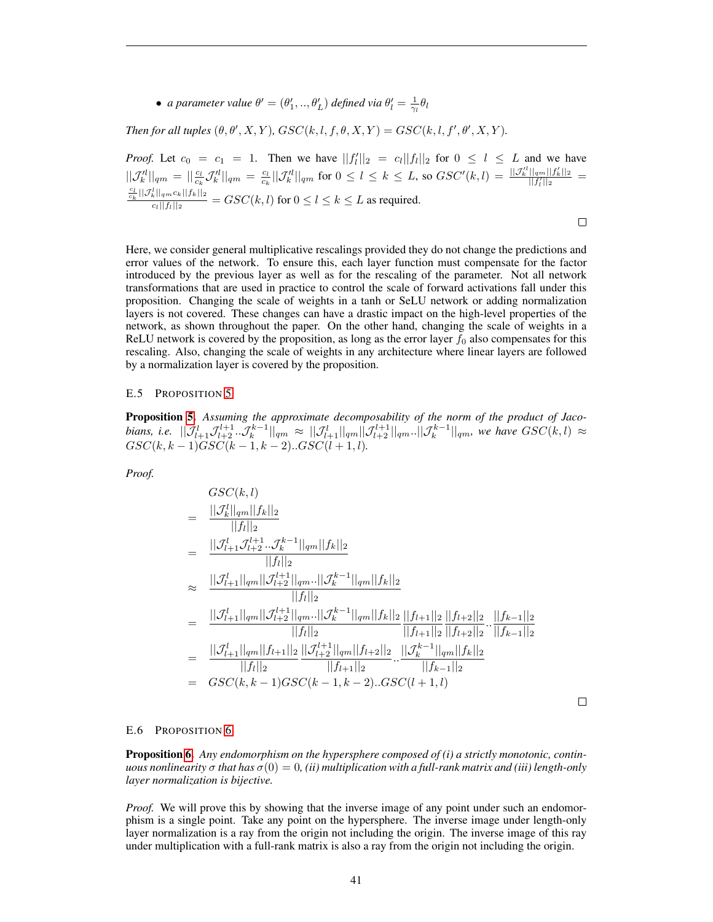• *a parameter value*  $\theta' = (\theta'_1, ..., \theta'_L)$  *defined via*  $\theta'_l = \frac{1}{\gamma_l} \theta_l$ 

*Then for all tuples*  $(\theta, \theta', X, Y)$ ,  $GSC(k, l, f, \theta, X, Y) = GSC(k, l, f', \theta', X, Y)$ .

*Proof.* Let  $c_0 = c_1 = 1$ . Then we have  $||f'_l||_2 = c_l||f_l||_2$  for  $0 \le l \le L$  and we have l  $||\mathcal{J}'^l_k||_{qm} = ||\frac{c_l}{c_k} \mathcal{J}^l_k||_{qm} = \frac{c_l}{c_k} ||\mathcal{J}^l_k||_{qm}$  for  $0 \le l \le k \le L$ , so  $GSC'(k, l) = \frac{||\mathcal{J}^l_k||_{qm}||f'_k||_2}{||f'_l||_2}$  $\frac{c_l}{c_k}||\mathcal{J}^l_k||_{qm}c_k||f_k||_2$  $\frac{k||qm \log ||f(k)||_2}{c_l||f_l||_2} = GSC(k, l)$  for  $0 \le l \le k \le L$  as required.

Here, we consider general multiplicative rescalings provided they do not change the predictions and error values of the network. To ensure this, each layer function must compensate for the factor introduced by the previous layer as well as for the rescaling of the parameter. Not all network transformations that are used in practice to control the scale of forward activations fall under this proposition. Changing the scale of weights in a tanh or SeLU network or adding normalization layers is not covered. These changes can have a drastic impact on the high-level properties of the network, as shown throughout the paper. On the other hand, changing the scale of weights in a ReLU network is covered by the proposition, as long as the error layer  $f_0$  also compensates for this rescaling. Also, changing the scale of weights in any architecture where linear layers are followed by a normalization layer is covered by the proposition.

## <span id="page-40-0"></span>E.5 PROPOSITION [5](#page-4-4)

Proposition [5.](#page-4-4) *Assuming the approximate decomposability of the norm of the product of Jaco* $b$ ians, i.e.  $||\mathcal{J}_{l+1}^l \mathcal{J}_{l+2}^{l+1}..\mathcal{J}_{k}^{k-1}||_{qm} \approx ||\mathcal{J}_{l+1}^l||_{qm} ||\mathcal{J}_{l+2}^{l+1}||_{qm} ... ||\mathcal{J}_{k}^{k-1}||_{qm}$ , we have  $GSC(k, l) \approx$  $GSC(k, k-1)GSC(k-1, k-2)...GSC(l+1, l).$ 

*Proof.*

$$
GSC(k, l)
$$
\n
$$
= \frac{||\mathcal{J}_{k}^{l}||_{qm}||f_{k}||_{2}}{||f_{l}||_{2}}
$$
\n
$$
= \frac{||\mathcal{J}_{l+1}^{l}\mathcal{J}_{l+2}^{l+1}...\mathcal{J}_{k}^{k-1}||_{qm}||f_{k}||_{2}}{||f_{l}||_{2}}
$$
\n
$$
\approx \frac{||\mathcal{J}_{l+1}^{l}||_{qm}||\mathcal{J}_{l+2}^{l+1}||_{qm}...||\mathcal{J}_{k}^{k-1}||_{qm}||f_{k}||_{2}}{||f_{l}||_{2}}
$$
\n
$$
= \frac{||\mathcal{J}_{l+1}^{l}||_{qm}||\mathcal{J}_{l+2}^{l+1}||_{qm}...||\mathcal{J}_{k}^{k-1}||_{qm}||f_{k}||_{2}||f_{l+1}||_{2}||f_{l+2}||_{2}...||f_{k-1}||_{2}}{||f_{l+1}||_{2}||f_{l+2}||_{2}...||f_{k-1}||_{2}}
$$
\n
$$
= \frac{||\mathcal{J}_{l+1}^{l}||_{qm}||f_{l+1}||_{2}||\mathcal{J}_{l+2}^{l+1}||_{qm}||f_{l+2}||_{2}...||\mathcal{J}_{k}^{k-1}||_{qm}||f_{k}||_{2}}{||f_{l+1}||_{2}...||f_{k-1}||_{2}}
$$
\n
$$
= GSC(k, k-1) GSC(k-1, k-2)...GSC(l+1, l)
$$

 $\Box$ 

 $\Box$ 

#### <span id="page-40-1"></span>E.6 PROPOSITION [6](#page-10-3)

Proposition [6.](#page-10-3) *Any endomorphism on the hypersphere composed of (i) a strictly monotonic, continuous nonlinearity*  $\sigma$  *that has*  $\sigma(0) = 0$ , *(ii) multiplication with a full-rank matrix and (iii) length-only layer normalization is bijective.*

*Proof.* We will prove this by showing that the inverse image of any point under such an endomorphism is a single point. Take any point on the hypersphere. The inverse image under length-only layer normalization is a ray from the origin not including the origin. The inverse image of this ray under multiplication with a full-rank matrix is also a ray from the origin not including the origin.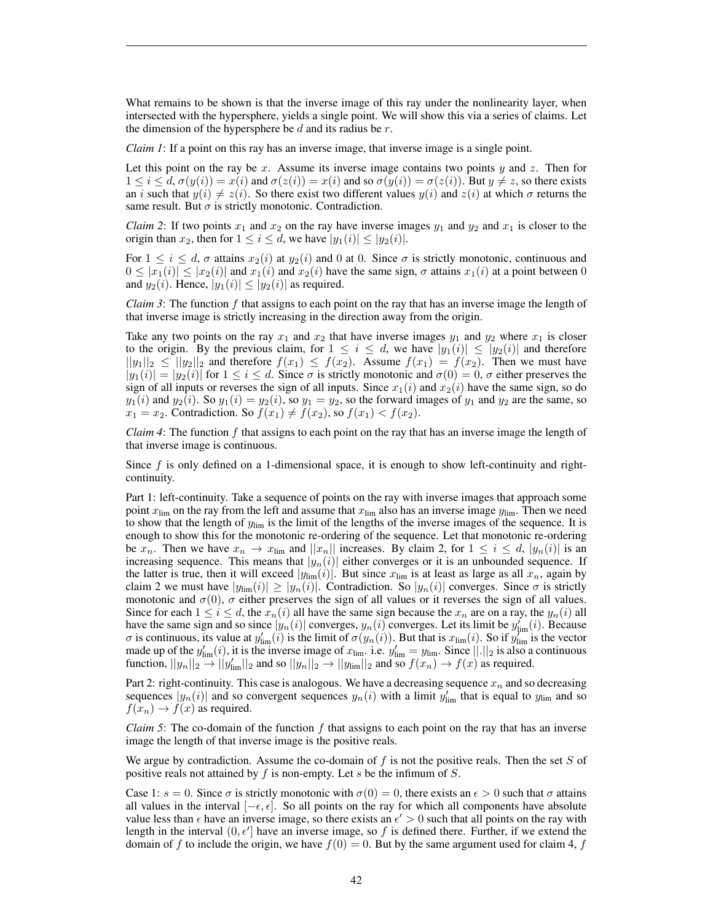What remains to be shown is that the inverse image of this ray under the nonlinearity layer, when intersected with the hypersphere, yields a single point. We will show this via a series of claims. Let the dimension of the hypersphere be  $d$  and its radius be  $r$ .

*Claim 1*: If a point on this ray has an inverse image, that inverse image is a single point.

Let this point on the ray be x. Assume its inverse image contains two points  $y$  and z. Then for  $1 \le i \le d$ ,  $\sigma(y(i)) = x(i)$  and  $\sigma(z(i)) = x(i)$  and so  $\sigma(y(i)) = \sigma(z(i))$ . But  $y \ne z$ , so there exists an i such that  $y(i) \neq z(i)$ . So there exist two different values  $y(i)$  and  $z(i)$  at which  $\sigma$  returns the same result. But  $\sigma$  is strictly monotonic. Contradiction.

*Claim 2*: If two points  $x_1$  and  $x_2$  on the ray have inverse images  $y_1$  and  $y_2$  and  $x_1$  is closer to the origin than  $x_2$ , then for  $1 \le i \le d$ , we have  $|y_1(i)| \le |y_2(i)|$ .

For  $1 \le i \le d$ ,  $\sigma$  attains  $x_2(i)$  at  $y_2(i)$  and 0 at 0. Since  $\sigma$  is strictly monotonic, continuous and  $0 \leq |x_1(i)| \leq |x_2(i)|$  and  $x_1(i)$  and  $x_2(i)$  have the same sign,  $\sigma$  attains  $x_1(i)$  at a point between 0 and  $y_2(i)$ . Hence,  $|y_1(i)| \le |y_2(i)|$  as required.

*Claim 3*: The function f that assigns to each point on the ray that has an inverse image the length of that inverse image is strictly increasing in the direction away from the origin.

Take any two points on the ray  $x_1$  and  $x_2$  that have inverse images  $y_1$  and  $y_2$  where  $x_1$  is closer to the origin. By the previous claim, for  $1 \le i \le d$ , we have  $|y_1(i)| \le |y_2(i)|$  and therefore  $||y_1||_2 \le ||y_2||_2$  and therefore  $f(x_1) \le f(x_2)$ . Assume  $f(x_1) = f(x_2)$ . Then we must have  $|y_1(i)| = |y_2(i)|$  for  $1 \le i \le d$ . Since  $\sigma$  is strictly monotonic and  $\sigma(0) = 0$ ,  $\sigma$  either preserves the sign of all inputs or reverses the sign of all inputs. Since  $x_1(i)$  and  $x_2(i)$  have the same sign, so do  $y_1(i)$  and  $y_2(i)$ . So  $y_1(i) = y_2(i)$ , so  $y_1 = y_2$ , so the forward images of  $y_1$  and  $y_2$  are the same, so  $x_1 = x_2$ . Contradiction. So  $f(x_1) \neq f(x_2)$ , so  $f(x_1) < f(x_2)$ .

*Claim 4*: The function f that assigns to each point on the ray that has an inverse image the length of that inverse image is continuous.

Since f is only defined on a 1-dimensional space, it is enough to show left-continuity and rightcontinuity.

Part 1: left-continuity. Take a sequence of points on the ray with inverse images that approach some point  $x_{\text{lim}}$  on the ray from the left and assume that  $x_{\text{lim}}$  also has an inverse image  $y_{\text{lim}}$ . Then we need to show that the length of  $y_{\text{lim}}$  is the limit of the lengths of the inverse images of the sequence. It is enough to show this for the monotonic re-ordering of the sequence. Let that monotonic re-ordering be  $x_n$ . Then we have  $x_n \to x_{\text{lim}}$  and  $||x_n||$  increases. By claim 2, for  $1 \le i \le d$ ,  $|y_n(i)|$  is an increasing sequence. This means that  $|y_n(i)|$  either converges or it is an unbounded sequence. If the latter is true, then it will exceed  $|y_{\text{lim}}(i)|$ . But since  $x_{\text{lim}}$  is at least as large as all  $x_n$ , again by claim 2 we must have  $|y_{\text{lim}}(i)| \ge |y_n(i)|$ . Contradiction. So  $|y_n(i)|$  converges. Since  $\sigma$  is strictly monotonic and  $\sigma(0)$ ,  $\sigma$  either preserves the sign of all values or it reverses the sign of all values. Since for each  $1 \le i \le d$ , the  $x_n(i)$  all have the same sign because the  $x_n$  are on a ray, the  $y_n(i)$  all have the same sign and so since  $|y_n(i)|$  converges,  $y_n(i)$  converges. Let its limit be  $y'_{\text{lim}}(i)$ . Because  $\sigma$  is continuous, its value at  $y'_{\text{lim}}(i)$  is the limit of  $\sigma(y_n(i))$ . But that is  $x_{\text{lim}}(i)$ . So if  $y''_{\text{lim}}$  is the vector made up of the  $y'_{\text{lim}}(i)$ , it is the inverse image of  $x_{\text{lim}}$ . i.e.  $y'_{\text{lim}} = y_{\text{lim}}$ . Since  $||.||_2$  is also a continuous function,  $||y_n||_2 \to ||y'_{\text{lim}}||_2$  and so  $||y_n||_2 \to ||y_{\text{lim}}||_2$  and so  $f(x_n) \to f(x)$  as required.

Part 2: right-continuity. This case is analogous. We have a decreasing sequence  $x_n$  and so decreasing sequences  $|y_n(i)|$  and so convergent sequences  $y_n(i)$  with a limit  $y'_{\text{lim}}$  that is equal to  $y_{\text{lim}}$  and so  $f(x_n) \to f(x)$  as required.

*Claim 5*: The co-domain of the function  $f$  that assigns to each point on the ray that has an inverse image the length of that inverse image is the positive reals.

We argue by contradiction. Assume the co-domain of  $f$  is not the positive reals. Then the set  $S$  of positive reals not attained by  $f$  is non-empty. Let  $s$  be the infimum of  $S$ .

Case 1:  $s = 0$ . Since  $\sigma$  is strictly monotonic with  $\sigma(0) = 0$ , there exists an  $\epsilon > 0$  such that  $\sigma$  attains all values in the interval  $[-\epsilon, \epsilon]$ . So all points on the ray for which all components have absolute value less than  $\epsilon$  have an inverse image, so there exists an  $\epsilon' > 0$  such that all points on the ray with length in the interval  $(0, \epsilon']$  have an inverse image, so f is defined there. Further, if we extend the domain of f to include the origin, we have  $f(0) = 0$ . But by the same argument used for claim 4, f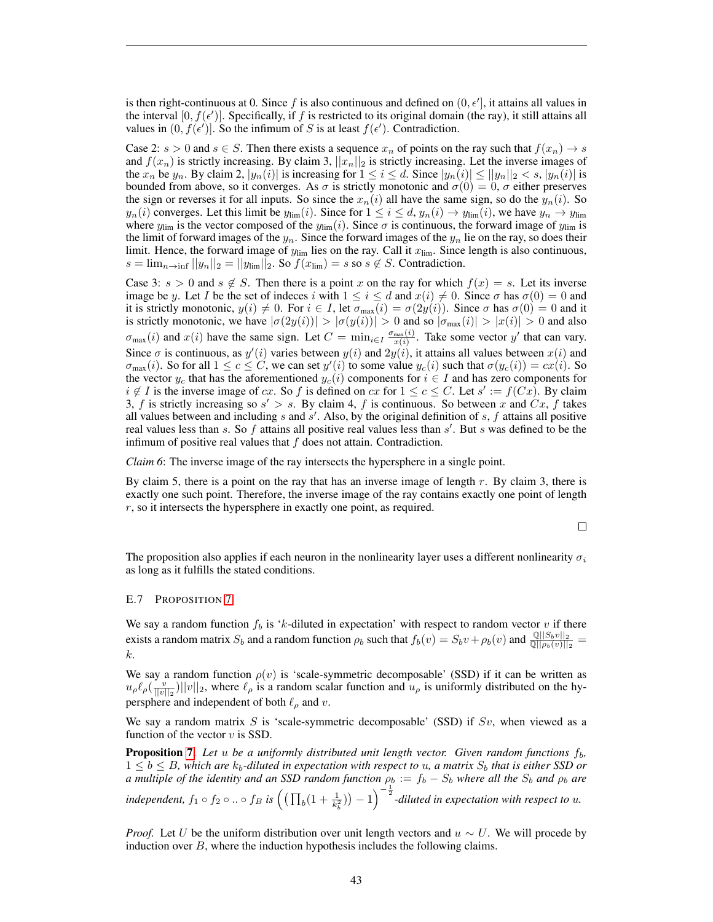is then right-continuous at 0. Since f is also continuous and defined on  $(0, \epsilon']$ , it attains all values in the interval  $[0, f(\epsilon')]$ . Specifically, if f is restricted to its original domain (the ray), it still attains all values in  $(0, f(\epsilon'))$ . So the infimum of S is at least  $f(\epsilon')$ . Contradiction.

Case 2:  $s > 0$  and  $s \in S$ . Then there exists a sequence  $x_n$  of points on the ray such that  $f(x_n) \to s$ and  $f(x_n)$  is strictly increasing. By claim 3,  $||x_n||_2$  is strictly increasing. Let the inverse images of the  $x_n$  be  $y_n$ . By claim 2,  $|y_n(i)|$  is increasing for  $1 \le i \le d$ . Since  $|y_n(i)| \le ||y_n||_2 < s$ ,  $|y_n(i)|$  is bounded from above, so it converges. As  $\sigma$  is strictly monotonic and  $\sigma(0) = 0$ ,  $\sigma$  either preserves the sign or reverses it for all inputs. So since the  $x_n(i)$  all have the same sign, so do the  $y_n(i)$ . So  $y_n(i)$  converges. Let this limit be  $y_{\text{lim}}(i)$ . Since for  $1 \le i \le d$ ,  $y_n(i) \to y_{\text{lim}}(i)$ , we have  $y_n \to y_{\text{lim}}$ where  $y_{\text{lim}}$  is the vector composed of the  $y_{\text{lim}}(i)$ . Since  $\sigma$  is continuous, the forward image of  $y_{\text{lim}}$  is the limit of forward images of the  $y_n$ . Since the forward images of the  $y_n$  lie on the ray, so does their limit. Hence, the forward image of  $y_{\text{lim}}$  lies on the ray. Call it  $x_{\text{lim}}$ . Since length is also continuous,  $s = \lim_{n \to \inf} ||y_n||_2 = ||y_{\lim}||_2$ . So  $f(x_{\lim}) = s$  so  $s \notin S$ . Contradiction.

Case 3:  $s > 0$  and  $s \notin S$ . Then there is a point x on the ray for which  $f(x) = s$ . Let its inverse image be y. Let I be the set of indeces i with  $1 \leq i \leq d$  and  $x(i) \neq 0$ . Since  $\sigma$  has  $\sigma(0) = 0$  and it is strictly monotonic,  $y(i) \neq 0$ . For  $i \in I$ , let  $\sigma_{\text{max}}(i) = \sigma(2y(i))$ . Since  $\sigma$  has  $\sigma(0) = 0$  and it is strictly monotonic, we have  $|\sigma(2y(i))| > |\sigma(y(i))| > 0$  and so  $|\sigma_{\text{max}}(i)| > |x(i)| > 0$  and also  $\sigma_{\max}(i)$  and  $x(i)$  have the same sign. Let  $C = \min_{i \in I} \frac{\sigma_{\max}(i)}{x(i)}$ . Take some vector y' that can vary. Since  $\sigma$  is continuous, as  $y'(i)$  varies between  $y(i)$  and  $2y(i)$ , it attains all values between  $x(i)$  and  $\sigma_{\max}(i)$ . So for all  $1 \le c \le C$ , we can set  $y'(i)$  to some value  $y_c(i)$  such that  $\sigma(y_c(i)) = cx(i)$ . So the vector  $y_c$  that has the aforementioned  $y_c(i)$  components for  $i \in I$  and has zero components for  $i \notin I$  is the inverse image of cx. So f is defined on cx for  $1 \leq c \leq C$ . Let  $s' := f(Cx)$ . By claim 3, f is strictly increasing so  $s' > s$ . By claim 4, f is continuous. So between x and  $Cx$ , f takes all values between and including s and  $s'$ . Also, by the original definition of s, f attains all positive real values less than s. So  $f$  attains all positive real values less than  $s'$ . But s was defined to be the infimum of positive real values that  $f$  does not attain. Contradiction.

*Claim 6*: The inverse image of the ray intersects the hypersphere in a single point.

By claim 5, there is a point on the ray that has an inverse image of length  $r$ . By claim 3, there is exactly one such point. Therefore, the inverse image of the ray contains exactly one point of length  $r$ , so it intersects the hypersphere in exactly one point, as required.

 $\Box$ 

The proposition also applies if each neuron in the nonlinearity layer uses a different nonlinearity  $\sigma_i$ as long as it fulfills the stated conditions.

#### <span id="page-42-0"></span>E.7 PROPOSITION [7](#page-14-0)

We say a random function  $f_b$  is 'k-diluted in expectation' with respect to random vector v if there exists a random matrix  $S_b$  and a random function  $\rho_b$  such that  $f_b(v) = S_b v + \rho_b(v)$  and  $\frac{\mathbb{Q}||S_b v||_2}{\mathbb{Q}||\rho_b(v)||_2}$ k.

We say a random function  $\rho(v)$  is 'scale-symmetric decomposable' (SSD) if it can be written as  $u_\rho \ell_\rho \left(\frac{v}{||v||_2}\right) ||v||_2$ , where  $\ell_\rho$  is a random scalar function and  $u_\rho$  is uniformly distributed on the hypersphere and independent of both  $\ell_{\rho}$  and v.

We say a random matrix S is 'scale-symmetric decomposable' (SSD) if  $Sv$ , when viewed as a function of the vector  $v$  is SSD.

**Proposition [7.](#page-14-0)** Let u be a uniformly distributed unit length vector. Given random functions  $f_b$ ,  $1 \leq b \leq B$ , which are  $k_b$ -diluted in expectation with respect to u, a matrix  $S_b$  that is either SSD or *a multiple of the identity and an SSD random function*  $\rho_b := f_b - S_b$  where all the  $S_b$  and  $\rho_b$  are independent,  $f_1 \circ f_2 \circ ... \circ f_B$  is  $\left( (\prod_b (1 + \frac{1}{k_b^2})) - 1 \right)^{-\frac{1}{2}}$ -diluted in expectation with respect to u.

*Proof.* Let U be the uniform distribution over unit length vectors and  $u \sim U$ . We will procede by induction over  $B$ , where the induction hypothesis includes the following claims.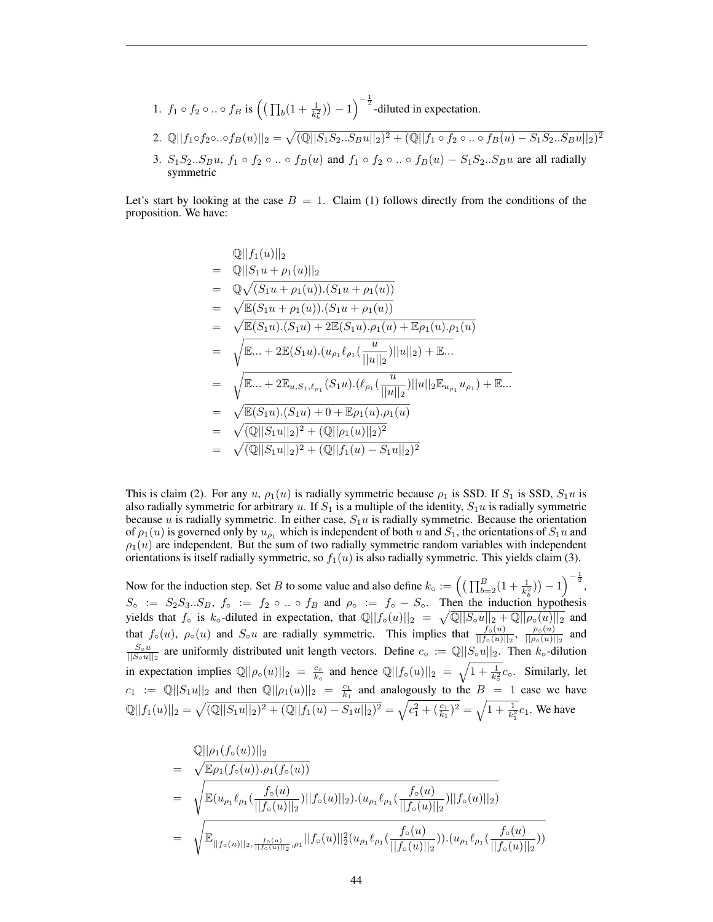- 1.  $f_1 \circ f_2 \circ ... \circ f_B$  is  $\left( \left( \prod_b (1 + \frac{1}{k_b^2}) \right) 1 \right)^{-\frac{1}{2}}$ -diluted in expectation.
- 2.  $\mathbb{Q}||f_1 \circ f_2 \circ ... \circ f_B(u)||_2 = \sqrt{(\mathbb{Q}||S_1S_2...S_Bu||_2)^2 + (\mathbb{Q}||f_1 \circ f_2 \circ ... \circ f_B(u) S_1S_2...S_Bu||_2)^2}$
- 3.  $S_1S_2...S_Bu$ ,  $f_1 \circ f_2 \circ ... \circ f_B(u)$  and  $f_1 \circ f_2 \circ ... \circ f_B(u) S_1S_2...S_Bu$  are all radially symmetric

Let's start by looking at the case  $B = 1$ . Claim (1) follows directly from the conditions of the proposition. We have:

$$
\mathbb{Q}||f_1(u)||_2\n= \mathbb{Q}||S_1u + \rho_1(u)||_2\n= \mathbb{Q}\sqrt{(S_1u + \rho_1(u)).(S_1u + \rho_1(u))}\n= \sqrt{\mathbb{E}(S_1u + \rho_1(u)).(S_1u + \rho_1(u))}\n= \sqrt{\mathbb{E}(S_1u).(S_1u) + 2\mathbb{E}(S_1u).\rho_1(u) + \mathbb{E}\rho_1(u).\rho_1(u)}\n= \sqrt{\mathbb{E}... + 2\mathbb{E}(S_1u).(u_{\rho_1}\ell_{\rho_1}(\frac{u}{||u||_2})||u||_2) + \mathbb{E}...}\n= \sqrt{\mathbb{E}... + 2\mathbb{E}_{u,S_1,\ell_{\rho_1}}(S_1u).(\ell_{\rho_1}(\frac{u}{||u||_2})||u||_2\mathbb{E}_{u_{\rho_1}}u_{\rho_1}) + \mathbb{E}...}\n= \sqrt{\mathbb{E}(S_1u).(S_1u) + 0 + \mathbb{E}\rho_1(u).\rho_1(u)}\n= \sqrt{(\mathbb{Q}||S_1u||_2)^2 + (\mathbb{Q}||\rho_1(u)||_2)^2}\n= \sqrt{(\mathbb{Q}||S_1u||_2)^2 + (\mathbb{Q}||f_1(u) - S_1u||_2)^2}
$$

This is claim (2). For any u,  $\rho_1(u)$  is radially symmetric because  $\rho_1$  is SSD. If  $S_1$  is SSD,  $S_1u$  is also radially symmetric for arbitrary u. If  $S_1$  is a multiple of the identity,  $S_1u$  is radially symmetric because u is radially symmetric. In either case,  $S_1u$  is radially symmetric. Because the orientation of  $\rho_1(u)$  is governed only by  $u_{\rho_1}$  which is independent of both u and  $S_1$ , the orientations of  $S_1u$  and  $\rho_1(u)$  are independent. But the sum of two radially symmetric random variables with independent orientations is itself radially symmetric, so  $f_1(u)$  is also radially symmetric. This yields claim (3).

Now for the induction step. Set B to some value and also define  $k_0 := \left( \left( \prod_{b=2}^B (1 + \frac{1}{k_b^2}) \right) - 1 \right)^{-\frac{1}{2}}$ ,  $S_{\circ}$  :=  $S_2S_3...S_B$ ,  $f_{\circ}$  :=  $f_2 \circ ... \circ f_B$  and  $\rho_{\circ}$  :=  $f_{\circ} - S_{\circ}$ . Then the induction hypothesis yields that  $f_0$  is  $k_0$ -diluted in expectation, that  $\mathbb{Q}||f_0(u)||_2 = \sqrt{\mathbb{Q}||S_0u||_2 + \mathbb{Q}||\rho_0(u)||_2}$  and that  $f_0(u)$ ,  $\rho_0(u)$  and  $S_0u$  are radially symmetric. This implies that  $\frac{f_0(u)}{||f_0(u)||_2}$ ,  $\frac{\rho_0(u)}{||\rho_0(u)||_2}$  $\frac{\rho_{\circ}(u)}{||\rho_{\circ}(u)||_2}$  and  $\frac{S_0u}{\vert |S_0u||_2}$  are uniformly distributed unit length vectors. Define  $c_0 := \mathbb{Q}||S_0u||_2$ . Then  $k_0$ -dilution in expectation implies  $\mathbb{Q}||\rho_o(u)||_2 = \frac{c_o}{k_o}$  and hence  $\mathbb{Q}||f_o(u)||_2 = \sqrt{1 + \frac{1}{k_o^2}}c_o$ . Similarly, let  $c_1 := \mathbb{Q}||S_1u||_2$  and then  $\mathbb{Q}||\rho_1(u)||_2 = \frac{c_1}{k_1}$  and analogously to the  $B = 1$  case we have  $\mathbb{Q}||f_1(u)||_2 = \sqrt{(\mathbb{Q}||S_1u||_2)^2 + (\mathbb{Q}||f_1(u) - S_1u||_2)^2} = \sqrt{c_1^2 + (\frac{c_1}{k_1})^2} = \sqrt{1 + \frac{1}{k_1^2}}c_1.$  We have

$$
\begin{split}\n&= \sqrt{\mathbb{E}\rho_1(f_\circ(u))||_2} \\
&= \sqrt{\mathbb{E}\rho_1(f_\circ(u))\cdot \rho_1(f_\circ(u))} \\
&= \sqrt{\mathbb{E}(u_{\rho_1}\ell_{\rho_1}(\frac{f_\circ(u)}{||f_\circ(u)||_2})||f_\circ(u)||_2)\cdot (u_{\rho_1}\ell_{\rho_1}(\frac{f_\circ(u)}{||f_\circ(u)||_2})||f_\circ(u)||_2)} \\
&= \sqrt{\mathbb{E}_{||f_\circ(u)||_2, \frac{f_\circ(u)}{||f_\circ(u)||_2}, \rho_1}||f_\circ(u)||_2^2(u_{\rho_1}\ell_{\rho_1}(\frac{f_\circ(u)}{||f_\circ(u)||_2}))\cdot (u_{\rho_1}\ell_{\rho_1}(\frac{f_\circ(u)}{||f_\circ(u)||_2}))}\n\end{split}
$$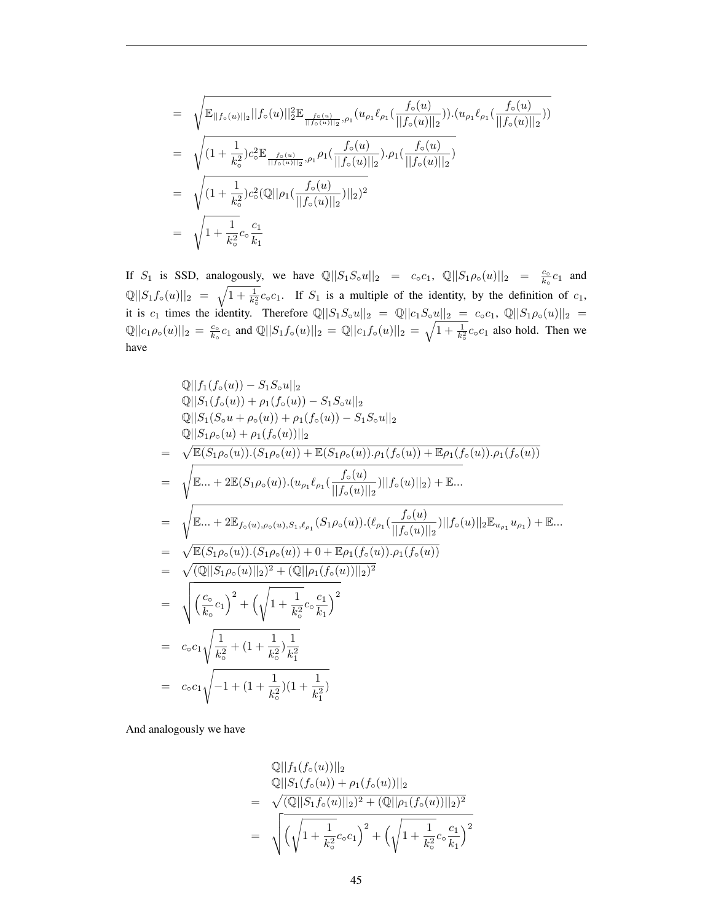$$
= \sqrt{\mathbb{E}_{||f_{\circ}(u)||_2}||f_{\circ}(u)||_{2}^{2}\mathbb{E}_{\frac{f_{\circ}(u)}{||f_{\circ}(u)||_2},\rho_1}(u_{\rho_1}\ell_{\rho_1}(\frac{f_{\circ}(u)}{||f_{\circ}(u)||_2})) \cdot (u_{\rho_1}\ell_{\rho_1}(\frac{f_{\circ}(u)}{||f_{\circ}(u)||_2}))}
$$
\n
$$
= \sqrt{(1 + \frac{1}{k_{\circ}^{2}})c_{\circ}^{2}\mathbb{E}_{\frac{f_{\circ}(u)}{||f_{\circ}(u)||_2},\rho_1}\rho_1(\frac{f_{\circ}(u)}{||f_{\circ}(u)||_2}) \cdot \rho_1(\frac{f_{\circ}(u)}{||f_{\circ}(u)||_2})}
$$
\n
$$
= \sqrt{(1 + \frac{1}{k_{\circ}^{2}})c_{\circ}^{2}(\mathbb{Q}||\rho_1(\frac{f_{\circ}(u)}{||f_{\circ}(u)||_2})||_2)^{2}}
$$
\n
$$
= \sqrt{1 + \frac{1}{k_{\circ}^{2}}c_{\circ}\frac{c_{1}}{k_{1}}}
$$

If  $S_1$  is SSD, analogously, we have  $\mathbb{Q}||S_1S_0u||_2 = c_0c_1$ ,  $\mathbb{Q}||S_1\rho_0(u)||_2 = \frac{c_0}{k_0}c_1$  and  $\mathbb{Q}||S_1f_\circ(u)||_2 = \sqrt{1 + \frac{1}{k_0^2}}c_\circ c_1$ . If  $S_1$  is a multiple of the identity, by the definition of  $c_1$ , it is  $c_1$  times the identity. Therefore  $\mathbb{Q}||S_1S_0u||_2 = \mathbb{Q}||c_1S_0u||_2 = c_0c_1$ ,  $\mathbb{Q}||S_1\rho_0(u)||_2 =$  $\mathbb{Q}||c_1\rho_\circ(u)||_2 = \frac{c_\circ}{k_\circ}c_1$  and  $\mathbb{Q}||S_1f_\circ(u)||_2 = \mathbb{Q}||c_1f_\circ(u)||_2 = \sqrt{1 + \frac{1}{k_\circ^2}}c_\circ c_1$  also hold. Then we have

$$
\mathbb{Q}||f_1(f_0(u)) - S_1S_0u||_2
$$
\n
$$
\mathbb{Q}||S_1(f_0(u)) + \rho_1(f_0(u)) - S_1S_0u||_2
$$
\n
$$
\mathbb{Q}||S_1(S_0u + \rho_0(u)) + \rho_1(f_0(u)) - S_1S_0u||_2
$$
\n
$$
\mathbb{Q}||S_1\rho_0(u) + \rho_1(f_0(u))||_2
$$
\n
$$
= \sqrt{\mathbb{E}(S_1\rho_0(u)).(S_1\rho_0(u)) + \mathbb{E}(S_1\rho_0(u)).\rho_1(f_0(u)) + \mathbb{E}\rho_1(f_0(u)).\rho_1(f_0(u))}
$$
\n
$$
= \sqrt{\mathbb{E}... + 2\mathbb{E}(S_1\rho_0(u)).(u_{\rho_1}\ell_{\rho_1}(\frac{f_0(u)}{||f_0(u)||_2})||f_0(u)||_2) + \mathbb{E}...}
$$
\n
$$
= \sqrt{\mathbb{E}... + 2\mathbb{E}_{f_0(u),\rho_0(u),S_1,\ell_{\rho_1}}(S_1\rho_0(u)).(\ell_{\rho_1}(\frac{f_0(u)}{||f_0(u)||_2})||f_0(u)||_2\mathbb{E}_{u_{\rho_1}}u_{\rho_1}) + \mathbb{E}...}
$$
\n
$$
= \sqrt{\mathbb{E}(S_1\rho_0(u)).(S_1\rho_0(u)) + 0 + \mathbb{E}\rho_1(f_0(u)).\rho_1(f_0(u))}
$$
\n
$$
= \sqrt{(\mathbb{Q}||S_1\rho_0(u)||_2)^2 + (\mathbb{Q}||\rho_1(f_0(u))||_2)^2}
$$
\n
$$
= \sqrt{\frac{c_0}{k_0}c_1}^2 + (\sqrt{1 + \frac{1}{k_0^2}c_0\frac{c_1}{k_1}})^2
$$
\n
$$
= c_0c_1\sqrt{\frac{1}{k_0^2} + (1 + \frac{1}{k_0^2})(1 + \frac{1}{k_1^2})}
$$

And analogously we have

$$
\mathbb{Q}||f_1(f_0(u))||_2
$$
  
\n
$$
\mathbb{Q}||S_1(f_0(u)) + \rho_1(f_0(u))||_2
$$
  
\n
$$
= \sqrt{(\mathbb{Q}||S_1f_0(u)||_2)^2 + (\mathbb{Q}||\rho_1(f_0(u))||_2)^2}
$$
  
\n
$$
= \sqrt{(\sqrt{1 + \frac{1}{k_o^2}}c_o c_1)^2 + (\sqrt{1 + \frac{1}{k_o^2}}c_o \frac{c_1}{k_1})^2}
$$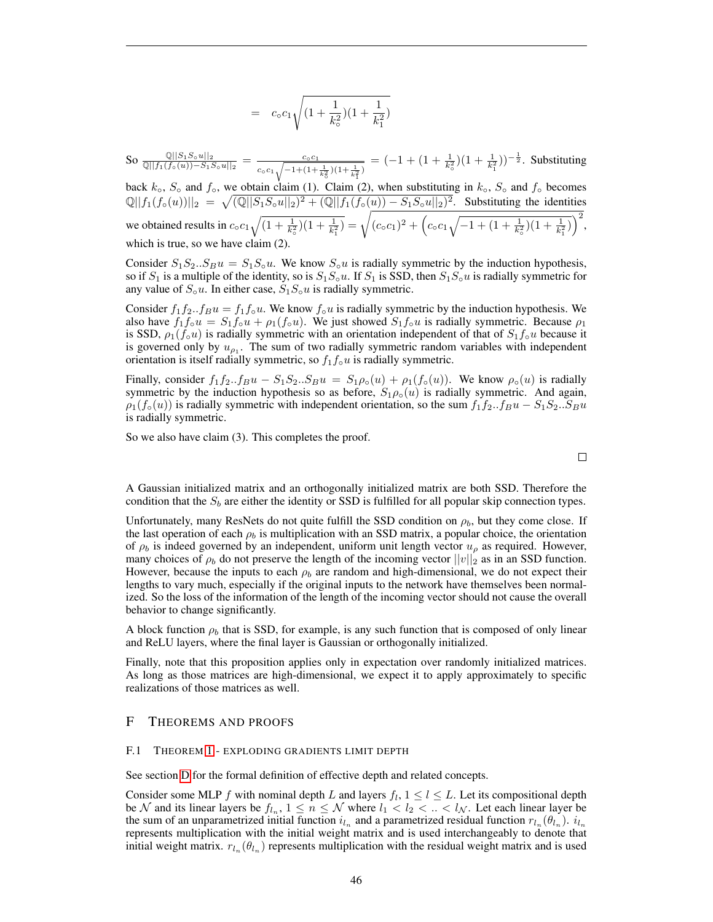$$
= c_0 c_1 \sqrt{\left(1 + \frac{1}{k_0^2}\right)\left(1 + \frac{1}{k_1^2}\right)}
$$

So <sup>Q</sup>||S1S◦u||<sup>2</sup> Q||f1(f◦(u))−S1S◦u||<sup>2</sup> = c◦c<sup>1</sup>  $\frac{c_0 c_1}{c_0 c_1 \sqrt{-1+(1+\frac{1}{k_0^2})(1+\frac{1}{k_1^2})}} = (-1+(1+\frac{1}{k_0^2})(1+\frac{1}{k_1^2}))^{-\frac{1}{2}}$ . Substituting

back  $k<sub>o</sub>$ ,  $S<sub>o</sub>$  and  $f<sub>o</sub>$ , we obtain claim (1). Claim (2), when substituting in  $k<sub>o</sub>$ ,  $S<sub>o</sub>$  and  $f<sub>o</sub>$  becomes  $\mathbb{Q}||f_1(f_0(u))||_2 = \sqrt{(\mathbb{Q}||S_1S_0u||_2)^2 + (\mathbb{Q}||f_1(f_0(u)) - S_1S_0u||_2)^2}$ . Substituting the identities we obtained results in  $c_0 c_1 \sqrt{(1 + \frac{1}{k_0^2})(1 + \frac{1}{k_1^2})} = \sqrt{(c_0 c_1)^2 + (c_0 c_1 \sqrt{-1 + (1 + \frac{1}{k_0^2})(1 + \frac{1}{k_1^2})})^2}$ , which is true, so we have claim (2).

Consider  $S_1S_2...S_Bu = S_1S_0u$ . We know  $S_0u$  is radially symmetric by the induction hypothesis, so if  $S_1$  is a multiple of the identity, so is  $S_1S_0u$ . If  $S_1$  is SSD, then  $S_1S_0u$  is radially symmetric for any value of  $S_0u$ . In either case,  $S_1S_0u$  is radially symmetric.

Consider  $f_1f_2...f_Bu = f_1f_{\circ}u$ . We know  $f_{\circ}u$  is radially symmetric by the induction hypothesis. We also have  $f_1f_0u = S_1f_0u + \rho_1(f_0u)$ . We just showed  $S_1f_0u$  is radially symmetric. Because  $\rho_1$ is SSD,  $\rho_1(f_0u)$  is radially symmetric with an orientation independent of that of  $S_1f_0u$  because it is governed only by  $u_{\rho_1}$ . The sum of two radially symmetric random variables with independent orientation is itself radially symmetric, so  $f_1f_0u$  is radially symmetric.

Finally, consider  $f_1f_2...f_Bu - S_1S_2...S_Bu = S_1\rho_o(u) + \rho_1(f_o(u))$ . We know  $\rho_o(u)$  is radially symmetric by the induction hypothesis so as before,  $S_1 \rho_o(u)$  is radially symmetric. And again,  $\rho_1(f_\circ(u))$  is radially symmetric with independent orientation, so the sum  $f_1f_2...f_Bu - S_1S_2...S_Bu$ is radially symmetric.

So we also have claim (3). This completes the proof.

$$
\qquad \qquad \Box
$$

A Gaussian initialized matrix and an orthogonally initialized matrix are both SSD. Therefore the condition that the  $S_b$  are either the identity or SSD is fulfilled for all popular skip connection types.

Unfortunately, many ResNets do not quite fulfill the SSD condition on  $\rho_b$ , but they come close. If the last operation of each  $\rho_b$  is multiplication with an SSD matrix, a popular choice, the orientation of  $\rho_b$  is indeed governed by an independent, uniform unit length vector  $u_\rho$  as required. However, many choices of  $\rho_b$  do not preserve the length of the incoming vector  $||v||_2$  as in an SSD function. However, because the inputs to each  $\rho_b$  are random and high-dimensional, we do not expect their lengths to vary much, especially if the original inputs to the network have themselves been normalized. So the loss of the information of the length of the incoming vector should not cause the overall behavior to change significantly.

A block function  $\rho_b$  that is SSD, for example, is any such function that is composed of only linear and ReLU layers, where the final layer is Gaussian or orthogonally initialized.

Finally, note that this proposition applies only in expectation over randomly initialized matrices. As long as those matrices are high-dimensional, we expect it to apply approximately to specific realizations of those matrices as well.

# <span id="page-45-0"></span>F THEOREMS AND PROOFS

## <span id="page-45-1"></span>F.1 THEOREM [1](#page-7-0) - EXPLODING GRADIENTS LIMIT DEPTH

See section [D](#page-30-1) for the formal definition of effective depth and related concepts.

Consider some MLP f with nominal depth L and layers  $f_l$ ,  $1 \leq l \leq L$ . Let its compositional depth be  $N$  and its linear layers be  $f_{l_n}$ ,  $1 \leq n \leq N$  where  $l_1 < l_2 < ... < l_N$ . Let each linear layer be the sum of an unparametrized initial function  $i_{l_n}$  and a parametrized residual function  $r_{l_n}(\theta_{l_n})$ .  $i_{l_n}$ represents multiplication with the initial weight matrix and is used interchangeably to denote that initial weight matrix.  $r_{l_n}(\theta_{l_n})$  represents multiplication with the residual weight matrix and is used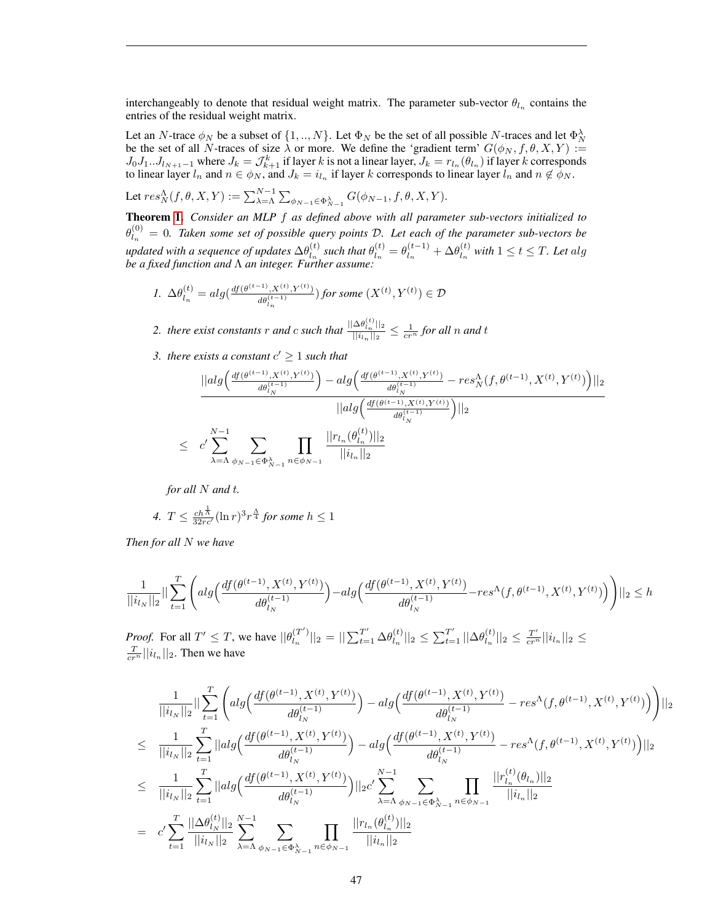interchangeably to denote that residual weight matrix. The parameter sub-vector  $\theta_{l_n}$  contains the entries of the residual weight matrix.

Let an N-trace  $\phi_N$  be a subset of  $\{1, ..., N\}$ . Let  $\Phi_N$  be the set of all possible N-traces and let  $\Phi_N^{\lambda}$ be the set of all N-traces of size  $\lambda$  or more. We define the 'gradient term'  $G(\phi_N, f, \theta, X, Y) :=$  $J_0J_1...J_{l_{N+1}-1}$  where  $J_k = \mathcal{J}_{k+1}^k$  if layer k is not a linear layer,  $J_k = r_{l_n}(\theta_{l_n})$  if layer k corresponds to linear layer  $l_n$  and  $n \in \phi_N$ , and  $J_k = i_{l_n}$  if layer k corresponds to linear layer  $l_n$  and  $n \notin \phi_N$ .

Let  $res_N^{\Lambda}(f, \theta, X, Y) := \sum_{\lambda = \Lambda}^{N-1} \sum_{\phi_{N-1} \in \Phi_{N-1}^{\lambda}} G(\phi_{N-1}, f, \theta, X, Y).$ 

Theorem [1.](#page-7-0) *Consider an MLP* f *as defined above with all parameter sub-vectors initialized to*  $\theta_{l_{-}}^{(0)}$  $\mathcal{L}_{l_n}^{(0)} = 0$ . Taken some set of possible query points D. Let each of the parameter sub-vectors be updated with a sequence of updates  $\Delta\theta_{l}^{(t)}$  $\binom{t}{l_n}$  such that  $\theta_{l_n}^{(t)}$  $\theta_{l_n}^{(t)} = \theta_{l_n}^{(t-1)}$  $\mathcal{A}_{l_n}^{(t-1)} + \Delta \theta_{l_n}^{(t)}$  $\int_{l_n}^{(t)}$  with  $1 \le t \le T$ . Let alg *be a fixed function and* Λ *an integer. Further assume:*

$$
\textit{1. } \Delta \theta^{(t)}_{l_n} = alg(\tfrac{df(\theta^{(t-1)},X^{(t)},Y^{(t)})}{d\theta^{(t-1)}_{l_n}}) \textit{ for some } (X^{(t)},Y^{(t)}) \in \mathcal{D}
$$

2. *there exist constants* r *and* c *such that*  $\frac{||\Delta \theta_{tn}^{(t)}||_2}{||\mathbf{t}||_2}$  $\frac{\Delta \theta_{l_n} ||_2}{||u_n||_2} \leq \frac{1}{cr^n}$  for all n and t

3. there exists a constant  $c' \geq 1$  such that

$$
\frac{||alg\left(\frac{df(\theta^{(t-1)}, X^{(t)}, Y^{(t)})}{d\theta_{l_N}^{(t-1)}}\right) - alg\left(\frac{df(\theta^{(t-1)}, X^{(t)}, Y^{(t)})}{d\theta_{l_N}^{(t-1)}} - res_N^{\Lambda}(f, \theta^{(t-1)}, X^{(t)}, Y^{(t)})\right)||_2}{||alg\left(\frac{df(\theta^{(t-1)}, X^{(t)}, Y^{(t)})}{d\theta_{l_N}^{(t-1)}}\right)||_2}
$$
  
 
$$
\leq c' \sum_{\lambda=\Lambda}^{N-1} \sum_{\phi_{N-1} \in \Phi_{N-1}^{\lambda}} \prod_{n \in \phi_{N-1}} \frac{||r_{l_n}(\theta_{l_n}^{(t)})||_2}{||i_{l_n}||_2}
$$

*for all* N *and t.* 

4. 
$$
T \leq \frac{ch^{\frac{1}{\Lambda}}}{32rc'}(\ln r)^3 r^{\frac{\Lambda}{4}} \text{ for some } h \leq 1
$$

*Then for all* N *we have*

$$
\frac{1}{||i_{l_N}||_2}||\sum_{t=1}^T \Bigg( alg \Big(\frac{df(\theta^{(t-1)},X^{(t)},Y^{(t)})}{d\theta_{l_N}^{(t-1)}}\Big)-alg \Big(\frac{df(\theta^{(t-1)},X^{(t)},Y^{(t)})}{d\theta_{l_N}^{(t-1)}}-res^\Lambda(f,\theta^{(t-1)},X^{(t)},Y^{(t)})\Big)\Bigg)||_2 \leq h
$$

*Proof.* For all  $T' \leq T$ , we have  $||\theta_L^{(T')}||$  $\|l_{n}^{(T')}\|_{2}=\|\sum_{t=1}^{T'}\Delta\theta_{l_{n}}^{(t)}$  $\|l_{n}^{(t)}\|_{2} \leq \sum_{t=1}^{T'} ||\Delta \theta_{l_{n}}^{(t)}||$  $\frac{d^{(t)}}{d_n}$ || $_2 \leq \frac{T'}{cr^n}$ || $i_{l_n}$ || $_2 \leq$  $\frac{T}{cr^n}$ || $i_{l_n}$ ||<sub>2</sub>. Then we have

$$
\frac{1}{||i_{l_N}||_2}|| \sum_{t=1}^T \left( alg \left( \frac{df(\theta^{(t-1)}, X^{(t)}, Y^{(t)})}{d\theta_{l_N}^{(t-1)}} \right) - alg \left( \frac{df(\theta^{(t-1)}, X^{(t)}, Y^{(t)})}{d\theta_{l_N}^{(t-1)}} - res^{\Lambda}(f, \theta^{(t-1)}, X^{(t)}, Y^{(t)}) \right) \right) ||_2
$$
\n
$$
\leq \frac{1}{||i_{l_N}||_2} \sum_{t=1}^T ||alg \left( \frac{df(\theta^{(t-1)}, X^{(t)}, Y^{(t)})}{d\theta_{l_N}^{(t-1)}} \right) - alg \left( \frac{df(\theta^{(t-1)}, X^{(t)}, Y^{(t)})}{d\theta_{l_N}^{(t-1)}} - res^{\Lambda}(f, \theta^{(t-1)}, X^{(t)}, Y^{(t)}) \right) ||_2
$$
\n
$$
\leq \frac{1}{||i_{l_N}||_2} \sum_{t=1}^T ||alg \left( \frac{df(\theta^{(t-1)}, X^{(t)}, Y^{(t)})}{d\theta_{l_N}^{(t-1)}} \right) ||_2 c' \sum_{\lambda=\Lambda}^{N-1} \sum_{\phi_{N-1} \in \Phi_{N-1}^{\lambda}} \prod_{n \in \phi_{N-1}} \frac{||r_{l_n}^{(t)}(\theta_{l_n})||_2}{||i_{l_n}||_2}
$$
\n
$$
= c' \sum_{t=1}^T \frac{||\Delta \theta_{l_N}^{(t)}||_2}{||i_{l_N}||_2} \sum_{\lambda=\Lambda}^{N-1} \sum_{\phi_{N-1} \in \Phi_{N-1}^{\lambda}} \prod_{n \in \phi_{N-1}} \frac{||r_{l_n}(\theta_{l_n}^{(t)})||_2}{||i_{l_n}||_2}
$$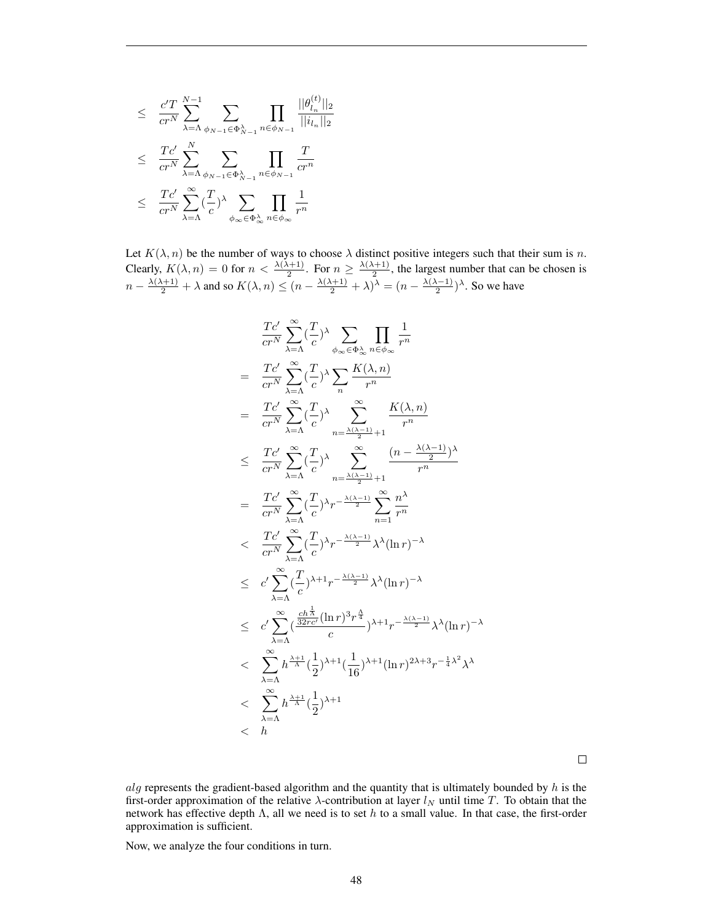$$
\leq \frac{c'T}{cr^N} \sum_{\lambda=\Lambda}^{N-1} \sum_{\phi_{N-1} \in \Phi_{N-1}^{\lambda}} \prod_{n \in \phi_{N-1}} \frac{||\theta_{l_n}^{(t)}||_2}{||i_{l_n}||_2} \n\leq \frac{Tc'}{cr^N} \sum_{\lambda=\Lambda}^{N} \sum_{\phi_{N-1} \in \Phi_{N-1}^{\lambda}} \prod_{n \in \phi_{N-1}} \frac{T}{cr^n} \n\leq \frac{Tc'}{cr^N} \sum_{\lambda=\Lambda}^{\infty} (\frac{T}{c})^{\lambda} \sum_{\phi_{\infty} \in \Phi_{\infty}^{\lambda}} \prod_{n \in \phi_{\infty}} \frac{1}{r^n}
$$

Let  $K(\lambda, n)$  be the number of ways to choose  $\lambda$  distinct positive integers such that their sum is n. Clearly,  $K(\lambda, n) = 0$  for  $n < \frac{\lambda(\lambda+1)}{2}$ . For  $n \ge \frac{\lambda(\lambda+1)}{2}$  $\frac{1}{2}$ , the largest number that can be chosen is  $n - \frac{\lambda(\lambda+1)}{2} + \lambda$  and so  $K(\lambda, n) \le (n - \frac{\lambda(\lambda+1)}{2} + \lambda)^{\lambda} = (n - \frac{\lambda(\lambda-1)}{2})$  $\frac{(n-1)}{2}$ )<sup> $\lambda$ </sup>. So we have

$$
\frac{Tc'}{cr^N} \sum_{\lambda=\Lambda}^{\infty} (\frac{T}{c})^{\lambda} \sum_{\phi_{\infty} \in \Phi_{\infty}^{\lambda}} \prod_{n \in \phi_{\infty}} \frac{1}{r^n}
$$
\n
$$
= \frac{Tc'}{cr^N} \sum_{\lambda=\Lambda}^{\infty} (\frac{T}{c})^{\lambda} \sum_{n=1}^{\infty} \frac{K(\lambda, n)}{r^n}
$$
\n
$$
= \frac{Tc'}{cr^N} \sum_{\lambda=\Lambda}^{\infty} (\frac{T}{c})^{\lambda} \sum_{n=\frac{\lambda(\lambda-1)}{2}+1}^{\infty} \frac{K(\lambda, n)}{r^n}
$$
\n
$$
\leq \frac{Tc'}{cr^N} \sum_{\lambda=\Lambda}^{\infty} (\frac{T}{c})^{\lambda} \sum_{n=\frac{\lambda(\lambda-1)}{2}+1}^{\infty} \frac{(n-\frac{\lambda(\lambda-1)}{2})^{\lambda}}{r^n}
$$
\n
$$
= \frac{Tc'}{cr^N} \sum_{\lambda=\Lambda}^{\infty} (\frac{T}{c})^{\lambda} r^{-\frac{\lambda(\lambda-1)}{2}} \sum_{n=1}^{\infty} \frac{n^{\lambda}}{r^n}
$$
\n
$$
\leq c' \sum_{\lambda=\Lambda}^{\infty} (\frac{T}{c})^{\lambda+1} r^{-\frac{\lambda(\lambda-1)}{2}} \lambda^{\lambda} (\ln r)^{-\lambda}
$$
\n
$$
\leq c' \sum_{\lambda=\Lambda}^{\infty} (\frac{\frac{ch^{\frac{1}{\lambda}}}{c} (\ln r)^3 r^{\frac{1}{4}}}{c})^{\lambda+1} r^{-\frac{\lambda(\lambda-1)}{2}} \lambda^{\lambda} (\ln r)^{-\lambda}
$$
\n
$$
\leq \sum_{\lambda=\Lambda}^{\infty} h^{\frac{\lambda+1}{\lambda}} (\frac{1}{2})^{\lambda+1} (\frac{1}{16})^{\lambda+1} (n r)^{2\lambda+3} r^{-\frac{1}{4}\lambda^2} \lambda^{\lambda}
$$
\n
$$
< \sum_{\lambda=\Lambda}^{\infty} h^{\frac{\lambda+1}{\lambda}} (\frac{1}{2})^{\lambda+1}
$$
\n
$$
< h
$$

 $\Box$ 

alg represents the gradient-based algorithm and the quantity that is ultimately bounded by  $h$  is the first-order approximation of the relative  $\lambda$ -contribution at layer  $l_N$  until time T. To obtain that the network has effective depth  $\Lambda$ , all we need is to set h to a small value. In that case, the first-order approximation is sufficient.

Now, we analyze the four conditions in turn.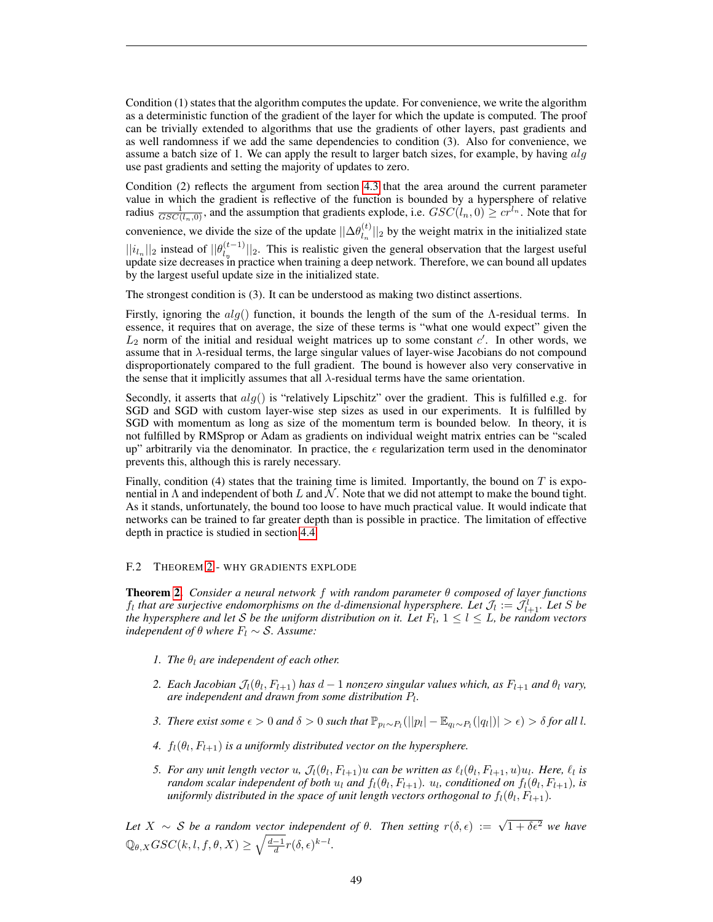Condition (1) states that the algorithm computes the update. For convenience, we write the algorithm as a deterministic function of the gradient of the layer for which the update is computed. The proof can be trivially extended to algorithms that use the gradients of other layers, past gradients and as well randomness if we add the same dependencies to condition (3). Also for convenience, we assume a batch size of 1. We can apply the result to larger batch sizes, for example, by having  $alg$ use past gradients and setting the majority of updates to zero.

Condition (2) reflects the argument from section [4.3](#page-7-1) that the area around the current parameter value in which the gradient is reflective of the function is bounded by a hypersphere of relative radius  $\frac{1}{GSC(l_n,0)}$ , and the assumption that gradients explode, i.e.  $GSC(l_n,0) \geq c r^{l_n}$ . Note that for

convenience, we divide the size of the update  $||\Delta \theta_{l_{n}}^{(t)}||$  $\left|\binom{t}{l_n}\right|_2$  by the weight matrix in the initialized state

 $||i_{l_n}||_2$  instead of  $||\theta_{l_n}^{(t-1)}||$  $\frac{1}{\binom{n-1}{n}}$  [2. This is realistic given the general observation that the largest useful update size decreases in practice when training a deep network. Therefore, we can bound all updates by the largest useful update size in the initialized state.

The strongest condition is (3). It can be understood as making two distinct assertions.

Firstly, ignoring the  $alg()$  function, it bounds the length of the sum of the Λ-residual terms. In essence, it requires that on average, the size of these terms is "what one would expect" given the  $L_2$  norm of the initial and residual weight matrices up to some constant  $c'$ . In other words, we assume that in  $\lambda$ -residual terms, the large singular values of layer-wise Jacobians do not compound disproportionately compared to the full gradient. The bound is however also very conservative in the sense that it implicitly assumes that all  $\lambda$ -residual terms have the same orientation.

Secondly, it asserts that  $alg()$  is "relatively Lipschitz" over the gradient. This is fulfilled e.g. for SGD and SGD with custom layer-wise step sizes as used in our experiments. It is fulfilled by SGD with momentum as long as size of the momentum term is bounded below. In theory, it is not fulfilled by RMSprop or Adam as gradients on individual weight matrix entries can be "scaled up" arbitrarily via the denominator. In practice, the  $\epsilon$  regularization term used in the denominator prevents this, although this is rarely necessary.

Finally, condition (4) states that the training time is limited. Importantly, the bound on  $T$  is exponential in  $\Lambda$  and independent of both L and N. Note that we did not attempt to make the bound tight. As it stands, unfortunately, the bound too loose to have much practical value. It would indicate that networks can be trained to far greater depth than is possible in practice. The limitation of effective depth in practice is studied in section [4.4.](#page-8-1)

#### <span id="page-48-0"></span>F.2 THEOREM [2](#page-10-1) - WHY GRADIENTS EXPLODE

Theorem [2.](#page-10-1) *Consider a neural network* f *with random parameter* θ *composed of layer functions*  $f_l$  that are surjective endomorphisms on the d-dimensional hypersphere. Let  $\mathcal{J}_l := \mathcal{J}_{l+1}^l$ . Let S be *the hypersphere and let* S *be the uniform distribution on it. Let*  $F_l$ ,  $1 \leq l \leq L$ , *be random vectors independent of*  $\theta$  *where*  $F_l \sim S$ . Assume:

- *1. The*  $\theta_l$  *are independent of each other.*
- 2. *Each Jacobian*  $\mathcal{J}_l(\theta_l, F_{l+1})$  *has*  $d-1$  *nonzero singular values which, as*  $F_{l+1}$  *and*  $\theta_l$  *vary,* are independent and drawn from some distribution  $P_l$ .
- *3. There exist some*  $\epsilon > 0$  *and*  $\delta > 0$  *such that*  $\mathbb{P}_{p_l \sim P_l}(|p_l| \mathbb{E}_{q_l \sim P_l}(|q_l|)| > \epsilon) > \delta$  for all l.
- 4.  $f_l(\theta_l, F_{l+1})$  *is a uniformly distributed vector on the hypersphere.*
- *5. For any unit length vector u,*  $\mathcal{J}_l(\theta_l, F_{l+1})u$  can be written as  $\ell_l(\theta_l, F_{l+1}, u)u_l$ . Here,  $\ell_l$  is *random scalar independent of both*  $u_l$  *and*  $f_l(\theta_l, F_{l+1})$ *.*  $u_l$ *, conditioned on*  $f_l(\theta_l, F_{l+1})$ *, is*  $u$ niformly distributed in the space of unit length vectors orthogonal to  $f_l(\theta_l, F_{l+1})$ .

Let  $X \sim S$  be a random vector independent of  $\theta$ . Then setting  $r(\delta, \epsilon) := \sqrt{1 + \delta \epsilon^2}$  we have  $\mathbb{Q}_{\theta,X} GSC(k,l,f,\theta,X) \geq \sqrt{\frac{d-1}{d}} r(\delta,\epsilon)^{k-l}.$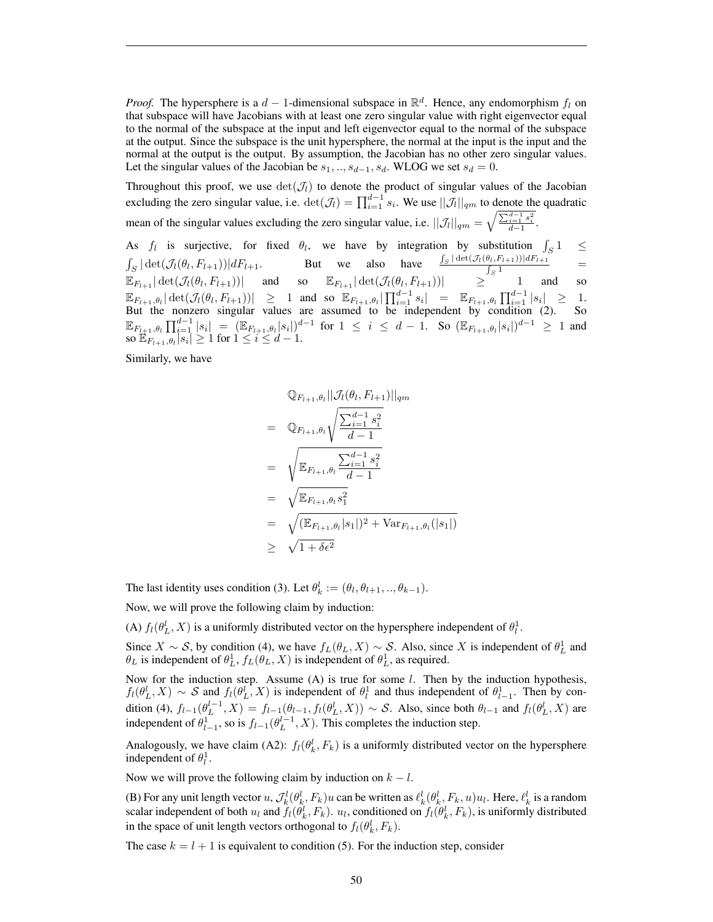*Proof.* The hypersphere is a  $d-1$ -dimensional subspace in  $\mathbb{R}^d$ . Hence, any endomorphism  $f_l$  on that subspace will have Jacobians with at least one zero singular value with right eigenvector equal to the normal of the subspace at the input and left eigenvector equal to the normal of the subspace at the output. Since the subspace is the unit hypersphere, the normal at the input is the input and the normal at the output is the output. By assumption, the Jacobian has no other zero singular values. Let the singular values of the Jacobian be  $s_1, ..., s_{d-1}, s_d$ . WLOG we set  $s_d = 0$ .

Throughout this proof, we use  $\det(\mathcal{J}_l)$  to denote the product of singular values of the Jacobian excluding the zero singular value, i.e.  $\det(\mathcal{J}_l) = \prod_{i=1}^{d-1} s_i$ . We use  $||\mathcal{J}_l||_{qm}$  to denote the quadratic mean of the singular values excluding the zero singular value, i.e.  $||\mathcal{J}_l||_{qm} = \sqrt{\frac{\sum_{i=1}^{d-1} s_i^2}{d-1}}$ .

As  $f_l$  is surjective, for fixed  $\theta_l$ , we have by integration by substitution  $\int$ S  $\leq$  $\int_S |\det(\mathcal{J}_l(\theta_l, F_{l+1}))| dF_{l+1}.$  But we also have  $\frac{\int_S |\det(\mathcal{J}_l(\theta_l, F_{l+1}))| dF_{l+1}}{\int_S 1}$  $\frac{\int_{S} 1}{\int_{S} 1}$  =  $\mathbb{E}_{F_{l+1}}|\det(\mathcal{J}_l(\theta_l,F_{l+1}))|$  and so  $\mathbb{E}_{F_{l+1}}|\det(\mathcal{J}_l(\theta_l,F_{l+1}))|$   $\geq$  1 and so  $\mathbb{E}_{F_{l+1},\theta_l}|\det(\mathcal{J}_l(\theta_l,F_{l+1}))| \geq 1$  and so  $\mathbb{E}_{F_{l+1},\theta_l}|\prod_{i=1}^{d-1}s_i| = \mathbb{E}_{F_{l+1},\theta_l}|\prod_{i=1}^{d-1}|s_i| \geq 1$ . But the nonzero singular values are assumed to be independent by condition (2). So  $\mathbb{E}_{F_{l+1},\theta_l}\prod_{i=1}^{d-1}|s_i| = (\mathbb{E}_{F_{l+1},\theta_l}|s_i|)^{d-1} \text{ for } 1\leq i \leq d-1. \text{ So } (\mathbb{E}_{F_{l+1},\theta_l}|s_i|)^{d-1} \geq 1 \text{ and }$ so  $\mathbb{E}_{F_{l+1},\theta_l}[s_i] \geq 1$  for  $1 \leq i \leq d-1$ .

Similarly, we have

$$
\mathbb{Q}_{F_{l+1},\theta_{l}}||\mathcal{J}_{l}(\theta_{l}, F_{l+1})||_{qm}
$$
\n
$$
= \mathbb{Q}_{F_{l+1},\theta_{l}}\sqrt{\frac{\sum_{i=1}^{d-1} s_{i}^{2}}{d-1}}
$$
\n
$$
= \sqrt{\mathbb{E}_{F_{l+1},\theta_{l}}\frac{\sum_{i=1}^{d-1} s_{i}^{2}}{d-1}}
$$
\n
$$
= \sqrt{\mathbb{E}_{F_{l+1},\theta_{l}}s_{1}^{2}}
$$
\n
$$
= \sqrt{(\mathbb{E}_{F_{l+1},\theta_{l}}|s_{1}|)^{2} + \text{Var}_{F_{l+1},\theta_{l}}(|s_{1}|)}
$$
\n
$$
\geq \sqrt{1+\delta\epsilon^{2}}
$$

The last identity uses condition (3). Let  $\theta_k^l := (\theta_l, \theta_{l+1}, ..., \theta_{k-1})$ .

Now, we will prove the following claim by induction:

(A)  $f_l(\theta_L^l, X)$  is a uniformly distributed vector on the hypersphere independent of  $\theta_l^1$ .

Since  $X \sim S$ , by condition (4), we have  $f_L(\theta_L, X) \sim S$ . Also, since X is independent of  $\theta_L^1$  and  $\theta_L$  is independent of  $\theta_L^1$ ,  $f_L(\theta_L, X)$  is independent of  $\theta_L^1$ , as required.

Now for the induction step. Assume  $(A)$  is true for some  $l$ . Then by the induction hypothesis,  $f_l(\theta_L^l, X) \sim S$  and  $f_l(\theta_L^l, X)$  is independent of  $\theta_l^1$  and thus independent of  $\theta_{l-1}^1$ . Then by condition (4),  $f_{l-1}(\theta_L^{l-1}, X) = f_{l-1}(\theta_{l-1}, f_l(\theta_L^l, X)) \sim S$ . Also, since both  $\theta_{l-1}$  and  $f_l(\theta_L^l, X)$  are independent of  $\theta_{l-1}^1$ , so is  $f_{l-1}(\theta_L^{l-1}, X)$ . This completes the induction step.

Analogously, we have claim (A2):  $f_l(\theta_k^l, F_k)$  is a uniformly distributed vector on the hypersphere independent of  $\theta_l^1$ .

Now we will prove the following claim by induction on  $k - l$ .

(B) For any unit length vector  $u$ ,  $\mathcal{J}_k^l(\theta_k^l, F_k)u$  can be written as  $\ell_k^l(\theta_k^l, F_k, u)u_l$ . Here,  $\ell_k^l$  is a random scalar independent of both  $u_l$  and  $f_l(\theta_k^l, F_k)$ .  $u_l$ , conditioned on  $f_l(\theta_k^l, F_k)$ , is uniformly distributed in the space of unit length vectors orthogonal to  $f_l(\theta_k^l, F_k)$ .

The case  $k = l + 1$  is equivalent to condition (5). For the induction step, consider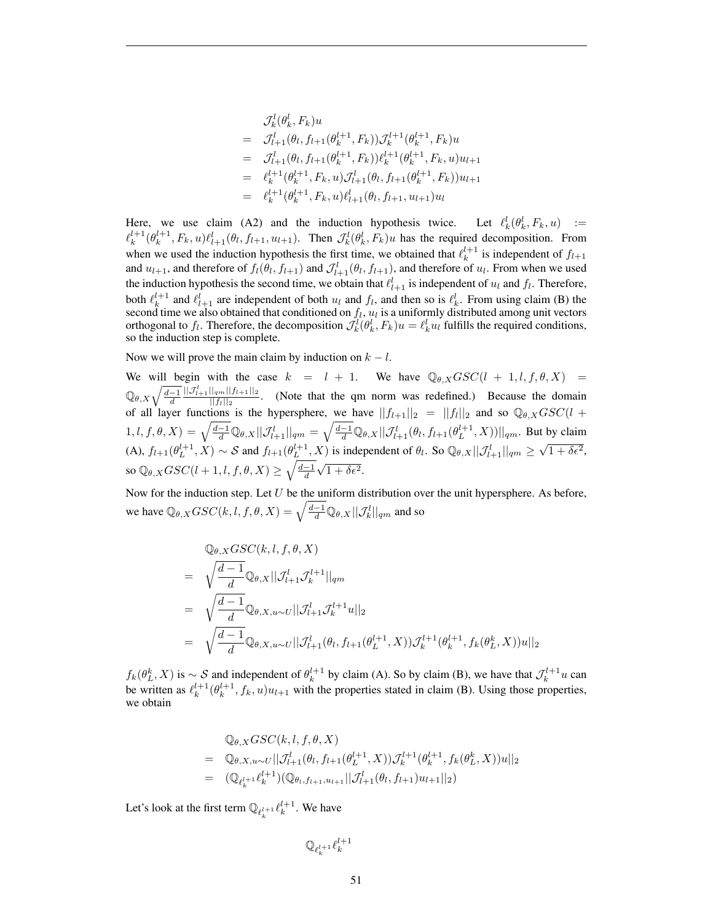$$
\mathcal{J}_{k}^{l}(\theta_{k}^{l}, F_{k})u
$$
\n
$$
= \mathcal{J}_{l+1}^{l}(\theta_{l}, f_{l+1}(\theta_{k}^{l+1}, F_{k}))\mathcal{J}_{k}^{l+1}(\theta_{k}^{l+1}, F_{k})u
$$
\n
$$
= \mathcal{J}_{l+1}^{l}(\theta_{l}, f_{l+1}(\theta_{k}^{l+1}, F_{k}))\ell_{k}^{l+1}(\theta_{k}^{l+1}, F_{k}, u)u_{l+1}
$$
\n
$$
= \ell_{k}^{l+1}(\theta_{k}^{l+1}, F_{k}, u)\mathcal{J}_{l+1}^{l}(\theta_{l}, f_{l+1}(\theta_{k}^{l+1}, F_{k}))u_{l+1}
$$
\n
$$
= \ell_{k}^{l+1}(\theta_{k}^{l+1}, F_{k}, u)\ell_{l+1}^{l}(\theta_{l}, f_{l+1}, u_{l+1})u_{l}
$$

Here, we use claim (A2) and the induction hypothesis twice. Let  $\ell_k^l(\theta_k^l, F_k, u)$  :=  $\ell_k^{l+1}(\theta_k^{l+1}, F_k, u)\ell_{l+1}^l(\theta_l, f_{l+1}, u_{l+1})$ . Then  $\mathcal{J}_k^l(\theta_k^l, F_k)u$  has the required decomposition. From when we used the induction hypothesis the first time, we obtained that  $\ell_k^{l+1}$  is independent of  $f_{l+1}$ and  $u_{l+1}$ , and therefore of  $f_l(\theta_l, f_{l+1})$  and  $\mathcal{J}_{l+1}^l(\theta_l, f_{l+1})$ , and therefore of  $u_l$ . From when we used the induction hypothesis the second time, we obtain that  $\ell_{l+1}^l$  is independent of  $u_l$  and  $f_l$ . Therefore, both  $\ell_k^{l+1}$  and  $\ell_{l+1}^l$  are independent of both  $u_l$  and  $f_l$ , and then so is  $\ell_k^l$ . From using claim (B) the second time we also obtained that conditioned on  $f_l$ ,  $u_l$  is a uniformly distributed among unit vectors orthogonal to  $f_l$ . Therefore, the decomposition  $\mathcal{J}_k^l(\theta_k^l, F_k)u = \ell_k^l u_l$  fulfills the required conditions, so the induction step is complete.

Now we will prove the main claim by induction on  $k - l$ .

We will begin with the case  $k = l + 1$ . We have  $\mathbb{Q}_{\theta,X} GSC(l + 1, l, f, \theta, X) =$  $\mathbb{Q}_{\theta,X}\sqrt{\frac{d-1}{d}}$  $||\mathcal{J}_{l+1}^l||_{qm}||f_{l+1}||_2$  $\frac{\left|\frac{|\mathbf{q}m||\mathbf{y}+1\mathbf{y}|^2}{\mathbf{r}}\right|}{\|f_i\|_2}$ . (Note that the qm norm was redefined.) Because the domain of all layer functions is the hypersphere, we have  $||f_{l+1}||_2 = ||f_l||_2$  and so  $\mathbb{Q}_{\theta,X} GSC(l +$  $(1, l, f, \theta, X) = \sqrt{\frac{d-1}{d}} \mathbb{Q}_{\theta, X} ||\mathcal{J}_{l+1}^{l}||_{qm} = \sqrt{\frac{d-1}{d}} \mathbb{Q}_{\theta, X} ||\mathcal{J}_{l+1}^{l}(\theta_l, f_{l+1}(\theta_L^{l+1}, X))||_{qm}$ . But by claim (A),  $f_{l+1}(\theta_L^{l+1}, X) \sim S$  and  $f_{l+1}(\theta_L^{l+1}, X)$  is independent of  $\theta_l$ . So  $\mathbb{Q}_{\theta,X} || \mathcal{J}_{l+1}^l ||_{qm} \geq$  $\sqrt{1+\delta\epsilon^2}$ , so  $\mathbb{Q}_{\theta,X} GSC(l+1,l,f,\theta,X) \geq \sqrt{\frac{d-1}{d}}$  $\sqrt{1+\delta\epsilon^2}$ .

Now for the induction step. Let  $U$  be the uniform distribution over the unit hypersphere. As before, we have  $\mathbb{Q}_{\theta,X} GSC(k,l,f,\theta,X) = \sqrt{\frac{d-1}{d}} \mathbb{Q}_{\theta,X} ||\mathcal{J}_{k}^{l}||_{qm}$  and so

$$
\begin{split}\n&\mathbb{Q}_{\theta,X}GSC(k,l,f,\theta,X) \\
&= \sqrt{\frac{d-1}{d}} \mathbb{Q}_{\theta,X} ||\mathcal{J}_{l+1}^{l}\mathcal{J}_{k}^{l+1}||_{qm} \\
&= \sqrt{\frac{d-1}{d}} \mathbb{Q}_{\theta,X,u\sim U} ||\mathcal{J}_{l+1}^{l}\mathcal{J}_{k}^{l+1}u||_{2} \\
&= \sqrt{\frac{d-1}{d}} \mathbb{Q}_{\theta,X,u\sim U} ||\mathcal{J}_{l+1}^{l}(\theta_{l},f_{l+1}(\theta_{L}^{l+1},X))\mathcal{J}_{k}^{l+1}(\theta_{k}^{l+1},f_{k}(\theta_{L}^{k},X))u||_{2}\n\end{split}
$$

 $f_k(\theta_L^k, X)$  is  $\sim \mathcal{S}$  and independent of  $\theta_k^{l+1}$  by claim (A). So by claim (B), we have that  $\mathcal{J}_k^{l+1}u$  can be written as  $\ell_k^{l+1}(\theta_k^{l+1}, f_k, u)u_{l+1}$  with the properties stated in claim (B). Using those properties, we obtain

$$
\begin{aligned}\n&\mathbb{Q}_{\theta,X} GSC(k,l,f,\theta,X) \\
&= \mathbb{Q}_{\theta,X,u \sim U} ||\mathcal{J}_{l+1}^{l}(\theta_l,f_{l+1}(\theta_L^{l+1},X)) \mathcal{J}_{k}^{l+1}(\theta_k^{l+1},f_k(\theta_L^k,X))u||_2 \\
&= (\mathbb{Q}_{\ell_k^{l+1}} \ell_k^{l+1}) (\mathbb{Q}_{\theta_l,f_{l+1},u_{l+1}} || \mathcal{J}_{l+1}^{l}(\theta_l,f_{l+1})u_{l+1} ||_2)\n\end{aligned}
$$

Let's look at the first term  $\mathbb{Q}_{\ell_{k}^{l+1}} \ell_{k}^{l+1}$ . We have

$$
\mathbb{Q}_{\ell_k^{l+1}}\ell_k^{l+1}
$$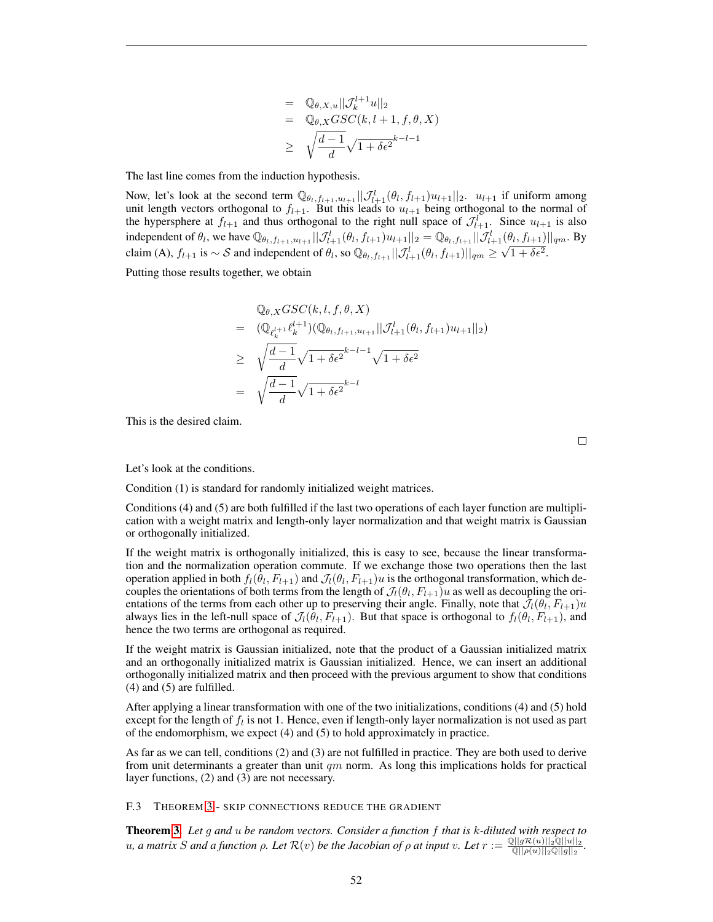$$
= \mathbb{Q}_{\theta,X,u}||\mathcal{J}_k^{l+1}u||_2
$$
  
\n
$$
= \mathbb{Q}_{\theta,X}GSC(k,l+1,f,\theta,X)
$$
  
\n
$$
\geq \sqrt{\frac{d-1}{d}}\sqrt{1+\delta\epsilon^2}^{k-l-1}
$$

The last line comes from the induction hypothesis.

Now, let's look at the second term  $\mathbb{Q}_{\theta_l,f_{l+1},u_{l+1}}\|\mathcal{J}_{l+1}^l(\theta_l,f_{l+1})u_{l+1}\|_2$ .  $u_{l+1}$  if uniform among unit length vectors orthogonal to  $f_{l+1}$ . But this leads to  $u_{l+1}$  being orthogonal to the normal of the hypersphere at  $f_{l+1}$  and thus orthogonal to the right null space of  $\mathcal{J}_{l+1}^{\mathcal{I}}$ . Since  $u_{l+1}$  is also independent of  $\theta_l$ , we have  $\mathbb{Q}_{\theta_l,f_{l+1},u_{l+1}}\|\mathcal{J}_{l+1}^l(\theta_l,f_{l+1})u_{l+1}\|_2 = \mathbb{Q}_{\theta_l,f_{l+1}}\|\mathcal{J}_{l+1}^l(\theta_l,f_{l+1})\|_{qm}$ . By claim (A),  $f_{l+1}$  is  $\sim$  S and independent of  $\theta_l$ , so  $\mathbb{Q}_{\theta_l,f_{l+1}}\|\mathcal{J}_{l+1}^l(\theta_l,f_{l+1})\|_{qm} \geq \sqrt{1+\delta\epsilon^2}$ .

Putting those results together, we obtain

$$
\begin{aligned}\n&\mathbb{Q}_{\theta,X} GSC(k,l,f,\theta,X) \\
&= \left( \mathbb{Q}_{\ell_k^{l+1}} \ell_k^{l+1} \right) \left( \mathbb{Q}_{\theta_l,f_{l+1},u_{l+1}} || \mathcal{J}_{l+1}^l(\theta_l,f_{l+1}) u_{l+1} ||_2 \right) \\
&\geq \sqrt{\frac{d-1}{d}} \sqrt{1 + \delta \epsilon^2}^{k-l-1} \sqrt{1 + \delta \epsilon^2} \\
&= \sqrt{\frac{d-1}{d}} \sqrt{1 + \delta \epsilon^2}^{k-l}\n\end{aligned}
$$

This is the desired claim.

Let's look at the conditions.

Condition (1) is standard for randomly initialized weight matrices.

Conditions (4) and (5) are both fulfilled if the last two operations of each layer function are multiplication with a weight matrix and length-only layer normalization and that weight matrix is Gaussian or orthogonally initialized.

If the weight matrix is orthogonally initialized, this is easy to see, because the linear transformation and the normalization operation commute. If we exchange those two operations then the last operation applied in both  $f_l(\theta_l, F_{l+1})$  and  $\mathcal{J}_l(\theta_l, F_{l+1})u$  is the orthogonal transformation, which decouples the orientations of both terms from the length of  $\mathcal{J}_l(\theta_l, F_{l+1})u$  as well as decoupling the orientations of the terms from each other up to preserving their angle. Finally, note that  $\mathcal{J}_l(\theta_l, F_{l+1})u$ always lies in the left-null space of  $\mathcal{J}_l(\theta_l, F_{l+1})$ . But that space is orthogonal to  $f_l(\theta_l, F_{l+1})$ , and hence the two terms are orthogonal as required.

If the weight matrix is Gaussian initialized, note that the product of a Gaussian initialized matrix and an orthogonally initialized matrix is Gaussian initialized. Hence, we can insert an additional orthogonally initialized matrix and then proceed with the previous argument to show that conditions (4) and (5) are fulfilled.

After applying a linear transformation with one of the two initializations, conditions (4) and (5) hold except for the length of  $f_l$  is not 1. Hence, even if length-only layer normalization is not used as part of the endomorphism, we expect (4) and (5) to hold approximately in practice.

As far as we can tell, conditions (2) and (3) are not fulfilled in practice. They are both used to derive from unit determinants a greater than unit  $qm$  norm. As long this implications holds for practical layer functions, (2) and (3) are not necessary.

<span id="page-51-0"></span>F.3 THEOREM [3](#page-12-1) - SKIP CONNECTIONS REDUCE THE GRADIENT

Theorem [3.](#page-12-1) *Let* g *and* u *be random vectors. Consider a function* f *that is* k*-diluted with respect to*  $u, a$  matrix S and a function  $ρ$ . Let  $\mathcal{R}(v)$  be the Jacobian of  $ρ$  at input v. Let  $r := \frac{\mathbb{Q}||g\mathcal{R}(u)||_2\mathbb{Q}||u||_2}{\mathbb{Q}||a||_2\mathbb{Q}||_2\mathbb{Q}||_2\mathbb{Q}}$  $\frac{\mathbb{E}||g\kappa(u)||_2\mathbb{Q}||u||_2}{\mathbb{Q}||\rho(u)||_2\mathbb{Q}||g||_2}.$ 

 $\Box$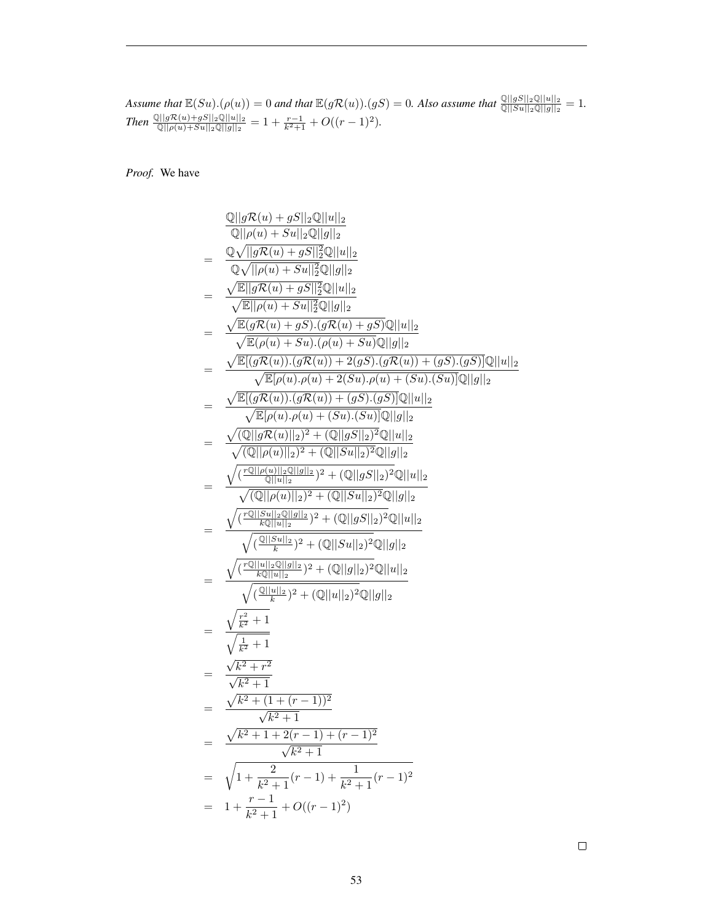*Assume that*  $\mathbb{E}(Su)(\rho(u)) = 0$  *and that*  $\mathbb{E}(g\mathcal{R}(u))(gS) = 0$ . Also assume that  $\frac{\mathbb{Q}||gS||_2\mathbb{Q}||u||_2}{\mathbb{Q}||Su||_2\mathbb{Q}||g||_2} = 1$ . *Then*  $\frac{\mathbb{Q}||g\mathcal{R}(u)+gS||_2\mathbb{Q}||u||_2}{\mathbb{Q}||\rho(u)+Su||_2\mathbb{Q}||g||_2} = 1 + \frac{r-1}{k^2+1} + O((r-1)^2).$ 

*Proof.* We have

$$
\frac{\mathbb{Q}||g\mathcal{R}(u) + gS||_2\mathbb{Q}||u||_2}{\mathbb{Q}||\rho(u) + Su||_2\mathbb{Q}||g||_2}
$$
\n
$$
= \frac{\mathbb{Q}\sqrt{||g\mathcal{R}(u) + gS||_2^2\mathbb{Q}||u||_2}}{\mathbb{Q}\sqrt{||\rho(u) + Su||_2^2\mathbb{Q}||g||_2}}
$$
\n
$$
= \frac{\sqrt{\mathbb{E}||g\mathcal{R}(u) + gS||_2^2\mathbb{Q}||u||_2}}{\sqrt{\mathbb{E}|\rho(u) + Su||_2^2\mathbb{Q}||g||_2}}
$$
\n
$$
= \frac{\sqrt{\mathbb{E}(|g\mathcal{R}(u) + gS)\cdot(g\mathcal{R}(u) + gS)\mathbb{Q}||u||_2}}{\sqrt{\mathbb{E}|\rho(u) + Su\cdot o(\rho(u) + Su)\mathbb{Q}||g||_2}}
$$
\n
$$
= \frac{\sqrt{\mathbb{E}[(g\mathcal{R}(u))\cdot(g\mathcal{R}(u)) + 2(gS)\cdot(g\mathcal{R}(u)) + (gS)\cdot(gS)]\mathbb{Q}||u||_2}}{\sqrt{\mathbb{E}[\rho(u)\cdot \rho(u) + 2(Su)\cdot \rho(u) + (Su)\cdot(Su)\mathbb{Q}||g||_2}}
$$
\n
$$
= \frac{\sqrt{\mathbb{E}[(g\mathcal{R}(u))\cdot(g\mathcal{R}(u)) + (gS)\cdot(gS)]\mathbb{Q}||u||_2}}{\sqrt{(\mathbb{Q}||\rho(u)||_2)^2 + (\mathbb{Q}||gS||_2)^2\mathbb{Q}||u||_2}}
$$
\n
$$
= \frac{\sqrt{(\mathbb{E}||g(u)||_2||_2)^2 + (\mathbb{Q}||g||_2)^2\mathbb{Q}||g||_2}}{\sqrt{(\mathbb{Q}||g||_2||_2)^2 + (\mathbb{Q}||g||_2)^2\mathbb{Q}||g||_2}}
$$
\n
$$
= \frac{\sqrt{(\mathbb{E}||g(u)||_2||_2||_2)^2 + (\mathbb{Q}||g||_2)^2\mathbb{Q}||g||_2}}{\sqrt{(\mathbb{E}||g||_2||_2)^2 + (\mathbb{Q}||g||_2)^2\mathbb{Q}||g||_
$$

 $\Box$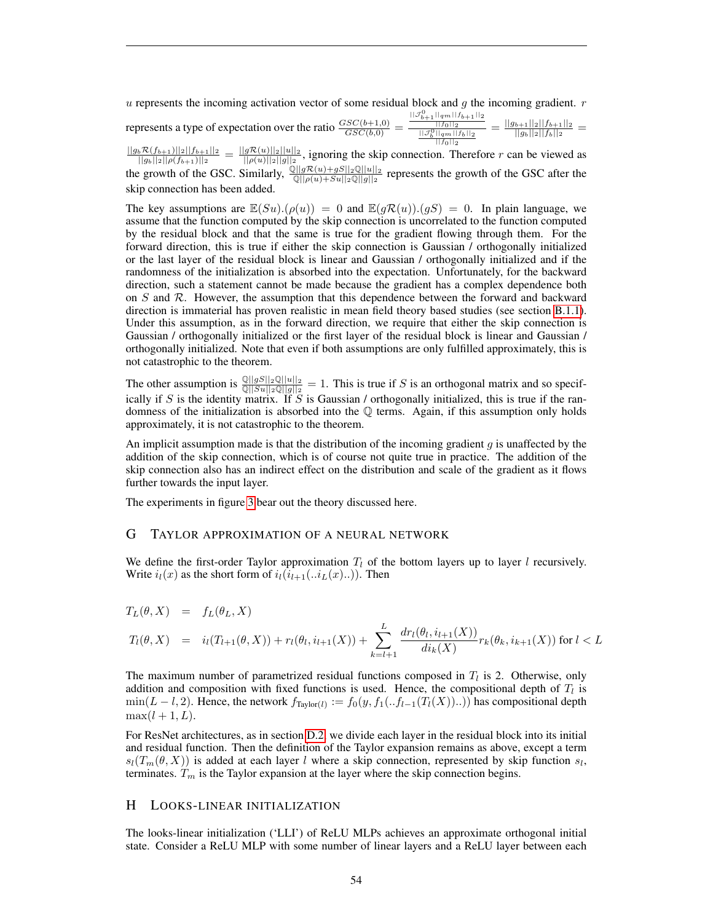$u$  represents the incoming activation vector of some residual block and  $q$  the incoming gradient.  $r$ 

represents a type of expectation over the ratio  $\frac{GSC(b+1,0)}{GSC(b,0)}$  =  $||\mathcal{J}_{b+1}^0||_{qm}||f_{b+1}||_2$  $\frac{||f_0||_2}{||f_0||_2||g_m||f_b||_2} = \frac{||g_{b+1}||_2||f_{b+1}||_2}{||g_b||_2||f_b||_2}$  $\frac{b+1||2||Jb+1||2}{||g_b||_2||f_b||_2} =$ 

 $\frac{||g_b \mathcal{R}(f_{b+1})||_2||f_{b+1}||_2}{||g_b||_2||f_{b+1}||_2} = \frac{||g\mathcal{R}(u)||_2||u||_2}{||g(u)||_2||u||_2}$ , ignoring the skip connection. Therefore r can be viewed as  $\frac{\|g_b\|_2\|\rho(f_{b+1})\|_2}{\|g\|_2}$  =  $\frac{\|g\|_2\mathcal{R}(u)\|_2\|_2\|_2}{\sqrt{\frac{2||g\|_2(u)+gS||_2\mathbb{Q}||u||_2}{||\rho(u)+Su||_2\mathbb{Q}||g||_2}}}$  represents the growth of the GSC after the skip connection has been added.

The key assumptions are  $\mathbb{E}(Su)(\rho(u)) = 0$  and  $\mathbb{E}(g\mathcal{R}(u))(gS) = 0$ . In plain language, we assume that the function computed by the skip connection is uncorrelated to the function computed by the residual block and that the same is true for the gradient flowing through them. For the forward direction, this is true if either the skip connection is Gaussian / orthogonally initialized or the last layer of the residual block is linear and Gaussian / orthogonally initialized and if the randomness of the initialization is absorbed into the expectation. Unfortunately, for the backward direction, such a statement cannot be made because the gradient has a complex dependence both on S and R. However, the assumption that this dependence between the forward and backward direction is immaterial has proven realistic in mean field theory based studies (see section [B.1.1\)](#page-25-2). Under this assumption, as in the forward direction, we require that either the skip connection is Gaussian / orthogonally initialized or the first layer of the residual block is linear and Gaussian / orthogonally initialized. Note that even if both assumptions are only fulfilled approximately, this is not catastrophic to the theorem.

The other assumption is  $\frac{\mathbb{Q}||gS||_2\mathbb{Q}||u||_2}{\mathbb{Q}||S||_2\mathbb{Q}||g||_2} = 1$ . This is true if S is an orthogonal matrix and so specifically if S is the identity matrix. If S is Gaussian / orthogonally initialized, this is true if the randomness of the initialization is absorbed into the  $Q$  terms. Again, if this assumption only holds approximately, it is not catastrophic to the theorem.

An implicit assumption made is that the distribution of the incoming gradient  $g$  is unaffected by the addition of the skip connection, which is of course not quite true in practice. The addition of the skip connection also has an indirect effect on the distribution and scale of the gradient as it flows further towards the input layer.

The experiments in figure [3](#page-13-0) bear out the theory discussed here.

## <span id="page-53-0"></span>G TAYLOR APPROXIMATION OF A NEURAL NETWORK

We define the first-order Taylor approximation  $T_l$  of the bottom layers up to layer l recursively. Write  $i_l(x)$  as the short form of  $i_l(i_{l+1}...i_L(x...))$ . Then

$$
T_L(\theta, X) = f_L(\theta_L, X)
$$
  
\n
$$
T_l(\theta, X) = i_l(T_{l+1}(\theta, X)) + r_l(\theta_l, i_{l+1}(X)) + \sum_{k=l+1}^{L} \frac{dr_l(\theta_l, i_{l+1}(X))}{di_k(X)} r_k(\theta_k, i_{k+1}(X)) \text{ for } l < L
$$

The maximum number of parametrized residual functions composed in  $T_l$  is 2. Otherwise, only addition and composition with fixed functions is used. Hence, the compositional depth of  $T_l$  is  $\min(L-l, 2)$ . Hence, the network  $f_{\text{Taylor}(l)} := f_0(y, f_1(. . f_{l-1}(T_l(X)) ...)$  has compositional depth  $\max(l+1,L).$ 

For ResNet architectures, as in section [D.2,](#page-31-0) we divide each layer in the residual block into its initial and residual function. Then the definition of the Taylor expansion remains as above, except a term  $s_l(T_m(\theta, X))$  is added at each layer l where a skip connection, represented by skip function  $s_l$ , terminates.  $T_m$  is the Taylor expansion at the layer where the skip connection begins.

# <span id="page-53-1"></span>H LOOKS-LINEAR INITIALIZATION

The looks-linear initialization ('LLI') of ReLU MLPs achieves an approximate orthogonal initial state. Consider a ReLU MLP with some number of linear layers and a ReLU layer between each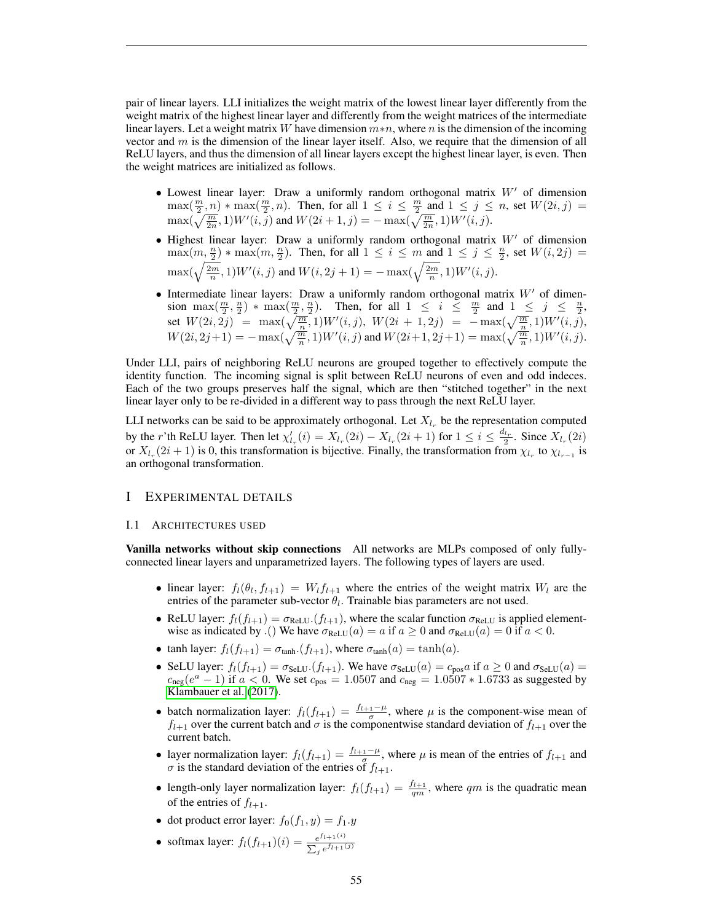pair of linear layers. LLI initializes the weight matrix of the lowest linear layer differently from the weight matrix of the highest linear layer and differently from the weight matrices of the intermediate linear layers. Let a weight matrix W have dimension  $m*n$ , where n is the dimension of the incoming vector and  $m$  is the dimension of the linear layer itself. Also, we require that the dimension of all ReLU layers, and thus the dimension of all linear layers except the highest linear layer, is even. Then the weight matrices are initialized as follows.

- Lowest linear layer: Draw a uniformly random orthogonal matrix  $W'$  of dimension  $\max(\frac{m}{2},n) * \max(\frac{m}{2},n)$ . Then, for all  $1 \leq i \leq \frac{m}{2}$  and  $1 \leq j \leq n$ , set  $W(2i,j) =$  $\max(\sqrt{\frac{m}{2n}}, 1)W'(i, j)$  and  $W(2i + 1, j) = -\max(\sqrt{\frac{m}{2n}}, 1)W'(i, j)$ .
- Highest linear layer: Draw a uniformly random orthogonal matrix  $W'$  of dimension  $\max(m, \frac{n}{2}) * \max(m, \frac{n}{2})$ . Then, for all  $1 \le i \le m$  and  $1 \le j \le \frac{n}{2}$ , set  $W(i, 2j) =$  $\max(\sqrt{\frac{2m}{n}}, 1)W'(i, j)$  and  $W(i, 2j + 1) = -\max(\sqrt{\frac{2m}{n}}, 1)W'(i, j)$ .
- Intermediate linear layers: Draw a uniformly random orthogonal matrix  $W'$  of dimension  $\max(\frac{m}{2}, \frac{n}{2})$  \*  $\max(\frac{m}{2}, \frac{n}{2})$ . Then, for all  $1 \le i \le \frac{m}{2}$  and  $1 \le j \le \frac{n}{2}$ , set  $W(2i, 2j) = \max(\sqrt{\frac{m}{n}}, 1)W'(i, j), W(2i + 1, 2j) = -\max(\sqrt{\frac{m}{n}}, 1)W'(i, j),$  $W(2i, 2j+1) = -\max(\sqrt{\frac{m}{n}}, 1)W'(i, j)$  and  $W(2i+1, 2j+1) = \max(\sqrt{\frac{m}{n}}, 1)W'(i, j)$ .

Under LLI, pairs of neighboring ReLU neurons are grouped together to effectively compute the identity function. The incoming signal is split between ReLU neurons of even and odd indeces. Each of the two groups preserves half the signal, which are then "stitched together" in the next linear layer only to be re-divided in a different way to pass through the next ReLU layer.

LLI networks can be said to be approximately orthogonal. Let  $X_{l_r}$  be the representation computed by the r'th ReLU layer. Then let  $\chi'_{l_r}(i) = X_{l_r}(2i) - X_{l_r}(2i+1)$  for  $1 \le i \le \frac{d_{l_r}}{2}$ . Since  $X_{l_r}(2i)$ or  $X_{l_r}(2i+1)$  is 0, this transformation is bijective. Finally, the transformation from  $\chi_{l_r}$  to  $\chi_{l_{r-1}}$  is an orthogonal transformation.

# <span id="page-54-0"></span>I EXPERIMENTAL DETAILS

#### <span id="page-54-1"></span>I.1 ARCHITECTURES USED

Vanilla networks without skip connections All networks are MLPs composed of only fullyconnected linear layers and unparametrized layers. The following types of layers are used.

- linear layer:  $f_l(\theta_l, f_{l+1}) = W_l f_{l+1}$  where the entries of the weight matrix  $W_l$  are the entries of the parameter sub-vector  $\theta_l$ . Trainable bias parameters are not used.
- ReLU layer:  $f_l(f_{l+1}) = \sigma_{ReLU}(f_{l+1})$ , where the scalar function  $\sigma_{ReLU}$  is applied elementwise as indicated by .() We have  $\sigma_{ReLU}(a) = a$  if  $a \ge 0$  and  $\sigma_{ReLU}(a) = 0$  if  $a < 0$ .
- tanh layer:  $f_l(f_{l+1}) = \sigma_{tanh} \cdot (f_{l+1})$ , where  $\sigma_{tanh}(a) = \tanh(a)$ .
- SeLU layer:  $f_l(f_{l+1}) = \sigma_{\text{SelU}}(f_{l+1})$ . We have  $\sigma_{\text{SelU}}(a) = c_{\text{pos}} a$  if  $a \geq 0$  and  $\sigma_{\text{SelU}}(a) =$  $c_{\text{neg}}(e^a - 1)$  if  $a < 0$ . We set  $c_{\text{pos}} = 1.0507$  and  $c_{\text{neg}} = 1.0507 * 1.6733$  as suggested by [Klambauer et al.](#page-20-8) [\(2017\)](#page-20-8).
- batch normalization layer:  $f_l(f_{l+1}) = \frac{f_{l+1}-\mu}{\sigma}$ , where  $\mu$  is the component-wise mean of  $f_{l+1}$  over the current batch and  $\sigma$  is the componentwise standard deviation of  $f_{l+1}$  over the current batch.
- layer normalization layer:  $f_l(f_{l+1}) = \frac{f_{l+1}-\mu}{g}$ , where  $\mu$  is mean of the entries of  $f_{l+1}$  and  $\sigma$  is the standard deviation of the entries of  $f_{l+1}$ .
- length-only layer normalization layer:  $f_l(f_{l+1}) = \frac{f_{l+1}}{qm}$ , where qm is the quadratic mean of the entries of  $f_{l+1}$ .
- dot product error layer:  $f_0(f_1, y) = f_1.y$
- softmax layer:  $f_l(f_{l+1})(i) = \frac{e^{f_{l+1}(i)}}{\sum_{i} f_l(f_{l+1})}$  $\sum_j e^{f_{l+1}(j)}$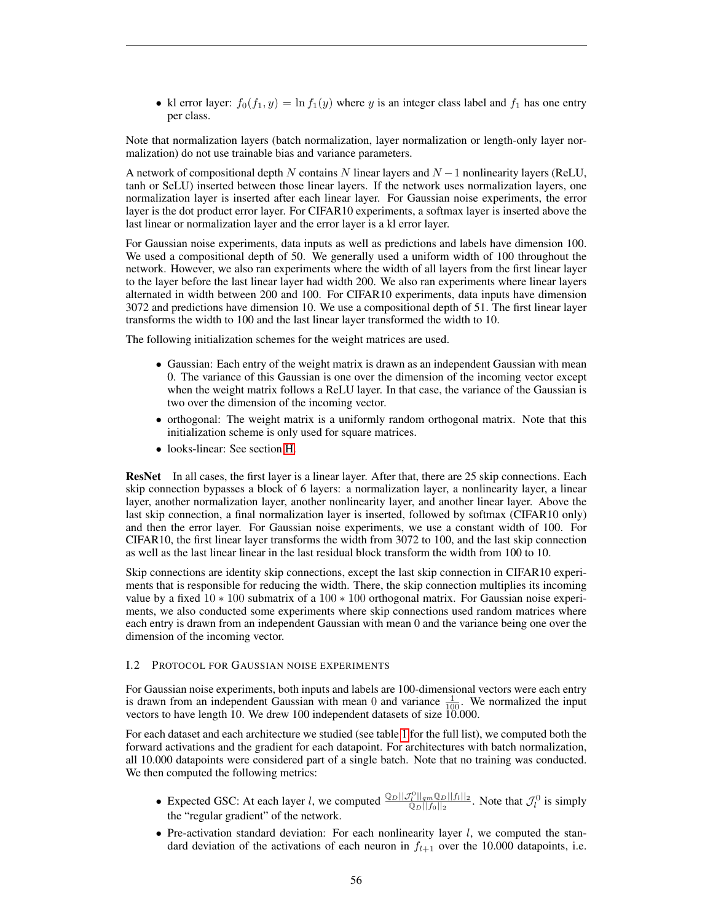• kl error layer:  $f_0(f_1, y) = \ln f_1(y)$  where y is an integer class label and  $f_1$  has one entry per class.

Note that normalization layers (batch normalization, layer normalization or length-only layer normalization) do not use trainable bias and variance parameters.

A network of compositional depth N contains N linear layers and  $N-1$  nonlinearity layers (ReLU, tanh or SeLU) inserted between those linear layers. If the network uses normalization layers, one normalization layer is inserted after each linear layer. For Gaussian noise experiments, the error layer is the dot product error layer. For CIFAR10 experiments, a softmax layer is inserted above the last linear or normalization layer and the error layer is a kl error layer.

For Gaussian noise experiments, data inputs as well as predictions and labels have dimension 100. We used a compositional depth of 50. We generally used a uniform width of 100 throughout the network. However, we also ran experiments where the width of all layers from the first linear layer to the layer before the last linear layer had width 200. We also ran experiments where linear layers alternated in width between 200 and 100. For CIFAR10 experiments, data inputs have dimension 3072 and predictions have dimension 10. We use a compositional depth of 51. The first linear layer transforms the width to 100 and the last linear layer transformed the width to 10.

The following initialization schemes for the weight matrices are used.

- Gaussian: Each entry of the weight matrix is drawn as an independent Gaussian with mean 0. The variance of this Gaussian is one over the dimension of the incoming vector except when the weight matrix follows a ReLU layer. In that case, the variance of the Gaussian is two over the dimension of the incoming vector.
- orthogonal: The weight matrix is a uniformly random orthogonal matrix. Note that this initialization scheme is only used for square matrices.
- looks-linear: See section [H.](#page-53-1)

ResNet In all cases, the first layer is a linear layer. After that, there are 25 skip connections. Each skip connection bypasses a block of 6 layers: a normalization layer, a nonlinearity layer, a linear layer, another normalization layer, another nonlinearity layer, and another linear layer. Above the last skip connection, a final normalization layer is inserted, followed by softmax (CIFAR10 only) and then the error layer. For Gaussian noise experiments, we use a constant width of 100. For CIFAR10, the first linear layer transforms the width from 3072 to 100, and the last skip connection as well as the last linear linear in the last residual block transform the width from 100 to 10.

Skip connections are identity skip connections, except the last skip connection in CIFAR10 experiments that is responsible for reducing the width. There, the skip connection multiplies its incoming value by a fixed 10 ∗ 100 submatrix of a 100 ∗ 100 orthogonal matrix. For Gaussian noise experiments, we also conducted some experiments where skip connections used random matrices where each entry is drawn from an independent Gaussian with mean 0 and the variance being one over the dimension of the incoming vector.

#### <span id="page-55-0"></span>I.2 PROTOCOL FOR GAUSSIAN NOISE EXPERIMENTS

For Gaussian noise experiments, both inputs and labels are 100-dimensional vectors were each entry is drawn from an independent Gaussian with mean 0 and variance  $\frac{1}{100}$ . We normalized the input vectors to have length 10. We drew 100 independent datasets of size 10.000.

For each dataset and each architecture we studied (see table [1](#page-17-0) for the full list), we computed both the forward activations and the gradient for each datapoint. For architectures with batch normalization, all 10.000 datapoints were considered part of a single batch. Note that no training was conducted. We then computed the following metrics:

- Expected GSC: At each layer l, we computed  $\frac{\mathbb{Q}_D||\mathcal{J}_l^0||_{qm}\mathbb{Q}_D||f_l||_2}{\mathbb{Q}_D||f_l||_2}$  $\frac{\binom{n}{l} \left|\binom{n}{l} \frac{p}{l}\right|}{\binom{n}{l} \left|\binom{n}{l}\right| 2}$ . Note that  $\mathcal{J}_l^0$  is simply the "regular gradient" of the network.
- Pre-activation standard deviation: For each nonlinearity layer  $l$ , we computed the standard deviation of the activations of each neuron in  $f_{l+1}$  over the 10.000 datapoints, i.e.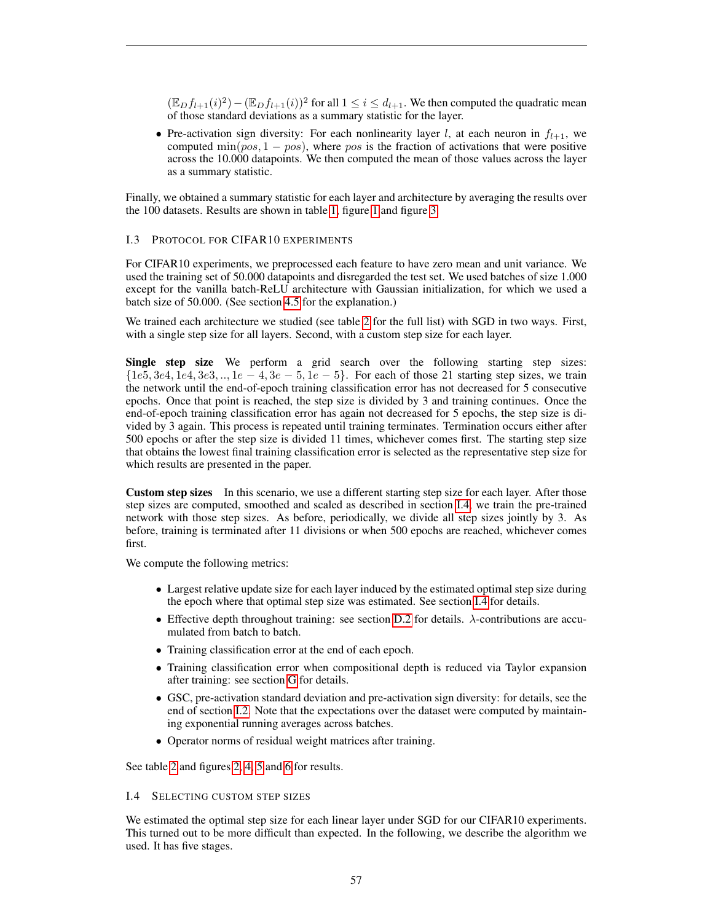$(\mathbb{E}_D f_{l+1}(i))^2 - (\mathbb{E}_D f_{l+1}(i))^2$  for all  $1 \le i \le d_{l+1}$ . We then computed the quadratic mean of those standard deviations as a summary statistic for the layer.

• Pre-activation sign diversity: For each nonlinearity layer l, at each neuron in  $f_{l+1}$ , we computed min( $pos$ , 1 –  $pos$ ), where  $pos$  is the fraction of activations that were positive across the 10.000 datapoints. We then computed the mean of those values across the layer as a summary statistic.

Finally, we obtained a summary statistic for each layer and architecture by averaging the results over the 100 datasets. Results are shown in table [1,](#page-17-0) figure [1](#page-5-0) and figure [3.](#page-13-0)

# <span id="page-56-1"></span>I.3 PROTOCOL FOR CIFAR10 EXPERIMENTS

For CIFAR10 experiments, we preprocessed each feature to have zero mean and unit variance. We used the training set of 50.000 datapoints and disregarded the test set. We used batches of size 1.000 except for the vanilla batch-ReLU architecture with Gaussian initialization, for which we used a batch size of 50.000. (See section [4.5](#page-9-0) for the explanation.)

We trained each architecture we studied (see table [2](#page-18-0) for the full list) with SGD in two ways. First, with a single step size for all layers. Second, with a custom step size for each layer.

Single step size We perform a grid search over the following starting step sizes:  $\{1e5, 3e4, 1e4, 3e3, \ldots, 1e-4, 3e-5, 1e-5\}$ . For each of those 21 starting step sizes, we train the network until the end-of-epoch training classification error has not decreased for 5 consecutive epochs. Once that point is reached, the step size is divided by 3 and training continues. Once the end-of-epoch training classification error has again not decreased for 5 epochs, the step size is divided by 3 again. This process is repeated until training terminates. Termination occurs either after 500 epochs or after the step size is divided 11 times, whichever comes first. The starting step size that obtains the lowest final training classification error is selected as the representative step size for which results are presented in the paper.

Custom step sizes In this scenario, we use a different starting step size for each layer. After those step sizes are computed, smoothed and scaled as described in section [I.4,](#page-56-0) we train the pre-trained network with those step sizes. As before, periodically, we divide all step sizes jointly by 3. As before, training is terminated after 11 divisions or when 500 epochs are reached, whichever comes first.

We compute the following metrics:

- Largest relative update size for each layer induced by the estimated optimal step size during the epoch where that optimal step size was estimated. See section [I.4](#page-56-0) for details.
- Effective depth throughout training: see section [D.2](#page-31-0) for details.  $\lambda$ -contributions are accumulated from batch to batch.
- Training classification error at the end of each epoch.
- Training classification error when compositional depth is reduced via Taylor expansion after training: see section [G](#page-53-0) for details.
- GSC, pre-activation standard deviation and pre-activation sign diversity: for details, see the end of section [I.2.](#page-55-0) Note that the expectations over the dataset were computed by maintaining exponential running averages across batches.
- Operator norms of residual weight matrices after training.

See table [2](#page-18-0) and figures [2,](#page-8-0) [4,](#page-22-0) [5](#page-23-0) and [6](#page-24-0) for results.

#### <span id="page-56-0"></span>I.4 SELECTING CUSTOM STEP SIZES

We estimated the optimal step size for each linear layer under SGD for our CIFAR10 experiments. This turned out to be more difficult than expected. In the following, we describe the algorithm we used. It has five stages.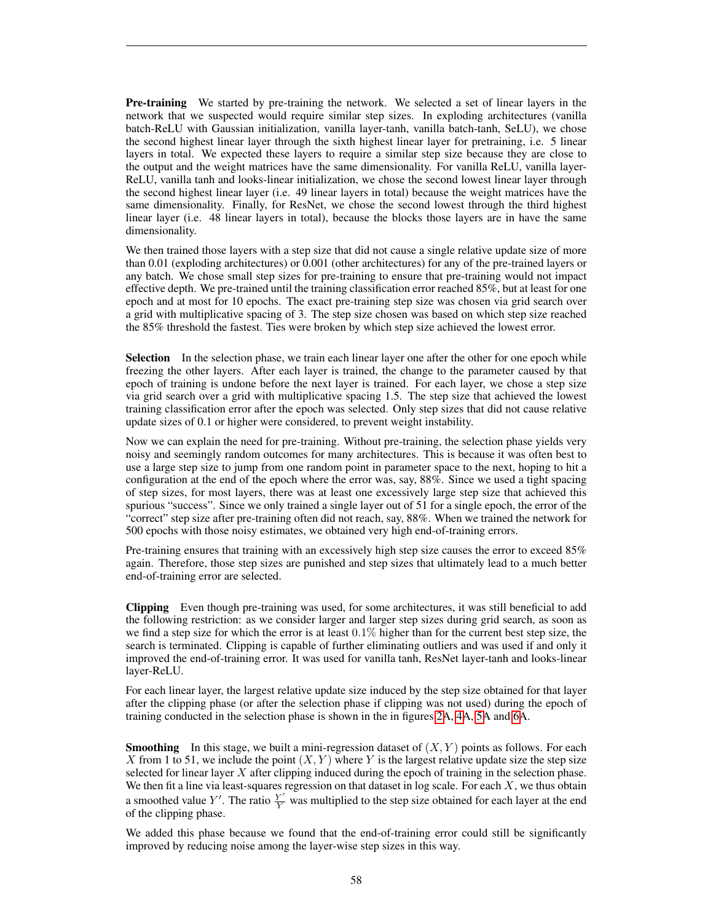Pre-training We started by pre-training the network. We selected a set of linear layers in the network that we suspected would require similar step sizes. In exploding architectures (vanilla batch-ReLU with Gaussian initialization, vanilla layer-tanh, vanilla batch-tanh, SeLU), we chose the second highest linear layer through the sixth highest linear layer for pretraining, i.e. 5 linear layers in total. We expected these layers to require a similar step size because they are close to the output and the weight matrices have the same dimensionality. For vanilla ReLU, vanilla layer-ReLU, vanilla tanh and looks-linear initialization, we chose the second lowest linear layer through the second highest linear layer (i.e. 49 linear layers in total) because the weight matrices have the same dimensionality. Finally, for ResNet, we chose the second lowest through the third highest linear layer (i.e. 48 linear layers in total), because the blocks those layers are in have the same dimensionality.

We then trained those layers with a step size that did not cause a single relative update size of more than 0.01 (exploding architectures) or 0.001 (other architectures) for any of the pre-trained layers or any batch. We chose small step sizes for pre-training to ensure that pre-training would not impact effective depth. We pre-trained until the training classification error reached 85%, but at least for one epoch and at most for 10 epochs. The exact pre-training step size was chosen via grid search over a grid with multiplicative spacing of 3. The step size chosen was based on which step size reached the 85% threshold the fastest. Ties were broken by which step size achieved the lowest error.

Selection In the selection phase, we train each linear layer one after the other for one epoch while freezing the other layers. After each layer is trained, the change to the parameter caused by that epoch of training is undone before the next layer is trained. For each layer, we chose a step size via grid search over a grid with multiplicative spacing 1.5. The step size that achieved the lowest training classification error after the epoch was selected. Only step sizes that did not cause relative update sizes of 0.1 or higher were considered, to prevent weight instability.

Now we can explain the need for pre-training. Without pre-training, the selection phase yields very noisy and seemingly random outcomes for many architectures. This is because it was often best to use a large step size to jump from one random point in parameter space to the next, hoping to hit a configuration at the end of the epoch where the error was, say, 88%. Since we used a tight spacing of step sizes, for most layers, there was at least one excessively large step size that achieved this spurious "success". Since we only trained a single layer out of 51 for a single epoch, the error of the "correct" step size after pre-training often did not reach, say, 88%. When we trained the network for 500 epochs with those noisy estimates, we obtained very high end-of-training errors.

Pre-training ensures that training with an excessively high step size causes the error to exceed 85% again. Therefore, those step sizes are punished and step sizes that ultimately lead to a much better end-of-training error are selected.

Clipping Even though pre-training was used, for some architectures, it was still beneficial to add the following restriction: as we consider larger and larger step sizes during grid search, as soon as we find a step size for which the error is at least  $0.1\%$  higher than for the current best step size, the search is terminated. Clipping is capable of further eliminating outliers and was used if and only it improved the end-of-training error. It was used for vanilla tanh, ResNet layer-tanh and looks-linear layer-ReLU.

For each linear layer, the largest relative update size induced by the step size obtained for that layer after the clipping phase (or after the selection phase if clipping was not used) during the epoch of training conducted in the selection phase is shown in the in figures [2A](#page-8-0), [4A](#page-22-0), [5A](#page-23-0) and [6A](#page-24-0).

**Smoothing** In this stage, we built a mini-regression dataset of  $(X, Y)$  points as follows. For each X from 1 to 51, we include the point  $(X, Y)$  where Y is the largest relative update size the step size selected for linear layer  $X$  after clipping induced during the epoch of training in the selection phase. We then fit a line via least-squares regression on that dataset in log scale. For each  $X$ , we thus obtain a smoothed value Y'. The ratio  $\frac{Y'}{Y}$  was multiplied to the step size obtained for each layer at the end of the clipping phase.

We added this phase because we found that the end-of-training error could still be significantly improved by reducing noise among the layer-wise step sizes in this way.